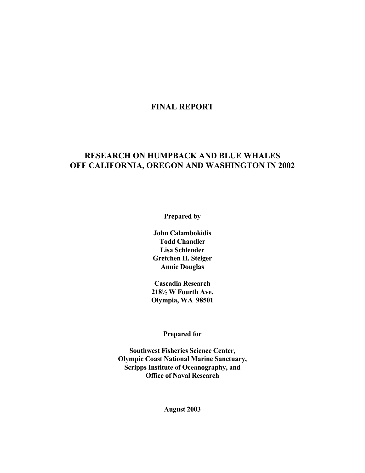# **FINAL REPORT**

# **RESEARCH ON HUMPBACK AND BLUE WHALES OFF CALIFORNIA, OREGON AND WASHINGTON IN 2002**

**Prepared by** 

**John Calambokidis Todd Chandler Lisa Schlender Gretchen H. Steiger Annie Douglas** 

**Cascadia Research 218½ W Fourth Ave. Olympia, WA 98501** 

**Prepared for** 

**Southwest Fisheries Science Center, Olympic Coast National Marine Sanctuary, Scripps Institute of Oceanography, and Office of Naval Research** 

**August 2003**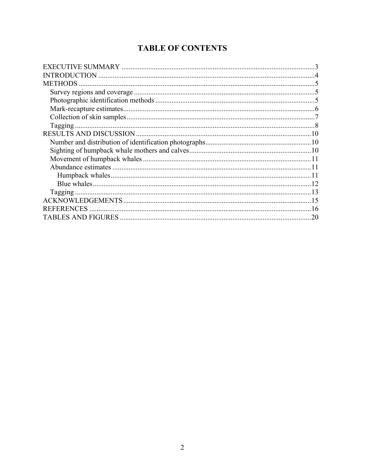# **TABLE OF CONTENTS**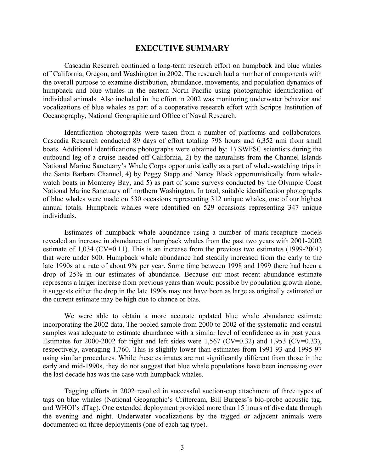#### **EXECUTIVE SUMMARY**

 Cascadia Research continued a long-term research effort on humpback and blue whales off California, Oregon, and Washington in 2002. The research had a number of components with the overall purpose to examine distribution, abundance, movements, and population dynamics of humpback and blue whales in the eastern North Pacific using photographic identification of individual animals. Also included in the effort in 2002 was monitoring underwater behavior and vocalizations of blue whales as part of a cooperative research effort with Scripps Institution of Oceanography, National Geographic and Office of Naval Research.

 Identification photographs were taken from a number of platforms and collaborators. Cascadia Research conducted 89 days of effort totaling 798 hours and 6,352 nmi from small boats. Additional identifications photographs were obtained by: 1) SWFSC scientists during the outbound leg of a cruise headed off California, 2) by the naturalists from the Channel Islands National Marine Sanctuary's Whale Corps opportunistically as a part of whale-watching trips in the Santa Barbara Channel, 4) by Peggy Stapp and Nancy Black opportunistically from whalewatch boats in Monterey Bay, and 5) as part of some surveys conducted by the Olympic Coast National Marine Sanctuary off northern Washington. In total, suitable identification photographs of blue whales were made on 530 occasions representing 312 unique whales, one of our highest annual totals. Humpback whales were identified on 529 occasions representing 347 unique individuals.

 Estimates of humpback whale abundance using a number of mark-recapture models revealed an increase in abundance of humpback whales from the past two years with 2001-2002 estimate of 1,034 (CV=0.11). This is an increase from the previous two estimates (1999-2001) that were under 800. Humpback whale abundance had steadily increased from the early to the late 1990s at a rate of about 9% per year. Some time between 1998 and 1999 there had been a drop of 25% in our estimates of abundance. Because our most recent abundance estimate represents a larger increase from previous years than would possible by population growth alone, it suggests either the drop in the late 1990s may not have been as large as originally estimated or the current estimate may be high due to chance or bias.

 We were able to obtain a more accurate updated blue whale abundance estimate incorporating the 2002 data. The pooled sample from 2000 to 2002 of the systematic and coastal samples was adequate to estimate abundance with a similar level of confidence as in past years. Estimates for 2000-2002 for right and left sides were 1,567 (CV=0.32) and 1,953 (CV=0.33), respectively, averaging 1,760. This is slightly lower than estimates from 1991-93 and 1995-97 using similar procedures. While these estimates are not significantly different from those in the early and mid-1990s, they do not suggest that blue whale populations have been increasing over the last decade has was the case with humpback whales.

 Tagging efforts in 2002 resulted in successful suction-cup attachment of three types of tags on blue whales (National Geographic's Crittercam, Bill Burgess's bio-probe acoustic tag, and WHOI's dTag). One extended deployment provided more than 15 hours of dive data through the evening and night. Underwater vocalizations by the tagged or adjacent animals were documented on three deployments (one of each tag type).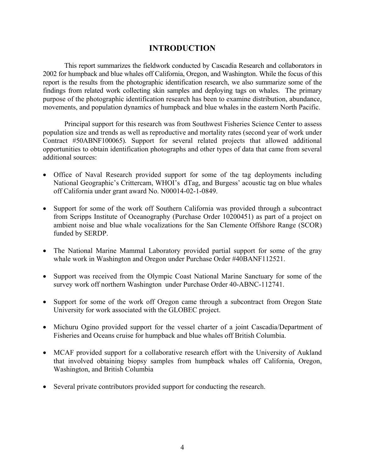# **INTRODUCTION**

 This report summarizes the fieldwork conducted by Cascadia Research and collaborators in 2002 for humpback and blue whales off California, Oregon, and Washington. While the focus of this report is the results from the photographic identification research, we also summarize some of the findings from related work collecting skin samples and deploying tags on whales. The primary purpose of the photographic identification research has been to examine distribution, abundance, movements, and population dynamics of humpback and blue whales in the eastern North Pacific.

 Principal support for this research was from Southwest Fisheries Science Center to assess population size and trends as well as reproductive and mortality rates (second year of work under Contract #50ABNF100065). Support for several related projects that allowed additional opportunities to obtain identification photographs and other types of data that came from several additional sources:

- Office of Naval Research provided support for some of the tag deployments including National Geographic's Crittercam, WHOI's dTag, and Burgess' acoustic tag on blue whales off California under grant award No. N00014-02-1-0849.
- Support for some of the work off Southern California was provided through a subcontract from Scripps Institute of Oceanography (Purchase Order 10200451) as part of a project on ambient noise and blue whale vocalizations for the San Clemente Offshore Range (SCOR) funded by SERDP.
- The National Marine Mammal Laboratory provided partial support for some of the gray whale work in Washington and Oregon under Purchase Order #40BANF112521.
- Support was received from the Olympic Coast National Marine Sanctuary for some of the survey work off northern Washington under Purchase Order 40-ABNC-112741.
- Support for some of the work off Oregon came through a subcontract from Oregon State University for work associated with the GLOBEC project.
- Michuru Ogino provided support for the vessel charter of a joint Cascadia/Department of Fisheries and Oceans cruise for humpback and blue whales off British Columbia.
- MCAF provided support for a collaborative research effort with the University of Aukland that involved obtaining biopsy samples from humpback whales off California, Oregon, Washington, and British Columbia
- Several private contributors provided support for conducting the research.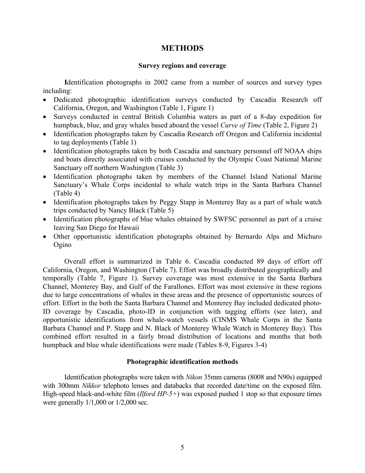# **METHODS**

#### **Survey regions and coverage**

 **I**dentification photographs in 2002 came from a number of sources and survey types including:

- Dedicated photographic identification surveys conducted by Cascadia Research off California, Oregon, and Washington (Table 1, Figure 1)
- Surveys conducted in central British Columbia waters as part of a 8-day expedition for humpback, blue, and gray whales based aboard the vessel *Curve of Time* (Table 2, Figure 2)
- Identification photographs taken by Cascadia Research off Oregon and California incidental to tag deployments (Table 1)
- Identification photographs taken by both Cascadia and sanctuary personnel off NOAA ships and boats directly associated with cruises conducted by the Olympic Coast National Marine Sanctuary off northern Washington (Table 3)
- Identification photographs taken by members of the Channel Island National Marine Sanctuary's Whale Corps incidental to whale watch trips in the Santa Barbara Channel (Table 4)
- Identification photographs taken by Peggy Stapp in Monterey Bay as a part of whale watch trips conducted by Nancy Black (Table 5)
- Identification photographs of blue whales obtained by SWFSC personnel as part of a cruise leaving San Diego for Hawaii
- Other opportunistic identification photographs obtained by Bernardo Alps and Michuro Ogino

Overall effort is summarized in Table 6. Cascadia conducted 89 days of effort off California, Oregon, and Washington (Table 7). Effort was broadly distributed geographically and temporally (Table 7, Figure 1). Survey coverage was most extensive in the Santa Barbara Channel, Monterey Bay, and Gulf of the Farallones. Effort was most extensive in these regions due to large concentrations of whales in these areas and the presence of opportunistic sources of effort. Effort in the both the Santa Barbara Channel and Monterey Bay included dedicated photo-ID coverage by Cascadia, photo-ID in conjunction with tagging efforts (see later), and opportunistic identifications from whale-watch vessels (CINMS Whale Corps in the Santa Barbara Channel and P. Stapp and N. Black of Monterey Whale Watch in Monterey Bay). This combined effort resulted in a fairly broad distribution of locations and months that both humpback and blue whale identifications were made (Tables 8-9, Figures 3-4)

### **Photographic identification methods**

 Identification photographs were taken with *Nikon* 35mm cameras (8008 and N90s) equipped with 300mm *Nikkor* telephoto lenses and databacks that recorded date/time on the exposed film. High-speed black-and-white film (*Ilford HP-5+*) was exposed pushed 1 stop so that exposure times were generally 1/1,000 or 1/2,000 sec.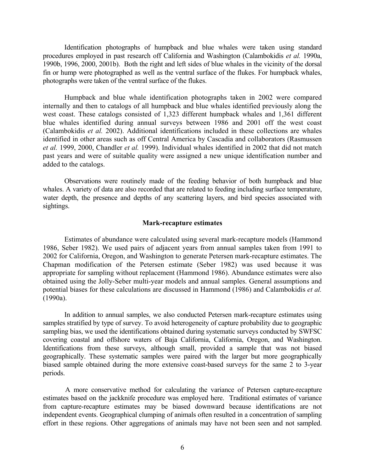Identification photographs of humpback and blue whales were taken using standard procedures employed in past research off California and Washington (Calambokidis *et al.* 1990a, 1990b, 1996, 2000, 2001b). Both the right and left sides of blue whales in the vicinity of the dorsal fin or hump were photographed as well as the ventral surface of the flukes. For humpback whales, photographs were taken of the ventral surface of the flukes.

 Humpback and blue whale identification photographs taken in 2002 were compared internally and then to catalogs of all humpback and blue whales identified previously along the west coast. These catalogs consisted of 1,323 different humpback whales and 1,361 different blue whales identified during annual surveys between 1986 and 2001 off the west coast (Calambokidis *et al.* 2002). Additional identifications included in these collections are whales identified in other areas such as off Central America by Cascadia and collaborators (Rasmussen *et al.* 1999, 2000, Chandler *et al.* 1999). Individual whales identified in 2002 that did not match past years and were of suitable quality were assigned a new unique identification number and added to the catalogs.

 Observations were routinely made of the feeding behavior of both humpback and blue whales. A variety of data are also recorded that are related to feeding including surface temperature, water depth, the presence and depths of any scattering layers, and bird species associated with sightings.

#### **Mark-recapture estimates**

Estimates of abundance were calculated using several mark-recapture models (Hammond 1986, Seber 1982). We used pairs of adjacent years from annual samples taken from 1991 to 2002 for California, Oregon, and Washington to generate Petersen mark-recapture estimates. The Chapman modification of the Petersen estimate (Seber 1982) was used because it was appropriate for sampling without replacement (Hammond 1986). Abundance estimates were also obtained using the Jolly-Seber multi-year models and annual samples. General assumptions and potential biases for these calculations are discussed in Hammond (1986) and Calambokidis *et al.*  (1990a).

In addition to annual samples, we also conducted Petersen mark-recapture estimates using samples stratified by type of survey. To avoid heterogeneity of capture probability due to geographic sampling bias, we used the identifications obtained during systematic surveys conducted by SWFSC covering coastal and offshore waters of Baja California, California, Oregon, and Washington. Identifications from these surveys, although small, provided a sample that was not biased geographically. These systematic samples were paired with the larger but more geographically biased sample obtained during the more extensive coast-based surveys for the same 2 to 3-year periods.

 A more conservative method for calculating the variance of Petersen capture-recapture estimates based on the jackknife procedure was employed here. Traditional estimates of variance from capture-recapture estimates may be biased downward because identifications are not independent events. Geographical clumping of animals often resulted in a concentration of sampling effort in these regions. Other aggregations of animals may have not been seen and not sampled.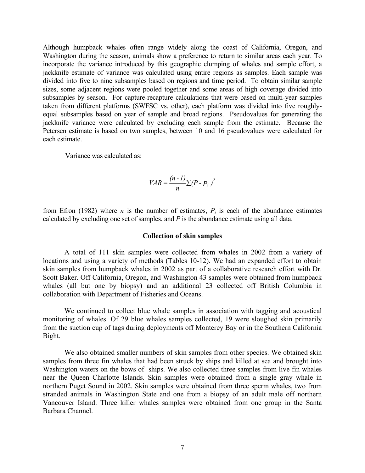Although humpback whales often range widely along the coast of California, Oregon, and Washington during the season, animals show a preference to return to similar areas each year. To incorporate the variance introduced by this geographic clumping of whales and sample effort, a jackknife estimate of variance was calculated using entire regions as samples. Each sample was divided into five to nine subsamples based on regions and time period. To obtain similar sample sizes, some adjacent regions were pooled together and some areas of high coverage divided into subsamples by season. For capture-recapture calculations that were based on multi-year samples taken from different platforms (SWFSC vs. other), each platform was divided into five roughlyequal subsamples based on year of sample and broad regions. Pseudovalues for generating the jackknife variance were calculated by excluding each sample from the estimate. Because the Petersen estimate is based on two samples, between 10 and 16 pseudovalues were calculated for each estimate.

Variance was calculated as:

$$
VAR = \frac{(n-1)}{n} \sum (P - P_i)^2
$$

from Efron (1982) where *n* is the number of estimates,  $P_i$  is each of the abundance estimates calculated by excluding one set of samples, and *P* is the abundance estimate using all data.

#### **Collection of skin samples**

 A total of 111 skin samples were collected from whales in 2002 from a variety of locations and using a variety of methods (Tables 10-12). We had an expanded effort to obtain skin samples from humpback whales in 2002 as part of a collaborative research effort with Dr. Scott Baker. Off California, Oregon, and Washington 43 samples were obtained from humpback whales (all but one by biopsy) and an additional 23 collected off British Columbia in collaboration with Department of Fisheries and Oceans.

 We continued to collect blue whale samples in association with tagging and acoustical monitoring of whales. Of 29 blue whales samples collected, 19 were sloughed skin primarily from the suction cup of tags during deployments off Monterey Bay or in the Southern California Bight.

 We also obtained smaller numbers of skin samples from other species. We obtained skin samples from three fin whales that had been struck by ships and killed at sea and brought into Washington waters on the bows of ships. We also collected three samples from live fin whales near the Queen Charlotte Islands. Skin samples were obtained from a single gray whale in northern Puget Sound in 2002. Skin samples were obtained from three sperm whales, two from stranded animals in Washington State and one from a biopsy of an adult male off northern Vancouver Island. Three killer whales samples were obtained from one group in the Santa Barbara Channel.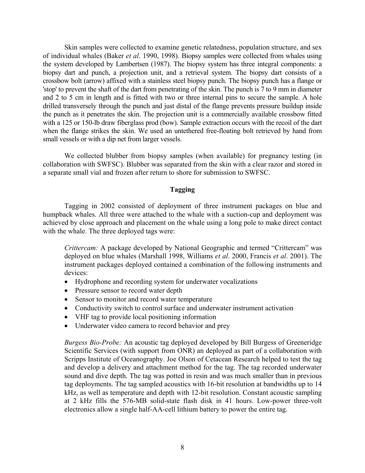Skin samples were collected to examine genetic relatedness, population structure, and sex of individual whales (Baker *et al*. 1990, 1998). Biopsy samples were collected from whales using the system developed by Lambertsen (1987). The biopsy system has three integral components: a biopsy dart and punch, a projection unit, and a retrieval system. The biopsy dart consists of a crossbow bolt (arrow) affixed with a stainless steel biopsy punch. The biopsy punch has a flange or 'stop' to prevent the shaft of the dart from penetrating of the skin. The punch is 7 to 9 mm in diameter and 2 to 5 cm in length and is fitted with two or three internal pins to secure the sample. A hole drilled transversely through the punch and just distal of the flange prevents pressure buildup inside the punch as it penetrates the skin. The projection unit is a commercially available crossbow fitted with a 125 or 150-lb draw fiberglass prod (bow). Sample extraction occurs with the recoil of the dart when the flange strikes the skin. We used an untethered free-floating bolt retrieved by hand from small vessels or with a dip net from larger vessels.

We collected blubber from biopsy samples (when available) for pregnancy testing (in collaboration with SWFSC). Blubber was separated from the skin with a clear razor and stored in a separate small vial and frozen after return to shore for submission to SWFSC.

#### **Tagging**

 Tagging in 2002 consisted of deployment of three instrument packages on blue and humpback whales. All three were attached to the whale with a suction-cup and deployment was achieved by close approach and placement on the whale using a long pole to make direct contact with the whale. The three deployed tags were:

*Crittercam:* A package developed by National Geographic and termed "Crittercam" was deployed on blue whales (Marshall 1998, Williams *et al*. 2000, Francis *et al*. 2001). The instrument packages deployed contained a combination of the following instruments and devices:

- Hydrophone and recording system for underwater vocalizations
- Pressure sensor to record water depth
- Sensor to monitor and record water temperature
- Conductivity switch to control surface and underwater instrument activation
- VHF tag to provide local positioning information
- Underwater video camera to record behavior and prey

*Burgess Bio-Probe:* An acoustic tag deployed developed by Bill Burgess of Greeneridge Scientific Services (with support from ONR) an deployed as part of a collaboration with Scripps Institute of Oceanography. Joe Olson of Cetacean Research helped to test the tag and develop a delivery and attachment method for the tag. The tag recorded underwater sound and dive depth. The tag was potted in resin and was much smaller than in previous tag deployments. The tag sampled acoustics with 16-bit resolution at bandwidths up to 14 kHz, as well as temperature and depth with 12-bit resolution. Constant acoustic sampling at 2 kHz fills the 576-MB solid-state flash disk in 41 hours. Low-power three-volt electronics allow a single half-AA-cell lithium battery to power the entire tag.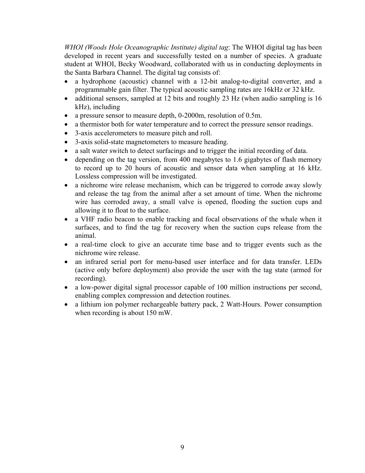*WHOI (Woods Hole Oceanographic Institute) digital tag*: The WHOI digital tag has been developed in recent years and successfully tested on a number of species. A graduate student at WHOI, Becky Woodward, collaborated with us in conducting deployments in the Santa Barbara Channel. The digital tag consists of:

- a hydrophone (acoustic) channel with a 12-bit analog-to-digital converter, and a programmable gain filter. The typical acoustic sampling rates are 16kHz or 32 kHz.
- additional sensors, sampled at 12 bits and roughly 23 Hz (when audio sampling is 16 kHz), including
- a pressure sensor to measure depth, 0-2000m, resolution of 0.5m.
- a thermistor both for water temperature and to correct the pressure sensor readings.
- 3-axis accelerometers to measure pitch and roll.
- 3-axis solid-state magnetometers to measure heading.
- a salt water switch to detect surfacings and to trigger the initial recording of data.
- depending on the tag version, from 400 megabytes to 1.6 gigabytes of flash memory to record up to 20 hours of acoustic and sensor data when sampling at 16 kHz. Lossless compression will be investigated.
- a nichrome wire release mechanism, which can be triggered to corrode away slowly and release the tag from the animal after a set amount of time. When the nichrome wire has corroded away, a small valve is opened, flooding the suction cups and allowing it to float to the surface.
- a VHF radio beacon to enable tracking and focal observations of the whale when it surfaces, and to find the tag for recovery when the suction cups release from the animal.
- a real-time clock to give an accurate time base and to trigger events such as the nichrome wire release.
- an infrared serial port for menu-based user interface and for data transfer. LEDs (active only before deployment) also provide the user with the tag state (armed for recording).
- a low-power digital signal processor capable of 100 million instructions per second, enabling complex compression and detection routines.
- a lithium ion polymer rechargeable battery pack, 2 Watt-Hours. Power consumption when recording is about 150 mW.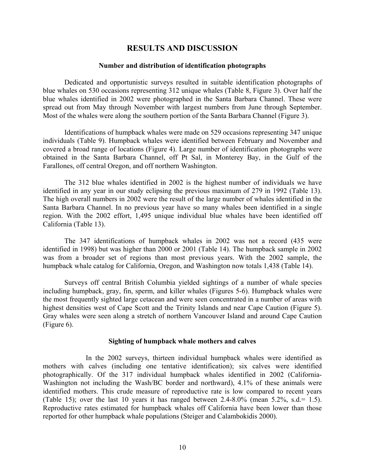### **RESULTS AND DISCUSSION**

#### **Number and distribution of identification photographs**

Dedicated and opportunistic surveys resulted in suitable identification photographs of blue whales on 530 occasions representing 312 unique whales (Table 8, Figure 3). Over half the blue whales identified in 2002 were photographed in the Santa Barbara Channel. These were spread out from May through November with largest numbers from June through September. Most of the whales were along the southern portion of the Santa Barbara Channel (Figure 3).

Identifications of humpback whales were made on 529 occasions representing 347 unique individuals (Table 9). Humpback whales were identified between February and November and covered a broad range of locations (Figure 4). Large number of identification photographs were obtained in the Santa Barbara Channel, off Pt Sal, in Monterey Bay, in the Gulf of the Farallones, off central Oregon, and off northern Washington.

 The 312 blue whales identified in 2002 is the highest number of individuals we have identified in any year in our study eclipsing the previous maximum of 279 in 1992 (Table 13). The high overall numbers in 2002 were the result of the large number of whales identified in the Santa Barbara Channel. In no previous year have so many whales been identified in a single region. With the 2002 effort, 1,495 unique individual blue whales have been identified off California (Table 13).

 The 347 identifications of humpback whales in 2002 was not a record (435 were identified in 1998) but was higher than 2000 or 2001 (Table 14). The humpback sample in 2002 was from a broader set of regions than most previous years. With the 2002 sample, the humpback whale catalog for California, Oregon, and Washington now totals 1,438 (Table 14).

 Surveys off central British Columbia yielded sightings of a number of whale species including humpback, gray, fin, sperm, and killer whales (Figures 5-6). Humpback whales were the most frequently sighted large cetacean and were seen concentrated in a number of areas with highest densities west of Cape Scott and the Trinity Islands and near Cape Caution (Figure 5). Gray whales were seen along a stretch of northern Vancouver Island and around Cape Caution (Figure 6).

#### **Sighting of humpback whale mothers and calves**

 In the 2002 surveys, thirteen individual humpback whales were identified as mothers with calves (including one tentative identification); six calves were identified photographically. Of the 317 individual humpback whales identified in 2002 (California-Washington not including the Wash/BC border and northward), 4.1% of these animals were identified mothers. This crude measure of reproductive rate is low compared to recent years (Table 15); over the last 10 years it has ranged between  $2.4-8.0\%$  (mean  $5.2\%$ ,  $s.d.= 1.5$ ). Reproductive rates estimated for humpback whales off California have been lower than those reported for other humpback whale populations (Steiger and Calambokidis 2000).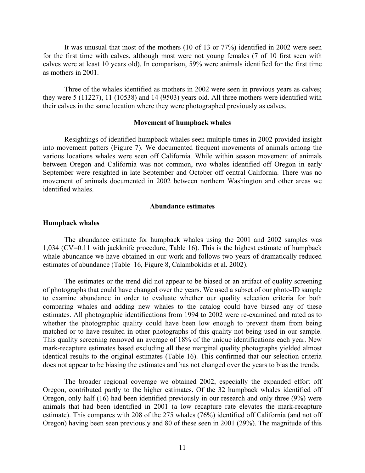It was unusual that most of the mothers (10 of 13 or 77%) identified in 2002 were seen for the first time with calves, although most were not young females (7 of 10 first seen with calves were at least 10 years old). In comparison, 59% were animals identified for the first time as mothers in 2001.

Three of the whales identified as mothers in 2002 were seen in previous years as calves; they were 5 (11227), 11 (10538) and 14 (9503) years old. All three mothers were identified with their calves in the same location where they were photographed previously as calves.

#### **Movement of humpback whales**

Resightings of identified humpback whales seen multiple times in 2002 provided insight into movement patters (Figure 7). We documented frequent movements of animals among the various locations whales were seen off California. While within season movement of animals between Oregon and California was not common, two whales identified off Oregon in early September were resighted in late September and October off central California. There was no movement of animals documented in 2002 between northern Washington and other areas we identified whales.

#### **Abundance estimates**

#### **Humpback whales**

The abundance estimate for humpback whales using the 2001 and 2002 samples was 1,034 (CV=0.11 with jackknife procedure, Table 16). This is the highest estimate of humpback whale abundance we have obtained in our work and follows two years of dramatically reduced estimates of abundance (Table 16, Figure 8, Calambokidis et al. 2002).

The estimates or the trend did not appear to be biased or an artifact of quality screening of photographs that could have changed over the years. We used a subset of our photo-ID sample to examine abundance in order to evaluate whether our quality selection criteria for both comparing whales and adding new whales to the catalog could have biased any of these estimates. All photographic identifications from 1994 to 2002 were re-examined and rated as to whether the photographic quality could have been low enough to prevent them from being matched or to have resulted in other photographs of this quality not being used in our sample. This quality screening removed an average of 18% of the unique identifications each year. New mark-recapture estimates based excluding all these marginal quality photographs yielded almost identical results to the original estimates (Table 16). This confirmed that our selection criteria does not appear to be biasing the estimates and has not changed over the years to bias the trends.

The broader regional coverage we obtained 2002, especially the expanded effort off Oregon, contributed partly to the higher estimates. Of the 32 humpback whales identified off Oregon, only half (16) had been identified previously in our research and only three (9%) were animals that had been identified in 2001 (a low recapture rate elevates the mark-recapture estimate). This compares with 208 of the 275 whales (76%) identified off California (and not off Oregon) having been seen previously and 80 of these seen in 2001 (29%). The magnitude of this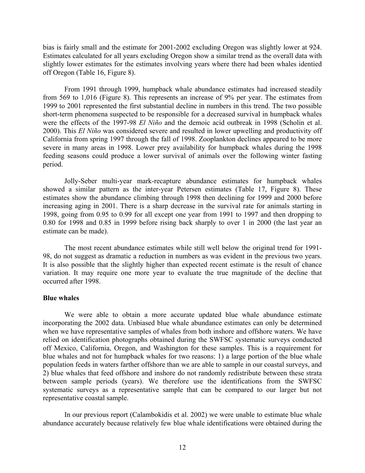bias is fairly small and the estimate for 2001-2002 excluding Oregon was slightly lower at 924. Estimates calculated for all years excluding Oregon show a similar trend as the overall data with slightly lower estimates for the estimates involving years where there had been whales identied off Oregon (Table 16, Figure 8).

From 1991 through 1999, humpback whale abundance estimates had increased steadily from 569 to 1,016 (Figure 8). This represents an increase of 9% per year. The estimates from 1999 to 2001 represented the first substantial decline in numbers in this trend. The two possible short-term phenomena suspected to be responsible for a decreased survival in humpback whales were the effects of the 1997-98 *El Niño* and the demoic acid outbreak in 1998 (Scholin et al. 2000). This *El Niño* was considered severe and resulted in lower upwelling and productivity off California from spring 1997 through the fall of 1998. Zooplankton declines appeared to be more severe in many areas in 1998. Lower prey availability for humpback whales during the 1998 feeding seasons could produce a lower survival of animals over the following winter fasting period.

 Jolly-Seber multi-year mark-recapture abundance estimates for humpback whales showed a similar pattern as the inter-year Petersen estimates (Table 17, Figure 8). These estimates show the abundance climbing through 1998 then declining for 1999 and 2000 before increasing aging in 2001. There is a sharp decrease in the survival rate for animals starting in 1998, going from 0.95 to 0.99 for all except one year from 1991 to 1997 and then dropping to 0.80 for 1998 and 0.85 in 1999 before rising back sharply to over 1 in 2000 (the last year an estimate can be made).

The most recent abundance estimates while still well below the original trend for 1991- 98, do not suggest as dramatic a reduction in numbers as was evident in the previous two years. It is also possible that the slightly higher than expected recent estimate is the result of chance variation. It may require one more year to evaluate the true magnitude of the decline that occurred after 1998.

#### **Blue whales**

 We were able to obtain a more accurate updated blue whale abundance estimate incorporating the 2002 data. Unbiased blue whale abundance estimates can only be determined when we have representative samples of whales from both inshore and offshore waters. We have relied on identification photographs obtained during the SWFSC systematic surveys conducted off Mexico, California, Oregon, and Washington for these samples. This is a requirement for blue whales and not for humpback whales for two reasons: 1) a large portion of the blue whale population feeds in waters farther offshore than we are able to sample in our coastal surveys, and 2) blue whales that feed offshore and inshore do not randomly redistribute between these strata between sample periods (years). We therefore use the identifications from the SWFSC systematic surveys as a representative sample that can be compared to our larger but not representative coastal sample.

 In our previous report (Calambokidis et al. 2002) we were unable to estimate blue whale abundance accurately because relatively few blue whale identifications were obtained during the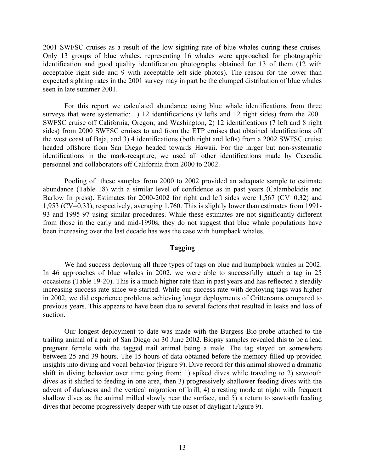2001 SWFSC cruises as a result of the low sighting rate of blue whales during these cruises. Only 13 groups of blue whales, representing 16 whales were approached for photographic identification and good quality identification photographs obtained for 13 of them (12 with acceptable right side and 9 with acceptable left side photos). The reason for the lower than expected sighting rates in the 2001 survey may in part be the clumped distribution of blue whales seen in late summer 2001.

 For this report we calculated abundance using blue whale identifications from three surveys that were systematic: 1) 12 identifications (9 lefts and 12 right sides) from the 2001 SWFSC cruise off California, Oregon, and Washington, 2) 12 identifications (7 left and 8 right sides) from 2000 SWFSC cruises to and from the ETP cruises that obtained identifications off the west coast of Baja, and 3) 4 identifications (both right and lefts) from a 2002 SWFSC cruise headed offshore from San Diego headed towards Hawaii. For the larger but non-systematic identifications in the mark-recapture, we used all other identifications made by Cascadia personnel and collaborators off California from 2000 to 2002.

 Pooling of these samples from 2000 to 2002 provided an adequate sample to estimate abundance (Table 18) with a similar level of confidence as in past years (Calambokidis and Barlow In press). Estimates for 2000-2002 for right and left sides were 1,567 (CV=0.32) and 1,953 (CV=0.33), respectively, averaging 1,760. This is slightly lower than estimates from 1991- 93 and 1995-97 using similar procedures. While these estimates are not significantly different from those in the early and mid-1990s, they do not suggest that blue whale populations have been increasing over the last decade has was the case with humpback whales.

#### **Tagging**

 We had success deploying all three types of tags on blue and humpback whales in 2002. In 46 approaches of blue whales in 2002, we were able to successfully attach a tag in 25 occasions (Table 19-20). This is a much higher rate than in past years and has reflected a steadily increasing success rate since we started. While our success rate with deploying tags was higher in 2002, we did experience problems achieving longer deployments of Crittercams compared to previous years. This appears to have been due to several factors that resulted in leaks and loss of suction.

 Our longest deployment to date was made with the Burgess Bio-probe attached to the trailing animal of a pair of San Diego on 30 June 2002. Biopsy samples revealed this to be a lead pregnant female with the tagged trail animal being a male. The tag stayed on somewhere between 25 and 39 hours. The 15 hours of data obtained before the memory filled up provided insights into diving and vocal behavior (Figure 9). Dive record for this animal showed a dramatic shift in diving behavior over time going from: 1) spiked dives while traveling to 2) sawtooth dives as it shifted to feeding in one area, then 3) progressively shallower feeding dives with the advent of darkness and the vertical migration of krill, 4) a resting mode at night with frequent shallow dives as the animal milled slowly near the surface, and 5) a return to sawtooth feeding dives that become progressively deeper with the onset of daylight (Figure 9).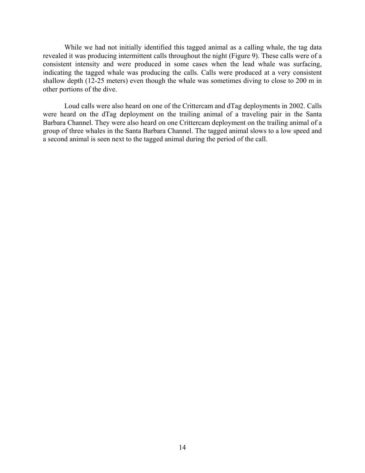While we had not initially identified this tagged animal as a calling whale, the tag data revealed it was producing intermittent calls throughout the night (Figure 9). These calls were of a consistent intensity and were produced in some cases when the lead whale was surfacing, indicating the tagged whale was producing the calls. Calls were produced at a very consistent shallow depth (12-25 meters) even though the whale was sometimes diving to close to 200 m in other portions of the dive.

 Loud calls were also heard on one of the Crittercam and dTag deployments in 2002. Calls were heard on the dTag deployment on the trailing animal of a traveling pair in the Santa Barbara Channel. They were also heard on one Crittercam deployment on the trailing animal of a group of three whales in the Santa Barbara Channel. The tagged animal slows to a low speed and a second animal is seen next to the tagged animal during the period of the call.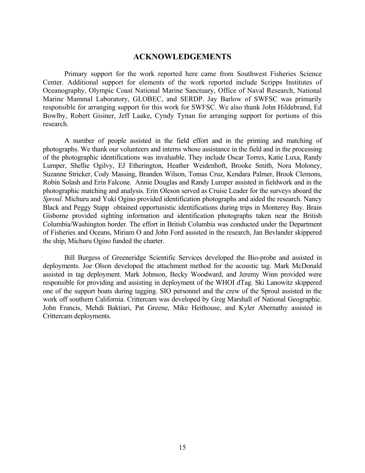### **ACKNOWLEDGEMENTS**

Primary support for the work reported here came from Southwest Fisheries Science Center. Additional support for elements of the work reported include Scripps Institutes of Oceanography, Olympic Coast National Marine Sanctuary, Office of Naval Research, National Marine Mammal Laboratory, GLOBEC, and SERDP. Jay Barlow of SWFSC was primarily responsible for arranging support for this work for SWFSC. We also thank John Hildebrand, Ed Bowlby, Robert Gisiner, Jeff Laake, Cyndy Tynan for arranging support for portions of this research.

A number of people assisted in the field effort and in the printing and matching of photographs. We thank our volunteers and interns whose assistance in the field and in the processing of the photographic identifications was invaluable. They include Oscar Torres, Katie Luxa, Randy Lumper, Shellie Ogilvy, EJ Etherington, Heather Weidenhoft, Brooke Smith, Nora Moloney, Suzanne Stricker, Cody Massing, Branden Wilson, Tomas Cruz, Kendara Palmer, Brook Clemons, Robin Solash and Erin Falcone. Annie Douglas and Randy Lumper assisted in fieldwork and in the photographic matching and analysis. Erin Oleson served as Cruise Leader for the surveys aboard the *Sproul*. Michuru and Yuki Ogino provided identification photographs and aided the research. Nancy Black and Peggy Stapp obtained opportunistic identifications during trips in Monterey Bay. Brain Gisborne provided sighting information and identification photographs taken near the British Columbia/Washington border. The effort in British Columbia was conducted under the Department of Fisheries and Oceans, Miriam O and John Ford assisted in the research, Jan Bevlander skippered the ship, Michuru Ogino funded the charter.

Bill Burgess of Greeneridge Scientific Services developed the Bio-probe and assisted in deployments. Joe Olson developed the attachment method for the acoustic tag. Mark McDonald assisted in tag deployment. Mark Johnson, Becky Woodward, and Jeremy Winn provided were responsible for providing and assisting in deployment of the WHOI dTag. Ski Lanowitz skippered one of the support boats during tagging. SIO personnel and the crew of the Sproul assisted in the work off southern California. Crittercam was developed by Greg Marshall of National Geographic. John Francis, Mehdi Baktiari, Pat Greene, Mike Heithouse, and Kyler Abernathy assisted in Crittercam deployments.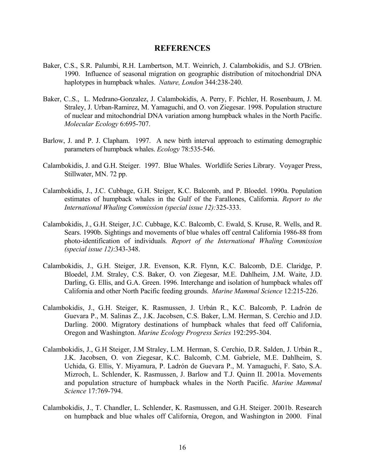#### **REFERENCES**

- Baker, C.S., S.R. Palumbi, R.H. Lambertson, M.T. Weinrich, J. Calambokidis, and S.J. O'Brien. 1990. Influence of seasonal migration on geographic distribution of mitochondrial DNA haplotypes in humpback whales. *Nature, London* 344:238-240.
- Baker, C..S., L. Medrano-Gonzalez, J. Calambokidis, A. Perry, F. Pichler, H. Rosenbaum, J. M. Straley, J. Urban-Ramirez, M. Yamaguchi, and O. von Ziegesar. 1998. Population structure of nuclear and mitochondrial DNA variation among humpback whales in the North Pacific. *Molecular Ecology* 6:695-707.
- Barlow, J. and P. J. Clapham. 1997. A new birth interval approach to estimating demographic parameters of humpback whales. *Ecology* 78:535-546.
- Calambokidis, J. and G.H. Steiger. 1997. Blue Whales. Worldlife Series Library. Voyager Press, Stillwater, MN. 72 pp.
- Calambokidis, J., J.C. Cubbage, G.H. Steiger, K.C. Balcomb, and P. Bloedel. 1990a. Population estimates of humpback whales in the Gulf of the Farallones, California. *Report to the International Whaling Commission (special issue 12):*325-333.
- Calambokidis, J., G.H. Steiger, J.C. Cubbage, K.C. Balcomb, C. Ewald, S. Kruse, R. Wells, and R. Sears. 1990b. Sightings and movements of blue whales off central California 1986-88 from photo-identification of individuals*. Report of the International Whaling Commission (special issue 12)*:343-348.
- Calambokidis, J., G.H. Steiger, J.R. Evenson, K.R. Flynn, K.C. Balcomb, D.E. Claridge, P. Bloedel, J.M. Straley, C.S. Baker, O. von Ziegesar, M.E. Dahlheim, J.M. Waite, J.D. Darling, G. Ellis, and G.A. Green. 1996. Interchange and isolation of humpback whales off California and other North Pacific feeding grounds. *Marine Mammal Science* 12:215-226.
- Calambokidis, J., G.H. Steiger, K. Rasmussen, J. Urbán R., K.C. Balcomb, P. Ladrón de Guevara P., M. Salinas Z., J.K. Jacobsen, C.S. Baker, L.M. Herman, S. Cerchio and J.D. Darling. 2000. Migratory destinations of humpback whales that feed off California, Oregon and Washington. *Marine Ecology Progress Series* 192:295-304.
- Calambokidis, J., G.H Steiger, J.M Straley, L.M. Herman, S. Cerchio, D.R. Salden, J. Urbán R., J.K. Jacobsen, O. von Ziegesar, K.C. Balcomb, C.M. Gabriele, M.E. Dahlheim, S. Uchida, G. Ellis, Y. Miyamura, P. Ladrón de Guevara P., M. Yamaguchi, F. Sato, S.A. Mizroch, L. Schlender, K. Rasmussen, J. Barlow and T.J. Quinn II. 2001a. Movements and population structure of humpback whales in the North Pacific. *Marine Mammal Science* 17:769-794.
- Calambokidis, J., T. Chandler, L. Schlender, K. Rasmussen, and G.H. Steiger. 2001b. Research on humpback and blue whales off California, Oregon, and Washington in 2000. Final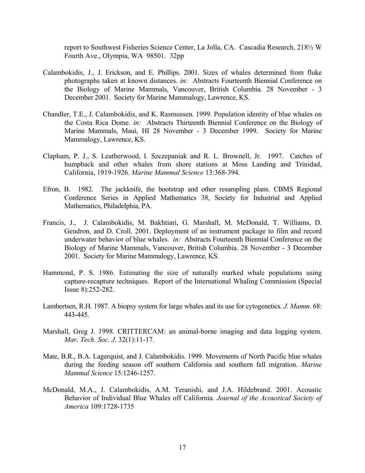report to Southwest Fisheries Science Center, La Jolla, CA. Cascadia Research, 218½ W Fourth Ave., Olympia, WA 98501. 32pp

- Calambokidis, J., J. Erickson, and E. Phillips. 2001. Sizes of whales determined from fluke photographs taken at known distances. *in:* Abstracts Fourteenth Biennial Conference on the Biology of Marine Mammals, Vancouver, British Columbia. 28 November - 3 December 2001. Society for Marine Mammalogy, Lawrence, KS.
- Chandler, T.E., J. Calambokidis, and K. Rasmussen. 1999. Population identity of blue whales on the Costa Rica Dome. *in:* Abstracts Thirteenth Biennial Conference on the Biology of Marine Mammals, Maui, HI 28 November - 3 December 1999. Society for Marine Mammalogy, Lawrence, KS.
- Clapham, P. J., S. Leatherwood, I. Szczepaniak and R. L. Brownell, Jr. 1997. Catches of humpback and other whales from shore stations at Moss Landing and Trinidad, California, 1919-1926. *Marine Mammal Science* 13:368-394.
- Efron, B. 1982. The jackknife, the bootstrap and other resampling plans. CBMS Regional Conference Series in Applied Mathematics 38, Society for Industrial and Applied Mathematics, Philadelphia, PA.
- Francis, J., J. Calambokidis, M. Bakhtiari, G. Marshall, M. McDonald, T. Williams, D. Gendron, and D. Croll. 2001. Deployment of an instrument package to film and record underwater behavior of blue whales. *in:* Abstracts Fourteenth Biennial Conference on the Biology of Marine Mammals, Vancouver, British Columbia. 28 November - 3 December 2001. Society for Marine Mammalogy, Lawrence, KS.
- Hammond, P. S. 1986. Estimating the size of naturally marked whale populations using capture-recapture techniques. Report of the International Whaling Commission (Special Issue 8):252-282.
- Lambertsen, R.H. 1987. A biopsy system for large whales and its use for cytogenetics. *J. Mamm*. 68: 443-445.
- Marshall, Greg J. 1998. CRITTERCAM: an animal-borne imaging and data logging system. *Mar. Tech. Soc. J*. 32(1):11-17.
- Mate, B.R., B.A. Lagerquist, and J. Calambokidis. 1999. Movements of North Pacific blue whales during the feeding season off southern California and southern fall migration. *Marine Mammal Science* 15:1246-1257.
- McDonald, M.A., J. Calambokidis, A.M. Teranishi, and J.A. Hildebrand. 2001. Acoustic Behavior of Individual Blue Whales off California. *Journal of the Acoustical Society of America* 109:1728-1735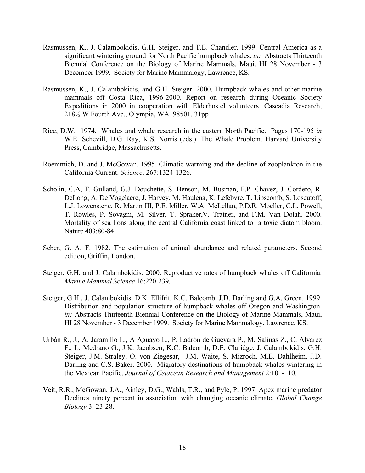- Rasmussen, K., J. Calambokidis, G.H. Steiger, and T.E. Chandler. 1999. Central America as a significant wintering ground for North Pacific humpback whales. *in:* Abstracts Thirteenth Biennial Conference on the Biology of Marine Mammals, Maui, HI 28 November - 3 December 1999. Society for Marine Mammalogy, Lawrence, KS.
- Rasmussen, K., J. Calambokidis, and G.H. Steiger. 2000. Humpback whales and other marine mammals off Costa Rica, 1996-2000. Report on research during Oceanic Society Expeditions in 2000 in cooperation with Elderhostel volunteers. Cascadia Research, 218½ W Fourth Ave., Olympia, WA 98501. 31pp
- Rice, D.W. 1974. Whales and whale research in the eastern North Pacific. Pages 170-195 *in* W.E. Schevill, D.G. Ray, K.S. Norris (eds.). The Whale Problem. Harvard University Press, Cambridge, Massachusetts.
- Roemmich, D. and J. McGowan. 1995. Climatic warming and the decline of zooplankton in the California Current. *Science*. 267:1324-1326.
- Scholin, C.A, F. Gulland, G.J. Douchette, S. Benson, M. Busman, F.P. Chavez, J. Cordero, R. DeLong, A. De Vogelaere, J. Harvey, M. Haulena, K. Lefebvre, T. Lipscomb, S. Loscutoff, L.J. Lowenstene, R. Martin III, P.E. Miller, W.A. McLellan, P.D.R. Moeller, C.L. Powell, T. Rowles, P. Sovagni, M. Silver, T. Spraker,V. Trainer, and F.M. Van Dolah. 2000. Mortality of sea lions along the central California coast linked to a toxic diatom bloom. Nature 403:80-84.
- Seber, G. A. F. 1982. The estimation of animal abundance and related parameters. Second edition, Griffin, London.
- Steiger, G.H. and J. Calambokidis. 2000. Reproductive rates of humpback whales off California. *Marine Mammal Science* 16:220-239*.*
- Steiger, G.H., J. Calambokidis, D.K. Ellifrit, K.C. Balcomb, J.D. Darling and G.A. Green. 1999. Distribution and population structure of humpback whales off Oregon and Washington. *in:* Abstracts Thirteenth Biennial Conference on the Biology of Marine Mammals, Maui, HI 28 November - 3 December 1999. Society for Marine Mammalogy, Lawrence, KS.
- Urbán R., J., A. Jaramillo L., A Aguayo L., P. Ladrón de Guevara P., M. Salinas Z., C. Alvarez F., L. Medrano G., J.K. Jacobsen, K.C. Balcomb, D.E. Claridge, J. Calambokidis, G.H. Steiger, J.M. Straley, O. von Ziegesar, J.M. Waite, S. Mizroch, M.E. Dahlheim, J.D. Darling and C.S. Baker. 2000. Migratory destinations of humpback whales wintering in the Mexican Pacific. *Journal of Cetacean Research and Management* 2:101-110.
- Veit, R.R., McGowan, J.A., Ainley, D.G., Wahls, T.R., and Pyle, P. 1997. Apex marine predator Declines ninety percent in association with changing oceanic climate. *Global Change Biology* 3: 23-28.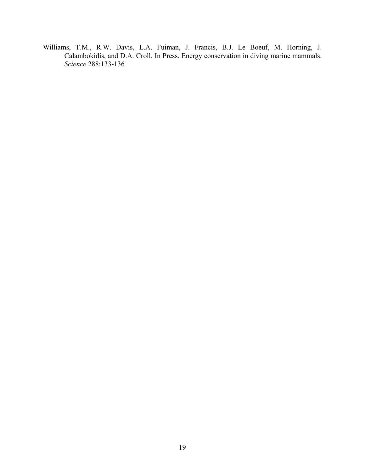Williams, T.M., R.W. Davis, L.A. Fuiman, J. Francis, B.J. Le Boeuf, M. Horning, J. Calambokidis, and D.A. Croll. In Press. Energy conservation in diving marine mammals. *Science* 288:133-136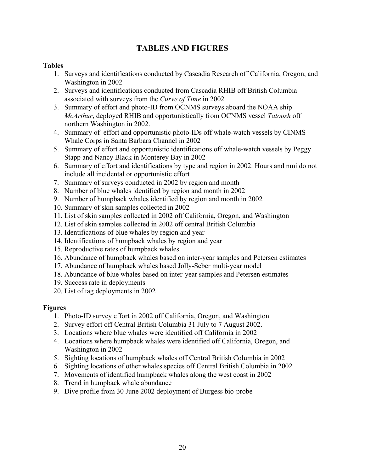# **TABLES AND FIGURES**

# **Tables**

- 1. Surveys and identifications conducted by Cascadia Research off California, Oregon, and Washington in 2002
- 2. Surveys and identifications conducted from Cascadia RHIB off British Columbia associated with surveys from the *Curve of Time* in 2002
- 3. Summary of effort and photo-ID from OCNMS surveys aboard the NOAA ship *McArthur*, deployed RHIB and opportunistically from OCNMS vessel *Tatoosh* off northern Washington in 2002.
- 4. Summary of effort and opportunistic photo-IDs off whale-watch vessels by CINMS Whale Corps in Santa Barbara Channel in 2002
- 5. Summary of effort and opportunistic identifications off whale-watch vessels by Peggy Stapp and Nancy Black in Monterey Bay in 2002
- 6. Summary of effort and identifications by type and region in 2002. Hours and nmi do not include all incidental or opportunistic effort
- 7. Summary of surveys conducted in 2002 by region and month
- 8. Number of blue whales identified by region and month in 2002
- 9. Number of humpback whales identified by region and month in 2002
- 10. Summary of skin samples collected in 2002
- 11. List of skin samples collected in 2002 off California, Oregon, and Washington
- 12. List of skin samples collected in 2002 off central British Columbia
- 13. Identifications of blue whales by region and year
- 14. Identifications of humpback whales by region and year
- 15. Reproductive rates of humpback whales
- 16. Abundance of humpback whales based on inter-year samples and Petersen estimates
- 17. Abundance of humpback whales based Jolly-Seber multi-year model
- 18. Abundance of blue whales based on inter-year samples and Petersen estimates
- 19. Success rate in deployments
- 20. List of tag deployments in 2002

### **Figures**

- 1. Photo-ID survey effort in 2002 off California, Oregon, and Washington
- 2. Survey effort off Central British Columbia 31 July to 7 August 2002.
- 3. Locations where blue whales were identified off California in 2002
- 4. Locations where humpback whales were identified off California, Oregon, and Washington in 2002
- 5. Sighting locations of humpback whales off Central British Columbia in 2002
- 6. Sighting locations of other whales species off Central British Columbia in 2002
- 7. Movements of identified humpback whales along the west coast in 2002
- 8. Trend in humpback whale abundance
- 9. Dive profile from 30 June 2002 deployment of Burgess bio-probe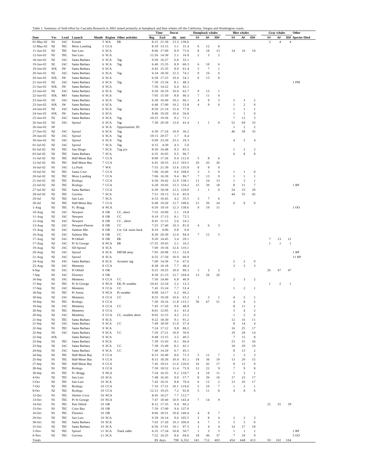|                                |                                  |                          |                                |                  | Table 1. Summary of field effort by Cascadia Research in 2002 aimed primarily at humpback and blue whales off the California, Oregon and Washington coasts |               | Time                     | Durat                         |                         | <b>Humpback</b> whales  |                       |                         | <b>Blue whales</b>      |                           |                  | <b>Gray</b> whales | Other                      |
|--------------------------------|----------------------------------|--------------------------|--------------------------------|------------------|------------------------------------------------------------------------------------------------------------------------------------------------------------|---------------|--------------------------|-------------------------------|-------------------------|-------------------------|-----------------------|-------------------------|-------------------------|---------------------------|------------------|--------------------|----------------------------|
| Date                           | <b>Ves</b>                       | Lead                     | Launch                         |                  | Month Region Other activities                                                                                                                              | Beg           | End                      | (h)<br>nmi                    | S#                      | A#                      | ID#                   | S#                      | A#                      | ID#                       | S#               | A#                 | ID#<br><b>Species IDed</b> |
| 01-May-02                      | N1                               | JAC                      | Everett                        | 5 WA             | $\mathop{\rm ER}\nolimits$                                                                                                                                 | 8:15          | 21:30                    | 13.3<br>138.6                 |                         |                         |                       |                         |                         |                           | $\sqrt{2}$       | $\overline{4}$     | 4                          |
| 12-May-02                      | N2                               | TEC                      | Moss Landing                   | 5 CCA            |                                                                                                                                                            | 8:10          | 13:15                    | 5.1<br>31.4                   | 6                       | 12                      | 8                     |                         |                         |                           |                  |                    |                            |
| $11 - Jun-02$                  | N <sub>2</sub>                   | TEC                      | San Luis                       | 6 SCA            |                                                                                                                                                            |               | 8:06 17:00               | 8.9<br>75.6                   | 8                       | 18                      | 13<br>$\,2$           | 14                      | 16                      | 10                        |                  |                    |                            |
| $12-Jun-02$<br>$18-Jun-02$     | N <sub>2</sub><br>N <sub>2</sub> | TEC<br>JAC               | San Luis<br>Santa Barbara      | 6 SCA<br>6 SCA   | Tag                                                                                                                                                        | 12:26<br>9:50 | 14:30<br>16:27           | 2.1<br>16.9<br>55.1<br>6.6    | $\overline{\mathbf{c}}$ | 3                       |                       |                         |                         |                           |                  |                    |                            |
| $19-Jun-02$                    | N2                               | JAC                      | Santa Barbara                  | 6 SCA            | Tag                                                                                                                                                        | 6:40          | 15:35                    | 8.9<br>60.3                   | 6                       | 10                      | 6                     |                         |                         |                           |                  |                    |                            |
| $19-Jun-02$                    | <b>SOL</b>                       | JW                       | Santa Barbara                  | 6 SCA            |                                                                                                                                                            |               | 6:42 15:35               | 8.9<br>61.4                   | 3                       | $\tau$                  | 1                     |                         |                         |                           |                  |                    |                            |
| $20 - Jun-02$                  | N <sub>2</sub>                   | JAC                      | Santa Barbara                  | 6 SCA            | Tag                                                                                                                                                        | 6:34          | 18:50                    | 12.3<br>74.1                  | 9                       | 16                      | 6                     |                         |                         |                           |                  |                    |                            |
| $20-Jun-02$                    | <b>SOL</b>                       | JW                       | Santa Barbara                  | 6 SCA            |                                                                                                                                                            | 6:58          | 17:23                    | 10.4<br>54.1                  | 6                       | 13                      | $\boldsymbol{0}$      |                         |                         |                           |                  |                    |                            |
| $21 - Jun-02$<br>$21 - Jun-02$ | N2<br><b>SOL</b>                 | JAC<br>JW                | Santa Barbara<br>Santa Barbara | 6 SCA<br>6 SCA   | Tag                                                                                                                                                        | 7:30<br>7:56  | 15:34<br>14:22           | 8.1<br>48.3<br>6.4<br>42.1    |                         |                         |                       |                         |                         |                           |                  |                    | 1 PM                       |
| $22-Jun-02$                    | N2                               | JAC                      | Santa Barbara                  | 6 SCA            | Tag                                                                                                                                                        | 6:20          | 16:19                    | 10.0<br>62.7                  | 9                       | 13                      | 1                     |                         |                         |                           |                  |                    |                            |
| 22-Jun-02                      | <b>SOL</b>                       | MO                       | Santa Barbara                  | 6 SCA            |                                                                                                                                                            | 7:05          | 15:50                    | 8.8<br>46.3                   | $\overline{7}$          | 11                      | $\theta$              |                         |                         |                           |                  |                    |                            |
| $23 - Jun - 02$                | N2                               | JAC                      | Santa Barbara                  | 6 SCA            | Tag                                                                                                                                                        | 6:30          | 16:40                    | 10.2<br>66.1                  | $\overline{4}$          | 9                       | 3                     | $\overline{\mathbf{c}}$ | 3                       | $\overline{\mathbf{c}}$   |                  |                    |                            |
| $23 - Jun - 02$                | <b>SOL</b>                       | JW                       | Santa Barbara                  | 6 SCA            |                                                                                                                                                            | 6:46          | 17:00                    | 10.2<br>53.8                  | $\overline{4}$          | 9                       | $\theta$              | $\mathbf{1}$            | 2                       | $\bf{0}$                  |                  |                    |                            |
| 24-Jun-02<br>24-Jun-02         | N <sub>2</sub><br><b>SOL</b>     | JAC<br>JW                | Santa Barbara<br>Santa Barbara | 6 SCA<br>6 SCA   | Tag                                                                                                                                                        | 8:50<br>8:46  | 21:14<br>19:20           | 12.4<br>77.8<br>10.6<br>56.8  |                         |                         |                       | $\mathbf{1}$<br>1       | 1<br>-1                 | 1<br>$\boldsymbol{0}$     |                  |                    |                            |
| $25-Jun-02$                    | N2                               | JAC                      | Santa Barbara                  | 6 SCA            | Tag                                                                                                                                                        | 10:25         | 19:36                    | 9.2<br>71.1                   |                         |                         |                       | $\overline{7}$          | 12                      | 3                         |                  |                    |                            |
| $26 - Jun-02$                  | N <sub>2</sub>                   | JAC                      | Sproul                         | 6 SCA            | Tag                                                                                                                                                        | 7:30          | 20:30                    | 13.0<br>41.4                  | $\mathbf{1}$            | 1                       | $\bf{0}$              | 52                      | 69                      | 33                        |                  |                    |                            |
| $26 - Jun-02$                  | SP                               |                          |                                | 6 SCA            | Opportunistic ID                                                                                                                                           |               |                          |                               |                         |                         |                       | 1                       | $\overline{\mathbf{c}}$ | $\overline{\mathbf{c}}$   |                  |                    |                            |
| $27 - Jun-02$                  | N <sub>2</sub>                   | JAC                      | Sproul                         | 6 SCA            | Tag                                                                                                                                                        |               | 6:30 17:24               | 10.9<br>36.2                  |                         |                         |                       | 46                      | 58                      | 35                        |                  |                    |                            |
| $29-Jun-02$<br>$30-Jun-02$     | N2<br>N <sub>2</sub>             | JAC<br>JAC               | Sproul<br>Sproul               | 6 SCA<br>6 SCA   | Tag<br>Tag                                                                                                                                                 | 19:15<br>0:00 | 20:57<br>23:30           | 1.7<br>8.4<br>23.5<br>29.3    |                         |                         |                       | $\overline{4}$          | 5                       | $\overline{4}$            |                  |                    |                            |
| $01-Jul-02$                    | N <sub>2</sub>                   | JAC                      | Sproul                         | 7 SCA            | Tag                                                                                                                                                        | 0:15          | 4:30                     | 4.3<br>5.0                    |                         |                         |                       |                         |                         |                           |                  |                    |                            |
| $02-Ju1-02$                    | N <sub>2</sub>                   | TEC                      | San Diego                      | 7 SCA            | Tag p/u                                                                                                                                                    | 8:30          | 16:48                    | 8.3<br>85.5                   |                         |                         |                       | 1                       | $\overline{\mathbf{c}}$ | $\overline{\mathbf{c}}$   |                  |                    |                            |
| $03 - Jul - 02$                | N <sub>2</sub>                   | TEC                      | Santa Barbara                  | 7 SCA            |                                                                                                                                                            | 6:35          | 16:05                    | 9.5<br>96.7                   |                         |                         |                       | 6                       | 8                       | 8                         |                  |                    |                            |
| $11-Ju1-02$                    | N <sub>2</sub>                   | TEC                      | Half-Moon Bay                  | 7 CCA            |                                                                                                                                                            | 8:00          | 17:26                    | 9.4 112.6                     | 5                       | 8                       | 6                     |                         |                         |                           |                  |                    |                            |
| $12 - Jul - 02$                | N <sub>2</sub>                   | TEC                      | Half-Moon Bay                  | 7 CCA            |                                                                                                                                                            | 6:41          | 18:55                    | 12.2<br>103.5                 | 20                      | 43                      | 20                    |                         |                         |                           |                  |                    |                            |
| $16-Jul-02$<br>$19-Jul-02$     | N1<br>N2                         | JAC<br>$_{\mathrm{TEC}}$ | La Push<br>Santa Cruz          | 7 WA<br>7 CCA    |                                                                                                                                                            | 7:55<br>7:06  | 21:30<br>16:40           | 13.6<br>135.9<br>9.6<br>108.6 | 8<br>3                  | 9<br>3                  | 9<br>$\boldsymbol{0}$ | 1                       | -1                      | $\bf{0}$                  |                  |                    |                            |
| $20 -$ Jul-02                  | N <sub>2</sub>                   | TEC                      | Moss Landing                   | 7 CCA            |                                                                                                                                                            | 7:06          | 16:30                    | 9.4<br>86.7                   | 7                       | 13                      | 9                     | $\mathbf{1}$            | 1                       | 1                         |                  |                    |                            |
| $21-Ju1-02$                    | N <sub>2</sub>                   | TEC                      | Bodega                         | 7 CCA            |                                                                                                                                                            | 6:50          | 19:42                    | 12.9<br>138.1                 | 11                      | 24                      | 13                    | 1                       | $\overline{\mathbf{c}}$ | 1                         |                  |                    |                            |
| 22-Jul-02                      | N <sub>2</sub>                   | TEC                      | Bodega                         | 7 CCA            |                                                                                                                                                            | 6:28          | 19:45                    | 13.3<br>134.2                 | 15                      | 30                      | 18                    | 8                       | 11                      | $\boldsymbol{7}$          |                  |                    | 1BP                        |
| 27-Jul-02                      | N <sub>2</sub>                   | TEC                      | Santa Barbara                  | 7 CCA            |                                                                                                                                                            | 6:30          | 18:58                    | 12.5<br>129.0                 | 1                       | -1                      | $\theta$              | 24                      | 33                      | 20                        |                  |                    |                            |
| 28-Jul-02<br>$29-Jul$          | N <sub>2</sub><br>N <sub>2</sub> | TEC<br>TEC               | Gaviota<br>San Luis            | 7 SCA<br>7 SCA   |                                                                                                                                                            | 7:51<br>6:33  | 19:13<br>10:45           | 11.4<br>85.9<br>4.2<br>35.5   | 3                       | $\overline{7}$          | 6                     | 44                      | 55                      | 45                        |                  |                    |                            |
| $30-Jul$                       | N <sub>2</sub>                   | TEC                      | Half-Moon Bay                  | 7 CCA            |                                                                                                                                                            | 6:40          | 19:20                    | 12.7<br>108.6                 | 21                      | 36                      | 24                    | 6                       | 9                       | 9                         |                  |                    |                            |
| 1-Aug                          | N <sub>2</sub>                   | TEC                      | Ft. Bragg                      | 8 NCA            |                                                                                                                                                            | 6:50          | 19:10                    | 12.3<br>138.6                 | 9                       | 19                      | 11                    |                         |                         |                           |                  |                    | 100                        |
| $10-Aug$                       | N <sub>2</sub>                   | JAC                      | Newport                        | 8 OR             | CC, abort                                                                                                                                                  | 7:55          | 10:00                    | 2.1<br>19.8                   |                         |                         |                       |                         |                         |                           |                  |                    |                            |
| $11-Aug$                       | N <sub>2</sub>                   | JAC                      | Newport                        | 8 OR             | CC                                                                                                                                                         | 9:10          | 17:13                    | 8.1<br>72.5                   |                         |                         |                       |                         |                         |                           |                  |                    |                            |
| $12-Aug$                       | N <sub>2</sub>                   | JAC                      | Newport                        | 8 OR             | CC, abort                                                                                                                                                  | 8:41          | 11:15                    | 2.6<br>24.2                   |                         |                         |                       |                         |                         |                           |                  |                    |                            |
| $13-Aug$<br>$15-Aug$           | N2<br>N <sub>2</sub>             | JAC<br>JAC               | Newport-Floreno<br>Salmon Hbr  | 8 OR<br>8 OR     | CC<br>Cst. Gd. turns back                                                                                                                                  | 7:25<br>8:10  | 17:40<br>9:00            | 10.3<br>81.0<br>0.8<br>0.0    | $\overline{4}$          | 6                       | 3                     |                         |                         |                           |                  |                    |                            |
| $16-Aug$                       | N <sub>2</sub>                   | JAC                      | Salmon Hbr                     | 8 OR             | CC                                                                                                                                                         | 8:30          | 20:30                    | 12.0<br>94.4                  | $\overline{7}$          | 12                      | 5                     |                         |                         |                           |                  |                    |                            |
| 17-Aug                         | N <sub>2</sub>                   | JAC                      | Pt Orford                      | 8 OR             | ER                                                                                                                                                         | 9:20          | 14:45                    | 5.4<br>20.1                   |                         |                         |                       |                         |                         |                           | $\boldsymbol{7}$ | 13                 | 12                         |
| $17-Aug$                       | N2                               | JAC                      | Pt St George                   | 8 NCA            | ER                                                                                                                                                         | 17:35         | 19:43                    | 2.1<br>16.2                   |                         |                         |                       |                         |                         |                           | 1                | 1                  | 1                          |
| $19-Aug$                       | N <sub>2</sub>                   | JAC                      | SD-Sproul                      | 8 SCA            |                                                                                                                                                            | 7:00          | 19:36                    | 12.6<br>110.1                 |                         |                         |                       |                         |                         |                           |                  |                    |                            |
| $20-Aug$                       | N <sub>2</sub>                   | JAC                      | Sproul                         | 8 SCA            | <b>DIFAR</b> array                                                                                                                                         | 7:05          | 20:08                    | 13.1<br>52.0                  |                         |                         |                       |                         |                         |                           |                  |                    | 1BP                        |
| $21-Aug$<br>$24-Aug$           | N <sub>2</sub><br>N <sub>2</sub> | JAC<br>JAC               | Sproul<br>Santa Barbara        | 8 SCA<br>8 SCA   | Acoustic tag                                                                                                                                               | 6:55<br>7:00  | 17:50<br>14:36           | 10.9<br>60.9<br>7.6<br>67.6   |                         |                         |                       | $\overline{\mathbf{c}}$ | $\boldsymbol{2}$        | $\boldsymbol{0}$          |                  |                    | 11 BP                      |
| $25-Aug$                       | N <sub>2</sub>                   | JAC                      | Monterey                       | 8 CCA            |                                                                                                                                                            | 8:38          | 16:18                    | 7.7<br>48.4                   |                         |                         |                       | 3                       | 5                       | 3                         |                  |                    |                            |
| 6-Sep                          | N <sub>2</sub>                   | JAC                      | Pt Orford                      | 9 OR             |                                                                                                                                                            | 9:25          | 19:25                    | 10.0<br>80.3                  | 1                       | $\overline{\mathbf{c}}$ | $\,2$                 |                         |                         |                           | 26               | 47                 | 47                         |
| 7-Sep                          | N <sub>2</sub>                   | JAC                      | Florence                       | 9 OR             |                                                                                                                                                            | 8:30          | 21:13                    | 12.7<br>104.4                 | 13                      | 26                      | 20                    |                         |                         |                           |                  |                    |                            |
| $16-Sep$                       | N <sub>2</sub>                   | JAC                      | Monterey                       | 9 CCA            | CC                                                                                                                                                         | 7:50          | 14:40                    | 6.8<br>46.9                   |                         |                         |                       | $\overline{2}$          | 3                       | $\overline{c}$            |                  |                    |                            |
| $17-Sep$<br>$17-Sep$           | N1<br>N <sub>2</sub>             | TEC<br>JAC               | Pt St George<br>Monterey       | 9 NCA<br>9 CCA   | ER, Pr weather<br>CC                                                                                                                                       | 10:42<br>7:45 | 12:54<br>15:24           | 2.2<br>12.3<br>7.7<br>53.4    |                         |                         |                       | 1                       | 2                       | $\mathbf{1}$              | 1                | 2                  | 1                          |
| $18-Sep$                       | N1                               | TEC                      | Pt Arena                       | 9 NCA            | Pr weather                                                                                                                                                 |               | 8:08 14:17               | 6.2<br>66.2                   |                         |                         |                       |                         |                         |                           |                  |                    |                            |
| 18-Sep                         | N <sub>2</sub>                   | JAC                      | Monterey                       | 9 CCA            | CC                                                                                                                                                         | 8:55          | 19:30                    | 10.6<br>63.2                  | 1                       | 3                       | 1                     | $\overline{4}$          | 5                       | 1                         |                  |                    |                            |
| $19-Sep$                       | N1                               | TEC                      | Bodega                         | 9 CCA            |                                                                                                                                                            |               | 7:30 19:16               | 11.8<br>115.1                 | 30                      | 67                      | 51                    | $\overline{4}$          | 8                       | 5                         |                  |                    |                            |
| $19-Sep$                       | N <sub>2</sub>                   | JAC                      | Monterey                       | 9 CCA            | $_{\rm CC}$                                                                                                                                                | 7:45          | 17:20                    | 9.6<br>48.9                   |                         |                         |                       | 8                       | 11                      | $\mathbf{1}$              |                  |                    |                            |
| $20-Sep$<br>$20-Sep$           | N1<br>N2                         | TEC<br>JAC               | Monterey<br>Monterey           | 9 CCA<br>9 CCA   | CC, weather abort                                                                                                                                          | 8:01          | 12:05<br>8:02 12:15      | 4.1<br>41.4<br>4.2<br>21.2    |                         |                         |                       | 3<br>1                  | $\overline{4}$<br>$\,2$ | $\,2$<br>$\boldsymbol{0}$ |                  |                    |                            |
| $21-Sep$                       | N1                               | TEC                      | Santa Barbara                  | 9 SCA            |                                                                                                                                                            |               | 9:22 18:30               | 9.1<br>91.2                   |                         |                         |                       | 12                      | 16                      | 11                        |                  |                    |                            |
| 21-Sep                         | N <sub>2</sub>                   | JAC                      | Santa Barbara                  | 9 SCA            | $_{\rm CC}$                                                                                                                                                |               | 7:49 18:50               | 11.0<br>57.4                  |                         |                         |                       | 8                       | 14                      | $\overline{4}$            |                  |                    |                            |
| 22-Sep                         | N1                               | TEC                      | Santa Barbara                  | 9 SCA            |                                                                                                                                                            |               | 7:24 17:12               | 9.8<br>86.2                   |                         |                         |                       | 16                      | 25                      | 17                        |                  |                    |                            |
| 22-Sep                         | N2                               | JAC                      | Santa Barbara                  | 9 SCA            | $_{\rm CC}$                                                                                                                                                |               | 7:20 17:21               | 10.0<br>50.6                  |                         |                         |                       | 19                      | 28                      | 14                        |                  |                    |                            |
| 22-Sep<br>$23-Sep$             | SOL<br>N1                        | TEC                      | Santa Barbara<br>Santa Barbara | 9 SCA<br>9 SCA   |                                                                                                                                                            |               | 9:48 13:15<br>7:39 15:43 | 3.5<br>40.5<br>8.1<br>66.4    |                         |                         |                       | $\overline{7}$<br>23    | 15<br>31                | 8<br>26                   |                  |                    |                            |
| 23-Sep                         | N2                               | JAC                      | Santa Barbara                  | 9 SCA            | $_{\rm CC}$                                                                                                                                                |               | 7:38 15:49               | 8.2<br>42.1                   |                         |                         |                       | 18                      | 29                      | 19                        |                  |                    |                            |
| 24-Sep                         | N1                               | JAC                      | Santa Barbara                  | 9 SCA            | CC                                                                                                                                                         |               | 7:40 14:20               | 6.7<br>45.1                   |                         |                         |                       | 8                       | 13                      | $\,2$                     |                  |                    |                            |
| 24-Sep                         | N2                               | TEC                      | Half-Moon Bay                  | 9 CCA            |                                                                                                                                                            |               | 8:15 16:49               | 8.6<br>71.3                   | 5                       | 12                      | $\boldsymbol{7}$      | 1                       | $\boldsymbol{\beta}$    | 3                         |                  |                    |                            |
| $25-Sep$                       | N1                               | TEC                      | Half-Moon Bay                  | 9 CCA            |                                                                                                                                                            |               | 8:15 18:36               | 10.4<br>81.1                  | 18                      | 36                      | 19                    | 13                      | 20                      | 15                        |                  |                    |                            |
| $27-Sep$                       | N1                               | TEC                      | Half-Moon Bay                  | 9 CCA            |                                                                                                                                                            |               | 7:45 19:21               | 120.6<br>11.6                 | 16                      | 42                      | 17<br>9               | 8<br>$\overline{7}$     | 12<br>9                 | 9                         |                  |                    |                            |
| 28-Sep<br>30-Sep               | N1<br>N1                         | TEC<br>TEC               | Bodega<br>Ft. Bragg            | 9 CCA<br>9 NCA   |                                                                                                                                                            |               | 7:30 18:52<br>7:24 16:35 | 11.4<br>75.9<br>9.2 118.7     | 12<br>$\overline{4}$    | 22<br>10                | 11                    | 1                       | $\overline{2}$          | 8<br>$\mathbf{1}$         |                  |                    |                            |
| 4-Oct                          | N <sub>2</sub>                   | TEC                      | San Luis                       | 10 SCA           |                                                                                                                                                            |               | 7:48 16:45               | 9.0<br>57.7                   | 8                       | 36                      | 16                    | 17                      | 23                      | 17                        |                  |                    |                            |
| 5-Oct                          | N2                               | TEC                      | San Luis                       | 10 SCA           |                                                                                                                                                            |               | 7:43 16:31               | 8.8<br>79.4                   | 6                       | 12                      | $\,2$                 | 13                      | 20                      | 17                        |                  |                    |                            |
| 7-Oct                          | N2                               | TEC                      | Bodega                         | 10 CCA           |                                                                                                                                                            |               | 7:16 17:21               | 10.1 119.6                    | $\sqrt{5}$              | 10                      | $\boldsymbol{7}$      | 1                       | $\,2$                   | $\mathbf{1}$              |                  |                    |                            |
| 8-Oct                          | N2                               | TEC                      | Bodega                         | 10 CCA           |                                                                                                                                                            |               | 12:12 19:25              | 7.2<br>92.8                   | 5                       | 11                      | 8                     | $\overline{4}$          | 8                       | 6                         |                  |                    |                            |
| $12-Oct$<br>$13$ -Oct          | N1<br>N1                         | TEC<br>TEC               | Shelter Cove                   | 10 NCA<br>10 NCA |                                                                                                                                                            |               | 8:45 16:27<br>7:47 18:40 | 7.7 112.7<br>10.9 143.4       | $\tau$                  | 14                      | 9                     |                         |                         |                           |                  |                    |                            |
| 14-Oct                         | N1                               | TEC                      | Pt St George<br>Port Orford    | 10 OR            |                                                                                                                                                            |               | 8:12 17:35               | 9.4<br>60.2                   |                         |                         |                       |                         |                         |                           | 22               | 35                 | 39                         |
| $15$ -Oct                      | N1                               | TEC                      | Coos Bay                       | 10 OR            |                                                                                                                                                            |               | 7:39 17:00               | 9.4 137.0                     |                         |                         |                       |                         |                         |                           |                  |                    |                            |
| $16$ -Oct                      | N1                               | TEC                      | Florence                       | 10 OR            |                                                                                                                                                            |               | 8:06 18:51               | 10.8 140.4                    | $\overline{4}$          | 8                       | $\boldsymbol{7}$      |                         |                         |                           |                  |                    |                            |
| $29$ -Oct                      | N <sub>2</sub>                   | TEC                      | San Luis                       | 10 SCA           |                                                                                                                                                            |               | 6:39 16:14               | 9.6 105.5                     | $\sqrt{2}$              | 8                       | $\overline{4}$        | $\boldsymbol{2}$        | $\sqrt{2}$              | 3                         |                  |                    |                            |
| $30$ -Oct                      | N <sub>2</sub>                   | TEC                      | Santa Barbara                  | 10 SCA           |                                                                                                                                                            |               | 7:02 17:20               | 10.3<br>106.0                 | $\overline{4}$          | $\overline{7}$          | 5                     | 5                       | 5                       | 6                         |                  |                    |                            |
| $31-Oct$<br>$3-Nov$            | N <sub>2</sub><br>N <sub>2</sub> | TEC<br>TEC               | Santa Barbara<br>Sproul        | 10 SCA<br>11 SCA | Track caller                                                                                                                                               |               | 6:56 17:01<br>6:35 17:24 | 97.5<br>10.1<br>10.8<br>50.7  | $\,2$<br>$\mathbf{1}$   | $\overline{4}$<br>3     | $\sqrt{4}$<br>3       | 14<br>$\mathbf{1}$      | 27<br>-1                | 18<br>$\mathbf{1}$        |                  |                    | 2BP                        |
| 6-Nov                          | N <sub>2</sub>                   | TEC                      | Gaviota                        | 11 SCA           |                                                                                                                                                            |               | 7:52 16:25               | 8.6<br>69.6                   | 18                      | 46                      | 37                    | $\overline{7}$          | 10                      | 9                         |                  |                    | 500                        |
| Totals                         |                                  |                          |                                |                  |                                                                                                                                                            |               | 89 days                  | 798 6,352                     | 341                     | 712                     | 403                   | 454                     | 648                     | 413                       | 59               | 102                | 104                        |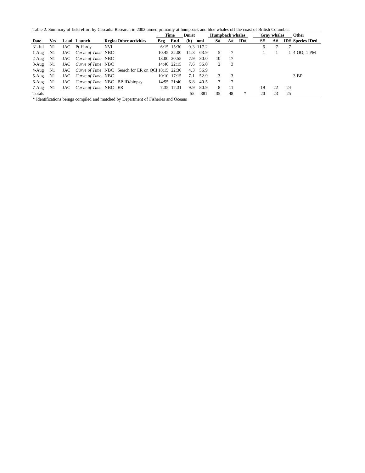Table 2. Summary of field effort by Cascadia Research in 2002 aimed primarily at humpback and blue whales off the coast of British Columbia.

|          |            |     |                       |                                                       | Time    |               | <b>Durat</b> |           | <b>Humpback whales</b> |    |     |    | <b>Gray</b> whales | <b>Other</b>            |
|----------|------------|-----|-----------------------|-------------------------------------------------------|---------|---------------|--------------|-----------|------------------------|----|-----|----|--------------------|-------------------------|
| Date     | <b>Ves</b> |     | <b>Lead Launch</b>    | <b>Region Other activities</b>                        | Beg End |               | (h)          | nmi       | S#                     | A# | ID# | S# | A#                 | <b>ID#</b> Species IDed |
| $31-Jul$ | N1         |     | JAC Pt Hardy          | NVI                                                   |         | 6:15 15:30    |              | 9.3 117.2 |                        |    |     | 6  |                    |                         |
| 1-Aug    | N1         |     | JAC Curve of Time NBC |                                                       |         | $10:45$ 22:00 | 11.3         | 63.9      | 5                      |    |     |    |                    | 4 OO. 1 PM              |
| $2-Aug$  | N1         |     | JAC Curve of Time NBC |                                                       |         | 13:00 20:55   | 7.9          | 30.0      | 10                     | 17 |     |    |                    |                         |
| 3-Aug    | N1         |     | JAC Curve of Time NBC |                                                       |         | $14:40$ 22:15 | 7.6          | 56.0      | 2                      | 3  |     |    |                    |                         |
| 4-Aug    | N1         |     |                       | JAC Curve of Time NBC Search for ER on OC 18:15 22:30 |         |               |              | 4.3 56.9  |                        |    |     |    |                    |                         |
| 5-Aug    | N1         |     | JAC Curve of Time NBC |                                                       |         | 10:10 17:15   | 7.1          | 52.9      | 3                      | 3  |     |    |                    | 3 BP                    |
| 6-Aug    | N1         |     |                       | JAC <i>Curve of Time</i> NBC BP ID/biopsy             |         | 14:55 21:40   | 6.8          | 40.5      |                        |    |     |    |                    |                         |
| 7-Aug    | N1         | JAC | Curve of Time NBC ER  |                                                       |         | 7:35 17:31    | 9.9          | 80.9      | 8                      | 11 |     | 19 | 22                 | 24                      |
| Totals   |            |     |                       |                                                       |         |               | 55           | 381       | 35                     | 48 | *   | 20 | 23                 | 25                      |

\* Identifications beings compiled and matched by Department of Fisheries and Oceans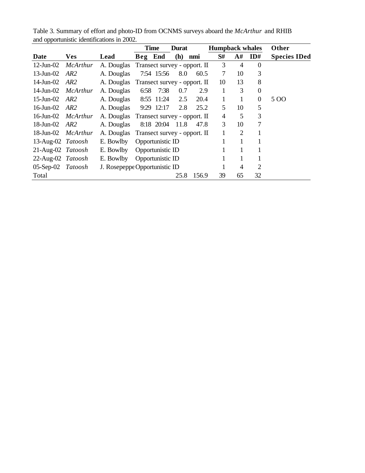| <b>TT</b>         |                           |                                         |         | <b>Time</b>      | <b>Durat</b> |                              |    |                | <b>Humpback whales</b> | Other               |
|-------------------|---------------------------|-----------------------------------------|---------|------------------|--------------|------------------------------|----|----------------|------------------------|---------------------|
| <b>Date</b>       | <b>Ves</b>                | Lead                                    | Beg End |                  | (h)          | nmi                          | S# | A#             | ID#                    | <b>Species IDed</b> |
| $12$ -Jun- $02$   | McArthur                  | A. Douglas Transect survey - opport. II |         |                  |              |                              | 3  | $\overline{4}$ | $\theta$               |                     |
| $13$ -Jun- $02$   | AR <sub>2</sub>           | A. Douglas                              |         | 7:54 15:56       | 8.0          | 60.5                         | 7  | 10             | 3                      |                     |
| 14-Jun-02         | AR2                       | A. Douglas                              |         |                  |              | Transect survey - opport. II | 10 | 13             | 8                      |                     |
| 14-Jun-02         | McArthur                  | A. Douglas                              | 6:58    | 7:38             | 0.7          | 2.9                          | 1  | 3              | $\theta$               |                     |
| 15-Jun-02 $AR2$   |                           | A. Douglas                              |         | 8:55 11:24       | 2.5          | 20.4                         | 1  |                | $\theta$               | 5 OO                |
| 16-Jun-02 $AR2$   |                           | A. Douglas                              |         | 9:29 12:17       | 2.8          | 25.2                         | 5  | 10             | 5                      |                     |
| 16-Jun- $02$      | McArthur                  | A. Douglas                              |         |                  |              | Transect survey - opport. II | 4  | 5              | 3                      |                     |
| 18-Jun-02         | AR2                       | A. Douglas                              |         | 8:18 20:04       | 11.8         | 47.8                         | 3  | 10             | 7                      |                     |
|                   | 18-Jun-02 <i>McArthur</i> | A. Douglas                              |         |                  |              | Transect survey - opport. II | 1  | $\overline{2}$ |                        |                     |
| 13-Aug-02 Tatoosh |                           | E. Bowlby                               |         | Opportunistic ID |              |                              |    |                | 1                      |                     |
| 21-Aug-02 Tatoosh |                           | E. Bowlby                               |         | Opportunistic ID |              |                              |    |                |                        |                     |
| 22-Aug-02 Tatoosh |                           | E. Bowlby                               |         | Opportunistic ID |              |                              |    |                |                        |                     |
| $05-Sep-02$       | Tatoosh                   | J. Rosepeppe Opportunistic ID           |         |                  |              |                              |    | $\overline{4}$ | 2                      |                     |
| Total             |                           |                                         |         |                  | 25.8         | 156.9                        | 39 | 65             | 32                     |                     |

Table 3. Summary of effort and photo-ID from OCNMS surveys aboard the *McArthur* and RHIB and opportunistic identifications in 2002.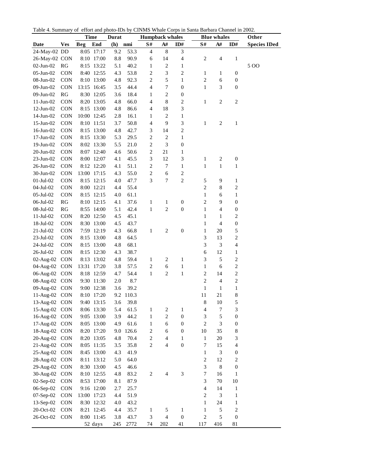|  |  | Table 4. Summary of effort and photo-IDs by CINMS Whale Corps in Santa Barbara Channel in 2002. |
|--|--|-------------------------------------------------------------------------------------------------|
|  |  |                                                                                                 |

| End<br>$\mathbf{S}^{\#}$<br>$\mathbf{A}^{\#}$<br>$\mathbf{ID}\#$<br>$\mathbf{S}^{\#}$<br>$\mathbf{A}^{\#}$<br>$\mathbf{ID}\#$<br><b>Beg</b><br>(h)<br>Date<br><b>Ves</b><br>nmi<br>$\,$ 8 $\,$<br>$\ensuremath{\mathfrak{Z}}$<br>24-May-02 DD<br>8:05 17:17<br>$\overline{4}$<br>9.2<br>53.3<br>$\overline{\mathcal{A}}$<br>26-May-02 CON<br>8:10 17:00<br>8.8<br>90.9<br>6<br>14<br>$\sqrt{2}$<br>$\overline{4}$<br>$\mathbf{1}$<br>40.2<br>$\sqrt{2}$<br>02-Jun-02<br>RG<br>8:15 13:22<br>$\mathbf{1}$<br>500<br>5.1<br>1<br>$\overline{\mathbf{c}}$<br>3<br>$\sqrt{2}$<br>05-Jun-02<br>CON<br>8:40 12:55<br>4.3<br>53.8<br>1<br>1<br>0<br>$\overline{c}$<br>5<br>$\mathbf{1}$<br>08-Jun-02<br>CON<br>8:10 13:00<br>4.8<br>92.3<br>2<br>6<br>$\boldsymbol{0}$<br>3<br>7<br>$\boldsymbol{0}$<br>$\boldsymbol{0}$<br>09-Jun-02<br>CON<br>13:15 16:45<br>3.5<br>44.4<br>4<br>1<br>$\mathbf{RG}$<br>$\sqrt{2}$<br>$\boldsymbol{0}$<br>09-Jun-02<br>8:30 12:05<br>3.6<br>18.4<br>1<br>$\,8\,$<br>$\sqrt{2}$<br>$\sqrt{2}$<br>11-Jun-02<br>CON<br>8:20 13:05<br>4.8<br>66.0<br>4<br>$\overline{c}$<br>1<br>3<br>18<br>12-Jun-02<br>CON<br>8:15 13:00<br>4.8<br>86.6<br>4<br>$\sqrt{2}$<br>14-Jun-02<br>CON<br>10:00 12:45<br>2.8<br>16.1<br>$\mathbf{1}$<br>1<br>$\mathfrak{Z}$<br>9<br>15-Jun-02<br><b>CON</b><br>3.7<br>50.8<br>4<br>$\mathbf{1}$<br>$\overline{c}$<br>$\mathbf{1}$<br>8:10 11:51<br>$\sqrt{2}$<br>16-Jun-02<br>CON<br>8:15 13:00<br>4.8<br>42.7<br>3<br>14<br>$\overline{\mathbf{c}}$<br>$\sqrt{2}$<br>$\mathbf{1}$<br>17-Jun-02<br>CON<br>8:15 13:30<br>5.3<br>29.5<br>$\mathfrak{Z}$<br>$\overline{\mathbf{c}}$<br>$\boldsymbol{0}$<br>19-Jun-02<br>CON<br>8:02 13:30<br>5.5<br>21.0<br>20-Jun-02<br>CON<br>8:07 12:40<br>4.6<br>50.6<br>$\overline{\mathbf{c}}$<br>21<br>$\mathbf{1}$<br>3<br>12<br>$\ensuremath{\mathfrak{Z}}$<br>$\sqrt{2}$<br>$\boldsymbol{0}$<br>23-Jun-02<br>CON<br>8:00 12:07<br>45.5<br>$\mathbf{1}$<br>4.1<br>$\overline{\mathbf{c}}$<br>7<br>$\mathbf{1}$<br>$\mathbf{1}$<br>26-Jun-02<br>CON<br>8:12 12:20<br>4.1<br>51.1<br>$\mathbf{1}$<br>$\mathbf{1}$<br>$\overline{\mathbf{c}}$<br>6<br>$\boldsymbol{2}$<br>30-Jun-02<br>CON<br>13:00 17:15<br>4.3<br>55.0<br>$\sqrt{2}$<br>3<br>$\overline{7}$<br>$01-Jul-02$<br>CON<br>8:15 12:15<br>4.0<br>47.7<br>5<br>9<br>1<br>$\overline{c}$<br>8<br>$\boldsymbol{2}$<br>04-Jul-02<br>CON<br>8:00 12:21<br>4.4<br>55.4<br>05-Jul-02<br>CON<br>8:15 12:15<br>61.1<br>1<br>6<br>$\mathbf{1}$<br>4.0<br>$\boldsymbol{0}$<br>9<br>06-Jul-02<br>RG<br>8:10 12:15<br>37.6<br>2<br>$\boldsymbol{0}$<br>4.1<br>$\mathbf{1}$<br>$\mathbf{1}$<br>$\sqrt{2}$<br>$\boldsymbol{0}$<br>$\overline{4}$<br>08-Jul-02<br>RG<br>8:55 14:00<br>42.4<br>$\mathbf{1}$<br>$\mathbf{1}$<br>$\boldsymbol{0}$<br>5.1<br>$\overline{c}$<br>CON<br>8:20 12:50<br>4.5<br>45.1<br>$11$ -Jul-02<br>1<br>1<br>$\boldsymbol{0}$<br>18-Jul-02<br>CON<br>8:30 13:00<br>4.5<br>43.7<br>$\overline{4}$<br>1<br>$\boldsymbol{0}$<br>CON<br>7:59 12:19<br>4.3<br>66.8<br>$\sqrt{2}$<br>20<br>5<br>$21$ -Jul-02<br>1<br>1<br>$\sqrt{2}$<br>3<br>13<br>CON<br>8:15 13:00<br>4.8<br>64.5<br>23-Jul-02<br>3<br>68.1<br>$\sqrt{3}$<br>$\overline{4}$<br>CON<br>8:15 13:00<br>4.8<br>24-Jul-02<br>12<br>CON<br>8:15 12:30<br>4.3<br>38.7<br>6<br>26-Jul-02<br>1<br>$\mathbf{1}$<br>$\sqrt{5}$<br>$\boldsymbol{2}$<br><b>CON</b><br>8:13 13:02<br>4.8<br>59.4<br>$\sqrt{2}$<br>3<br>02-Aug-02<br>1<br>$\sqrt{2}$<br>$\,1\,$<br>04-Aug-02 CON<br>13:31 17:20<br>3.8<br>57.5<br>2<br>6<br>$\mathbf{1}$<br>6<br>$\sqrt{2}$<br>$\sqrt{2}$<br>$\,1\,$<br>$\overline{c}$<br>14<br>06-Aug-02 CON<br>8:18 12:59<br>4.7<br>54.4<br>$\mathbf{1}$<br>$\sqrt{2}$<br>$\overline{c}$<br>08-Aug-02 CON<br>9:30 11:30<br>2.0<br>8.7<br>$\overline{4}$<br>$\mathbf{1}$<br>09-Aug-02 CON<br>9:00 12:38<br>3.6<br>39.2<br>$\mathbf{1}$<br>$\mathbf{1}$<br>11<br>21<br>8<br>11-Aug-02 CON<br>8:10 17:20<br>9.2 110.3<br>8<br>9:40 13:15<br>3.6<br>39.8<br>10<br>13-Aug-02 CON<br>5<br>3<br>15-Aug-02 CON<br>8:06 13:30<br>61.5<br>$\overline{\mathbf{c}}$<br>4<br>7<br>5.4<br>1<br>1<br>$\overline{c}$<br>$\boldsymbol{0}$<br>5<br>16-Aug-02 CON<br>9:05 13:00<br>3.9<br>44.2<br>3<br>$\boldsymbol{0}$<br>1<br>$\overline{c}$<br>3<br>17-Aug-02 CON<br>8:05 13:00<br>4.9<br>61.6<br>6<br>$\boldsymbol{0}$<br>$\boldsymbol{0}$<br>1<br>18-Aug-02 CON<br>126.6<br>$\overline{\mathbf{c}}$<br>6<br>$\boldsymbol{0}$<br>10<br>35<br>8<br>8:20 17:20<br>9.0<br>$\overline{\mathbf{c}}$<br>20-Aug-02 CON<br>8:20 13:05<br>4.8<br>4<br>20<br>3<br>70.4<br>$\mathbf{1}$<br>$\mathbf{1}$<br>$\overline{c}$<br>$\boldsymbol{0}$<br>21-Aug-02 CON<br>35.8<br>4<br>7<br>15<br>$\overline{4}$<br>8:05 11:35<br>3.5<br>25-Aug-02 CON<br>8:45 13:00<br>4.3<br>41.9<br>3<br>$\boldsymbol{0}$<br>$\mathbf{1}$<br>28-Aug-02 CON<br>8:11 13:12<br>$\overline{\mathbf{c}}$<br>12<br>$\overline{\mathbf{c}}$<br>5.0<br>64.0<br>3<br>29-Aug-02 CON<br>8:30 13:00<br>46.6<br>8<br>$\boldsymbol{0}$<br>4.5<br>$\mathfrak{Z}$<br>$\overline{7}$<br>30-Aug-02<br>8:10 12:55<br>83.2<br>16<br><b>CON</b><br>4.8<br>2<br>4<br>1<br>3<br>02-Sep-02<br>70<br>10<br>CON<br>8:53 17:00<br>87.9<br>8.1<br>06-Sep-02<br>9:16 12:00<br>25.7<br>4<br>14<br><b>CON</b><br>2.7<br>$\mathbf{1}$<br>07-Sep-02<br>4.4<br>51.9<br>$\overline{\mathbf{c}}$<br>3<br>CON<br>13:00 17:23<br>1<br>43.2<br>24<br>13-Sep-02<br>CON<br>8:30 12:32<br>4.0<br>$\mathbf{1}$<br>1<br>CON<br>8:21 12:45<br>$\overline{c}$<br>20-Oct-02<br>4.4<br>35.7<br>5<br>$\mathbf{1}$<br>$\mathbf{1}$<br>5<br>1 |           |  | <b>Time</b> | <b>Durat</b> |      | <b>Humpback whales</b> |                |                  |            | <b>Blue whales</b> | Other               |
|----------------------------------------------------------------------------------------------------------------------------------------------------------------------------------------------------------------------------------------------------------------------------------------------------------------------------------------------------------------------------------------------------------------------------------------------------------------------------------------------------------------------------------------------------------------------------------------------------------------------------------------------------------------------------------------------------------------------------------------------------------------------------------------------------------------------------------------------------------------------------------------------------------------------------------------------------------------------------------------------------------------------------------------------------------------------------------------------------------------------------------------------------------------------------------------------------------------------------------------------------------------------------------------------------------------------------------------------------------------------------------------------------------------------------------------------------------------------------------------------------------------------------------------------------------------------------------------------------------------------------------------------------------------------------------------------------------------------------------------------------------------------------------------------------------------------------------------------------------------------------------------------------------------------------------------------------------------------------------------------------------------------------------------------------------------------------------------------------------------------------------------------------------------------------------------------------------------------------------------------------------------------------------------------------------------------------------------------------------------------------------------------------------------------------------------------------------------------------------------------------------------------------------------------------------------------------------------------------------------------------------------------------------------------------------------------------------------------------------------------------------------------------------------------------------------------------------------------------------------------------------------------------------------------------------------------------------------------------------------------------------------------------------------------------------------------------------------------------------------------------------------------------------------------------------------------------------------------------------------------------------------------------------------------------------------------------------------------------------------------------------------------------------------------------------------------------------------------------------------------------------------------------------------------------------------------------------------------------------------------------------------------------------------------------------------------------------------------------------------------------------------------------------------------------------------------------------------------------------------------------------------------------------------------------------------------------------------------------------------------------------------------------------------------------------------------------------------------------------------------------------------------------------------------------------------------------------------------------------------------------------------------------------------------------------------------------------------------------------------------------------------------------------------------------------------------------------------------------------------------------------------------------------------------------------------------------------------------------------------------------------------------------------------------------------------------------------------------------------------------------------------------------------------------------------------------------------------------------------------------------------------------------------------------------------------------------------------------------------------------------------------------------------------------------------------------------------------------------------------------------------------------------------------------------------------------------------------------------------------------------------------------------------------------------------------------------------------------------------------------------------------------------------------------------------------------------------------------------------------------------------------------------------------------------------------------|-----------|--|-------------|--------------|------|------------------------|----------------|------------------|------------|--------------------|---------------------|
|                                                                                                                                                                                                                                                                                                                                                                                                                                                                                                                                                                                                                                                                                                                                                                                                                                                                                                                                                                                                                                                                                                                                                                                                                                                                                                                                                                                                                                                                                                                                                                                                                                                                                                                                                                                                                                                                                                                                                                                                                                                                                                                                                                                                                                                                                                                                                                                                                                                                                                                                                                                                                                                                                                                                                                                                                                                                                                                                                                                                                                                                                                                                                                                                                                                                                                                                                                                                                                                                                                                                                                                                                                                                                                                                                                                                                                                                                                                                                                                                                                                                                                                                                                                                                                                                                                                                                                                                                                                                                                                                                                                                                                                                                                                                                                                                                                                                                                                                                                                                                                                                                                                                                                                                                                                                                                                                                                                                                                                                                                                                                                      |           |  |             |              |      |                        |                |                  |            |                    | <b>Species IDed</b> |
|                                                                                                                                                                                                                                                                                                                                                                                                                                                                                                                                                                                                                                                                                                                                                                                                                                                                                                                                                                                                                                                                                                                                                                                                                                                                                                                                                                                                                                                                                                                                                                                                                                                                                                                                                                                                                                                                                                                                                                                                                                                                                                                                                                                                                                                                                                                                                                                                                                                                                                                                                                                                                                                                                                                                                                                                                                                                                                                                                                                                                                                                                                                                                                                                                                                                                                                                                                                                                                                                                                                                                                                                                                                                                                                                                                                                                                                                                                                                                                                                                                                                                                                                                                                                                                                                                                                                                                                                                                                                                                                                                                                                                                                                                                                                                                                                                                                                                                                                                                                                                                                                                                                                                                                                                                                                                                                                                                                                                                                                                                                                                                      |           |  |             |              |      |                        |                |                  |            |                    |                     |
|                                                                                                                                                                                                                                                                                                                                                                                                                                                                                                                                                                                                                                                                                                                                                                                                                                                                                                                                                                                                                                                                                                                                                                                                                                                                                                                                                                                                                                                                                                                                                                                                                                                                                                                                                                                                                                                                                                                                                                                                                                                                                                                                                                                                                                                                                                                                                                                                                                                                                                                                                                                                                                                                                                                                                                                                                                                                                                                                                                                                                                                                                                                                                                                                                                                                                                                                                                                                                                                                                                                                                                                                                                                                                                                                                                                                                                                                                                                                                                                                                                                                                                                                                                                                                                                                                                                                                                                                                                                                                                                                                                                                                                                                                                                                                                                                                                                                                                                                                                                                                                                                                                                                                                                                                                                                                                                                                                                                                                                                                                                                                                      |           |  |             |              |      |                        |                |                  |            |                    |                     |
|                                                                                                                                                                                                                                                                                                                                                                                                                                                                                                                                                                                                                                                                                                                                                                                                                                                                                                                                                                                                                                                                                                                                                                                                                                                                                                                                                                                                                                                                                                                                                                                                                                                                                                                                                                                                                                                                                                                                                                                                                                                                                                                                                                                                                                                                                                                                                                                                                                                                                                                                                                                                                                                                                                                                                                                                                                                                                                                                                                                                                                                                                                                                                                                                                                                                                                                                                                                                                                                                                                                                                                                                                                                                                                                                                                                                                                                                                                                                                                                                                                                                                                                                                                                                                                                                                                                                                                                                                                                                                                                                                                                                                                                                                                                                                                                                                                                                                                                                                                                                                                                                                                                                                                                                                                                                                                                                                                                                                                                                                                                                                                      |           |  |             |              |      |                        |                |                  |            |                    |                     |
|                                                                                                                                                                                                                                                                                                                                                                                                                                                                                                                                                                                                                                                                                                                                                                                                                                                                                                                                                                                                                                                                                                                                                                                                                                                                                                                                                                                                                                                                                                                                                                                                                                                                                                                                                                                                                                                                                                                                                                                                                                                                                                                                                                                                                                                                                                                                                                                                                                                                                                                                                                                                                                                                                                                                                                                                                                                                                                                                                                                                                                                                                                                                                                                                                                                                                                                                                                                                                                                                                                                                                                                                                                                                                                                                                                                                                                                                                                                                                                                                                                                                                                                                                                                                                                                                                                                                                                                                                                                                                                                                                                                                                                                                                                                                                                                                                                                                                                                                                                                                                                                                                                                                                                                                                                                                                                                                                                                                                                                                                                                                                                      |           |  |             |              |      |                        |                |                  |            |                    |                     |
|                                                                                                                                                                                                                                                                                                                                                                                                                                                                                                                                                                                                                                                                                                                                                                                                                                                                                                                                                                                                                                                                                                                                                                                                                                                                                                                                                                                                                                                                                                                                                                                                                                                                                                                                                                                                                                                                                                                                                                                                                                                                                                                                                                                                                                                                                                                                                                                                                                                                                                                                                                                                                                                                                                                                                                                                                                                                                                                                                                                                                                                                                                                                                                                                                                                                                                                                                                                                                                                                                                                                                                                                                                                                                                                                                                                                                                                                                                                                                                                                                                                                                                                                                                                                                                                                                                                                                                                                                                                                                                                                                                                                                                                                                                                                                                                                                                                                                                                                                                                                                                                                                                                                                                                                                                                                                                                                                                                                                                                                                                                                                                      |           |  |             |              |      |                        |                |                  |            |                    |                     |
|                                                                                                                                                                                                                                                                                                                                                                                                                                                                                                                                                                                                                                                                                                                                                                                                                                                                                                                                                                                                                                                                                                                                                                                                                                                                                                                                                                                                                                                                                                                                                                                                                                                                                                                                                                                                                                                                                                                                                                                                                                                                                                                                                                                                                                                                                                                                                                                                                                                                                                                                                                                                                                                                                                                                                                                                                                                                                                                                                                                                                                                                                                                                                                                                                                                                                                                                                                                                                                                                                                                                                                                                                                                                                                                                                                                                                                                                                                                                                                                                                                                                                                                                                                                                                                                                                                                                                                                                                                                                                                                                                                                                                                                                                                                                                                                                                                                                                                                                                                                                                                                                                                                                                                                                                                                                                                                                                                                                                                                                                                                                                                      |           |  |             |              |      |                        |                |                  |            |                    |                     |
|                                                                                                                                                                                                                                                                                                                                                                                                                                                                                                                                                                                                                                                                                                                                                                                                                                                                                                                                                                                                                                                                                                                                                                                                                                                                                                                                                                                                                                                                                                                                                                                                                                                                                                                                                                                                                                                                                                                                                                                                                                                                                                                                                                                                                                                                                                                                                                                                                                                                                                                                                                                                                                                                                                                                                                                                                                                                                                                                                                                                                                                                                                                                                                                                                                                                                                                                                                                                                                                                                                                                                                                                                                                                                                                                                                                                                                                                                                                                                                                                                                                                                                                                                                                                                                                                                                                                                                                                                                                                                                                                                                                                                                                                                                                                                                                                                                                                                                                                                                                                                                                                                                                                                                                                                                                                                                                                                                                                                                                                                                                                                                      |           |  |             |              |      |                        |                |                  |            |                    |                     |
|                                                                                                                                                                                                                                                                                                                                                                                                                                                                                                                                                                                                                                                                                                                                                                                                                                                                                                                                                                                                                                                                                                                                                                                                                                                                                                                                                                                                                                                                                                                                                                                                                                                                                                                                                                                                                                                                                                                                                                                                                                                                                                                                                                                                                                                                                                                                                                                                                                                                                                                                                                                                                                                                                                                                                                                                                                                                                                                                                                                                                                                                                                                                                                                                                                                                                                                                                                                                                                                                                                                                                                                                                                                                                                                                                                                                                                                                                                                                                                                                                                                                                                                                                                                                                                                                                                                                                                                                                                                                                                                                                                                                                                                                                                                                                                                                                                                                                                                                                                                                                                                                                                                                                                                                                                                                                                                                                                                                                                                                                                                                                                      |           |  |             |              |      |                        |                |                  |            |                    |                     |
|                                                                                                                                                                                                                                                                                                                                                                                                                                                                                                                                                                                                                                                                                                                                                                                                                                                                                                                                                                                                                                                                                                                                                                                                                                                                                                                                                                                                                                                                                                                                                                                                                                                                                                                                                                                                                                                                                                                                                                                                                                                                                                                                                                                                                                                                                                                                                                                                                                                                                                                                                                                                                                                                                                                                                                                                                                                                                                                                                                                                                                                                                                                                                                                                                                                                                                                                                                                                                                                                                                                                                                                                                                                                                                                                                                                                                                                                                                                                                                                                                                                                                                                                                                                                                                                                                                                                                                                                                                                                                                                                                                                                                                                                                                                                                                                                                                                                                                                                                                                                                                                                                                                                                                                                                                                                                                                                                                                                                                                                                                                                                                      |           |  |             |              |      |                        |                |                  |            |                    |                     |
|                                                                                                                                                                                                                                                                                                                                                                                                                                                                                                                                                                                                                                                                                                                                                                                                                                                                                                                                                                                                                                                                                                                                                                                                                                                                                                                                                                                                                                                                                                                                                                                                                                                                                                                                                                                                                                                                                                                                                                                                                                                                                                                                                                                                                                                                                                                                                                                                                                                                                                                                                                                                                                                                                                                                                                                                                                                                                                                                                                                                                                                                                                                                                                                                                                                                                                                                                                                                                                                                                                                                                                                                                                                                                                                                                                                                                                                                                                                                                                                                                                                                                                                                                                                                                                                                                                                                                                                                                                                                                                                                                                                                                                                                                                                                                                                                                                                                                                                                                                                                                                                                                                                                                                                                                                                                                                                                                                                                                                                                                                                                                                      |           |  |             |              |      |                        |                |                  |            |                    |                     |
|                                                                                                                                                                                                                                                                                                                                                                                                                                                                                                                                                                                                                                                                                                                                                                                                                                                                                                                                                                                                                                                                                                                                                                                                                                                                                                                                                                                                                                                                                                                                                                                                                                                                                                                                                                                                                                                                                                                                                                                                                                                                                                                                                                                                                                                                                                                                                                                                                                                                                                                                                                                                                                                                                                                                                                                                                                                                                                                                                                                                                                                                                                                                                                                                                                                                                                                                                                                                                                                                                                                                                                                                                                                                                                                                                                                                                                                                                                                                                                                                                                                                                                                                                                                                                                                                                                                                                                                                                                                                                                                                                                                                                                                                                                                                                                                                                                                                                                                                                                                                                                                                                                                                                                                                                                                                                                                                                                                                                                                                                                                                                                      |           |  |             |              |      |                        |                |                  |            |                    |                     |
|                                                                                                                                                                                                                                                                                                                                                                                                                                                                                                                                                                                                                                                                                                                                                                                                                                                                                                                                                                                                                                                                                                                                                                                                                                                                                                                                                                                                                                                                                                                                                                                                                                                                                                                                                                                                                                                                                                                                                                                                                                                                                                                                                                                                                                                                                                                                                                                                                                                                                                                                                                                                                                                                                                                                                                                                                                                                                                                                                                                                                                                                                                                                                                                                                                                                                                                                                                                                                                                                                                                                                                                                                                                                                                                                                                                                                                                                                                                                                                                                                                                                                                                                                                                                                                                                                                                                                                                                                                                                                                                                                                                                                                                                                                                                                                                                                                                                                                                                                                                                                                                                                                                                                                                                                                                                                                                                                                                                                                                                                                                                                                      |           |  |             |              |      |                        |                |                  |            |                    |                     |
|                                                                                                                                                                                                                                                                                                                                                                                                                                                                                                                                                                                                                                                                                                                                                                                                                                                                                                                                                                                                                                                                                                                                                                                                                                                                                                                                                                                                                                                                                                                                                                                                                                                                                                                                                                                                                                                                                                                                                                                                                                                                                                                                                                                                                                                                                                                                                                                                                                                                                                                                                                                                                                                                                                                                                                                                                                                                                                                                                                                                                                                                                                                                                                                                                                                                                                                                                                                                                                                                                                                                                                                                                                                                                                                                                                                                                                                                                                                                                                                                                                                                                                                                                                                                                                                                                                                                                                                                                                                                                                                                                                                                                                                                                                                                                                                                                                                                                                                                                                                                                                                                                                                                                                                                                                                                                                                                                                                                                                                                                                                                                                      |           |  |             |              |      |                        |                |                  |            |                    |                     |
|                                                                                                                                                                                                                                                                                                                                                                                                                                                                                                                                                                                                                                                                                                                                                                                                                                                                                                                                                                                                                                                                                                                                                                                                                                                                                                                                                                                                                                                                                                                                                                                                                                                                                                                                                                                                                                                                                                                                                                                                                                                                                                                                                                                                                                                                                                                                                                                                                                                                                                                                                                                                                                                                                                                                                                                                                                                                                                                                                                                                                                                                                                                                                                                                                                                                                                                                                                                                                                                                                                                                                                                                                                                                                                                                                                                                                                                                                                                                                                                                                                                                                                                                                                                                                                                                                                                                                                                                                                                                                                                                                                                                                                                                                                                                                                                                                                                                                                                                                                                                                                                                                                                                                                                                                                                                                                                                                                                                                                                                                                                                                                      |           |  |             |              |      |                        |                |                  |            |                    |                     |
|                                                                                                                                                                                                                                                                                                                                                                                                                                                                                                                                                                                                                                                                                                                                                                                                                                                                                                                                                                                                                                                                                                                                                                                                                                                                                                                                                                                                                                                                                                                                                                                                                                                                                                                                                                                                                                                                                                                                                                                                                                                                                                                                                                                                                                                                                                                                                                                                                                                                                                                                                                                                                                                                                                                                                                                                                                                                                                                                                                                                                                                                                                                                                                                                                                                                                                                                                                                                                                                                                                                                                                                                                                                                                                                                                                                                                                                                                                                                                                                                                                                                                                                                                                                                                                                                                                                                                                                                                                                                                                                                                                                                                                                                                                                                                                                                                                                                                                                                                                                                                                                                                                                                                                                                                                                                                                                                                                                                                                                                                                                                                                      |           |  |             |              |      |                        |                |                  |            |                    |                     |
|                                                                                                                                                                                                                                                                                                                                                                                                                                                                                                                                                                                                                                                                                                                                                                                                                                                                                                                                                                                                                                                                                                                                                                                                                                                                                                                                                                                                                                                                                                                                                                                                                                                                                                                                                                                                                                                                                                                                                                                                                                                                                                                                                                                                                                                                                                                                                                                                                                                                                                                                                                                                                                                                                                                                                                                                                                                                                                                                                                                                                                                                                                                                                                                                                                                                                                                                                                                                                                                                                                                                                                                                                                                                                                                                                                                                                                                                                                                                                                                                                                                                                                                                                                                                                                                                                                                                                                                                                                                                                                                                                                                                                                                                                                                                                                                                                                                                                                                                                                                                                                                                                                                                                                                                                                                                                                                                                                                                                                                                                                                                                                      |           |  |             |              |      |                        |                |                  |            |                    |                     |
|                                                                                                                                                                                                                                                                                                                                                                                                                                                                                                                                                                                                                                                                                                                                                                                                                                                                                                                                                                                                                                                                                                                                                                                                                                                                                                                                                                                                                                                                                                                                                                                                                                                                                                                                                                                                                                                                                                                                                                                                                                                                                                                                                                                                                                                                                                                                                                                                                                                                                                                                                                                                                                                                                                                                                                                                                                                                                                                                                                                                                                                                                                                                                                                                                                                                                                                                                                                                                                                                                                                                                                                                                                                                                                                                                                                                                                                                                                                                                                                                                                                                                                                                                                                                                                                                                                                                                                                                                                                                                                                                                                                                                                                                                                                                                                                                                                                                                                                                                                                                                                                                                                                                                                                                                                                                                                                                                                                                                                                                                                                                                                      |           |  |             |              |      |                        |                |                  |            |                    |                     |
|                                                                                                                                                                                                                                                                                                                                                                                                                                                                                                                                                                                                                                                                                                                                                                                                                                                                                                                                                                                                                                                                                                                                                                                                                                                                                                                                                                                                                                                                                                                                                                                                                                                                                                                                                                                                                                                                                                                                                                                                                                                                                                                                                                                                                                                                                                                                                                                                                                                                                                                                                                                                                                                                                                                                                                                                                                                                                                                                                                                                                                                                                                                                                                                                                                                                                                                                                                                                                                                                                                                                                                                                                                                                                                                                                                                                                                                                                                                                                                                                                                                                                                                                                                                                                                                                                                                                                                                                                                                                                                                                                                                                                                                                                                                                                                                                                                                                                                                                                                                                                                                                                                                                                                                                                                                                                                                                                                                                                                                                                                                                                                      |           |  |             |              |      |                        |                |                  |            |                    |                     |
|                                                                                                                                                                                                                                                                                                                                                                                                                                                                                                                                                                                                                                                                                                                                                                                                                                                                                                                                                                                                                                                                                                                                                                                                                                                                                                                                                                                                                                                                                                                                                                                                                                                                                                                                                                                                                                                                                                                                                                                                                                                                                                                                                                                                                                                                                                                                                                                                                                                                                                                                                                                                                                                                                                                                                                                                                                                                                                                                                                                                                                                                                                                                                                                                                                                                                                                                                                                                                                                                                                                                                                                                                                                                                                                                                                                                                                                                                                                                                                                                                                                                                                                                                                                                                                                                                                                                                                                                                                                                                                                                                                                                                                                                                                                                                                                                                                                                                                                                                                                                                                                                                                                                                                                                                                                                                                                                                                                                                                                                                                                                                                      |           |  |             |              |      |                        |                |                  |            |                    |                     |
|                                                                                                                                                                                                                                                                                                                                                                                                                                                                                                                                                                                                                                                                                                                                                                                                                                                                                                                                                                                                                                                                                                                                                                                                                                                                                                                                                                                                                                                                                                                                                                                                                                                                                                                                                                                                                                                                                                                                                                                                                                                                                                                                                                                                                                                                                                                                                                                                                                                                                                                                                                                                                                                                                                                                                                                                                                                                                                                                                                                                                                                                                                                                                                                                                                                                                                                                                                                                                                                                                                                                                                                                                                                                                                                                                                                                                                                                                                                                                                                                                                                                                                                                                                                                                                                                                                                                                                                                                                                                                                                                                                                                                                                                                                                                                                                                                                                                                                                                                                                                                                                                                                                                                                                                                                                                                                                                                                                                                                                                                                                                                                      |           |  |             |              |      |                        |                |                  |            |                    |                     |
|                                                                                                                                                                                                                                                                                                                                                                                                                                                                                                                                                                                                                                                                                                                                                                                                                                                                                                                                                                                                                                                                                                                                                                                                                                                                                                                                                                                                                                                                                                                                                                                                                                                                                                                                                                                                                                                                                                                                                                                                                                                                                                                                                                                                                                                                                                                                                                                                                                                                                                                                                                                                                                                                                                                                                                                                                                                                                                                                                                                                                                                                                                                                                                                                                                                                                                                                                                                                                                                                                                                                                                                                                                                                                                                                                                                                                                                                                                                                                                                                                                                                                                                                                                                                                                                                                                                                                                                                                                                                                                                                                                                                                                                                                                                                                                                                                                                                                                                                                                                                                                                                                                                                                                                                                                                                                                                                                                                                                                                                                                                                                                      |           |  |             |              |      |                        |                |                  |            |                    |                     |
|                                                                                                                                                                                                                                                                                                                                                                                                                                                                                                                                                                                                                                                                                                                                                                                                                                                                                                                                                                                                                                                                                                                                                                                                                                                                                                                                                                                                                                                                                                                                                                                                                                                                                                                                                                                                                                                                                                                                                                                                                                                                                                                                                                                                                                                                                                                                                                                                                                                                                                                                                                                                                                                                                                                                                                                                                                                                                                                                                                                                                                                                                                                                                                                                                                                                                                                                                                                                                                                                                                                                                                                                                                                                                                                                                                                                                                                                                                                                                                                                                                                                                                                                                                                                                                                                                                                                                                                                                                                                                                                                                                                                                                                                                                                                                                                                                                                                                                                                                                                                                                                                                                                                                                                                                                                                                                                                                                                                                                                                                                                                                                      |           |  |             |              |      |                        |                |                  |            |                    |                     |
|                                                                                                                                                                                                                                                                                                                                                                                                                                                                                                                                                                                                                                                                                                                                                                                                                                                                                                                                                                                                                                                                                                                                                                                                                                                                                                                                                                                                                                                                                                                                                                                                                                                                                                                                                                                                                                                                                                                                                                                                                                                                                                                                                                                                                                                                                                                                                                                                                                                                                                                                                                                                                                                                                                                                                                                                                                                                                                                                                                                                                                                                                                                                                                                                                                                                                                                                                                                                                                                                                                                                                                                                                                                                                                                                                                                                                                                                                                                                                                                                                                                                                                                                                                                                                                                                                                                                                                                                                                                                                                                                                                                                                                                                                                                                                                                                                                                                                                                                                                                                                                                                                                                                                                                                                                                                                                                                                                                                                                                                                                                                                                      |           |  |             |              |      |                        |                |                  |            |                    |                     |
|                                                                                                                                                                                                                                                                                                                                                                                                                                                                                                                                                                                                                                                                                                                                                                                                                                                                                                                                                                                                                                                                                                                                                                                                                                                                                                                                                                                                                                                                                                                                                                                                                                                                                                                                                                                                                                                                                                                                                                                                                                                                                                                                                                                                                                                                                                                                                                                                                                                                                                                                                                                                                                                                                                                                                                                                                                                                                                                                                                                                                                                                                                                                                                                                                                                                                                                                                                                                                                                                                                                                                                                                                                                                                                                                                                                                                                                                                                                                                                                                                                                                                                                                                                                                                                                                                                                                                                                                                                                                                                                                                                                                                                                                                                                                                                                                                                                                                                                                                                                                                                                                                                                                                                                                                                                                                                                                                                                                                                                                                                                                                                      |           |  |             |              |      |                        |                |                  |            |                    |                     |
|                                                                                                                                                                                                                                                                                                                                                                                                                                                                                                                                                                                                                                                                                                                                                                                                                                                                                                                                                                                                                                                                                                                                                                                                                                                                                                                                                                                                                                                                                                                                                                                                                                                                                                                                                                                                                                                                                                                                                                                                                                                                                                                                                                                                                                                                                                                                                                                                                                                                                                                                                                                                                                                                                                                                                                                                                                                                                                                                                                                                                                                                                                                                                                                                                                                                                                                                                                                                                                                                                                                                                                                                                                                                                                                                                                                                                                                                                                                                                                                                                                                                                                                                                                                                                                                                                                                                                                                                                                                                                                                                                                                                                                                                                                                                                                                                                                                                                                                                                                                                                                                                                                                                                                                                                                                                                                                                                                                                                                                                                                                                                                      |           |  |             |              |      |                        |                |                  |            |                    |                     |
|                                                                                                                                                                                                                                                                                                                                                                                                                                                                                                                                                                                                                                                                                                                                                                                                                                                                                                                                                                                                                                                                                                                                                                                                                                                                                                                                                                                                                                                                                                                                                                                                                                                                                                                                                                                                                                                                                                                                                                                                                                                                                                                                                                                                                                                                                                                                                                                                                                                                                                                                                                                                                                                                                                                                                                                                                                                                                                                                                                                                                                                                                                                                                                                                                                                                                                                                                                                                                                                                                                                                                                                                                                                                                                                                                                                                                                                                                                                                                                                                                                                                                                                                                                                                                                                                                                                                                                                                                                                                                                                                                                                                                                                                                                                                                                                                                                                                                                                                                                                                                                                                                                                                                                                                                                                                                                                                                                                                                                                                                                                                                                      |           |  |             |              |      |                        |                |                  |            |                    |                     |
|                                                                                                                                                                                                                                                                                                                                                                                                                                                                                                                                                                                                                                                                                                                                                                                                                                                                                                                                                                                                                                                                                                                                                                                                                                                                                                                                                                                                                                                                                                                                                                                                                                                                                                                                                                                                                                                                                                                                                                                                                                                                                                                                                                                                                                                                                                                                                                                                                                                                                                                                                                                                                                                                                                                                                                                                                                                                                                                                                                                                                                                                                                                                                                                                                                                                                                                                                                                                                                                                                                                                                                                                                                                                                                                                                                                                                                                                                                                                                                                                                                                                                                                                                                                                                                                                                                                                                                                                                                                                                                                                                                                                                                                                                                                                                                                                                                                                                                                                                                                                                                                                                                                                                                                                                                                                                                                                                                                                                                                                                                                                                                      |           |  |             |              |      |                        |                |                  |            |                    |                     |
|                                                                                                                                                                                                                                                                                                                                                                                                                                                                                                                                                                                                                                                                                                                                                                                                                                                                                                                                                                                                                                                                                                                                                                                                                                                                                                                                                                                                                                                                                                                                                                                                                                                                                                                                                                                                                                                                                                                                                                                                                                                                                                                                                                                                                                                                                                                                                                                                                                                                                                                                                                                                                                                                                                                                                                                                                                                                                                                                                                                                                                                                                                                                                                                                                                                                                                                                                                                                                                                                                                                                                                                                                                                                                                                                                                                                                                                                                                                                                                                                                                                                                                                                                                                                                                                                                                                                                                                                                                                                                                                                                                                                                                                                                                                                                                                                                                                                                                                                                                                                                                                                                                                                                                                                                                                                                                                                                                                                                                                                                                                                                                      |           |  |             |              |      |                        |                |                  |            |                    |                     |
|                                                                                                                                                                                                                                                                                                                                                                                                                                                                                                                                                                                                                                                                                                                                                                                                                                                                                                                                                                                                                                                                                                                                                                                                                                                                                                                                                                                                                                                                                                                                                                                                                                                                                                                                                                                                                                                                                                                                                                                                                                                                                                                                                                                                                                                                                                                                                                                                                                                                                                                                                                                                                                                                                                                                                                                                                                                                                                                                                                                                                                                                                                                                                                                                                                                                                                                                                                                                                                                                                                                                                                                                                                                                                                                                                                                                                                                                                                                                                                                                                                                                                                                                                                                                                                                                                                                                                                                                                                                                                                                                                                                                                                                                                                                                                                                                                                                                                                                                                                                                                                                                                                                                                                                                                                                                                                                                                                                                                                                                                                                                                                      |           |  |             |              |      |                        |                |                  |            |                    |                     |
|                                                                                                                                                                                                                                                                                                                                                                                                                                                                                                                                                                                                                                                                                                                                                                                                                                                                                                                                                                                                                                                                                                                                                                                                                                                                                                                                                                                                                                                                                                                                                                                                                                                                                                                                                                                                                                                                                                                                                                                                                                                                                                                                                                                                                                                                                                                                                                                                                                                                                                                                                                                                                                                                                                                                                                                                                                                                                                                                                                                                                                                                                                                                                                                                                                                                                                                                                                                                                                                                                                                                                                                                                                                                                                                                                                                                                                                                                                                                                                                                                                                                                                                                                                                                                                                                                                                                                                                                                                                                                                                                                                                                                                                                                                                                                                                                                                                                                                                                                                                                                                                                                                                                                                                                                                                                                                                                                                                                                                                                                                                                                                      |           |  |             |              |      |                        |                |                  |            |                    |                     |
|                                                                                                                                                                                                                                                                                                                                                                                                                                                                                                                                                                                                                                                                                                                                                                                                                                                                                                                                                                                                                                                                                                                                                                                                                                                                                                                                                                                                                                                                                                                                                                                                                                                                                                                                                                                                                                                                                                                                                                                                                                                                                                                                                                                                                                                                                                                                                                                                                                                                                                                                                                                                                                                                                                                                                                                                                                                                                                                                                                                                                                                                                                                                                                                                                                                                                                                                                                                                                                                                                                                                                                                                                                                                                                                                                                                                                                                                                                                                                                                                                                                                                                                                                                                                                                                                                                                                                                                                                                                                                                                                                                                                                                                                                                                                                                                                                                                                                                                                                                                                                                                                                                                                                                                                                                                                                                                                                                                                                                                                                                                                                                      |           |  |             |              |      |                        |                |                  |            |                    |                     |
|                                                                                                                                                                                                                                                                                                                                                                                                                                                                                                                                                                                                                                                                                                                                                                                                                                                                                                                                                                                                                                                                                                                                                                                                                                                                                                                                                                                                                                                                                                                                                                                                                                                                                                                                                                                                                                                                                                                                                                                                                                                                                                                                                                                                                                                                                                                                                                                                                                                                                                                                                                                                                                                                                                                                                                                                                                                                                                                                                                                                                                                                                                                                                                                                                                                                                                                                                                                                                                                                                                                                                                                                                                                                                                                                                                                                                                                                                                                                                                                                                                                                                                                                                                                                                                                                                                                                                                                                                                                                                                                                                                                                                                                                                                                                                                                                                                                                                                                                                                                                                                                                                                                                                                                                                                                                                                                                                                                                                                                                                                                                                                      |           |  |             |              |      |                        |                |                  |            |                    |                     |
|                                                                                                                                                                                                                                                                                                                                                                                                                                                                                                                                                                                                                                                                                                                                                                                                                                                                                                                                                                                                                                                                                                                                                                                                                                                                                                                                                                                                                                                                                                                                                                                                                                                                                                                                                                                                                                                                                                                                                                                                                                                                                                                                                                                                                                                                                                                                                                                                                                                                                                                                                                                                                                                                                                                                                                                                                                                                                                                                                                                                                                                                                                                                                                                                                                                                                                                                                                                                                                                                                                                                                                                                                                                                                                                                                                                                                                                                                                                                                                                                                                                                                                                                                                                                                                                                                                                                                                                                                                                                                                                                                                                                                                                                                                                                                                                                                                                                                                                                                                                                                                                                                                                                                                                                                                                                                                                                                                                                                                                                                                                                                                      |           |  |             |              |      |                        |                |                  |            |                    |                     |
|                                                                                                                                                                                                                                                                                                                                                                                                                                                                                                                                                                                                                                                                                                                                                                                                                                                                                                                                                                                                                                                                                                                                                                                                                                                                                                                                                                                                                                                                                                                                                                                                                                                                                                                                                                                                                                                                                                                                                                                                                                                                                                                                                                                                                                                                                                                                                                                                                                                                                                                                                                                                                                                                                                                                                                                                                                                                                                                                                                                                                                                                                                                                                                                                                                                                                                                                                                                                                                                                                                                                                                                                                                                                                                                                                                                                                                                                                                                                                                                                                                                                                                                                                                                                                                                                                                                                                                                                                                                                                                                                                                                                                                                                                                                                                                                                                                                                                                                                                                                                                                                                                                                                                                                                                                                                                                                                                                                                                                                                                                                                                                      |           |  |             |              |      |                        |                |                  |            |                    |                     |
|                                                                                                                                                                                                                                                                                                                                                                                                                                                                                                                                                                                                                                                                                                                                                                                                                                                                                                                                                                                                                                                                                                                                                                                                                                                                                                                                                                                                                                                                                                                                                                                                                                                                                                                                                                                                                                                                                                                                                                                                                                                                                                                                                                                                                                                                                                                                                                                                                                                                                                                                                                                                                                                                                                                                                                                                                                                                                                                                                                                                                                                                                                                                                                                                                                                                                                                                                                                                                                                                                                                                                                                                                                                                                                                                                                                                                                                                                                                                                                                                                                                                                                                                                                                                                                                                                                                                                                                                                                                                                                                                                                                                                                                                                                                                                                                                                                                                                                                                                                                                                                                                                                                                                                                                                                                                                                                                                                                                                                                                                                                                                                      |           |  |             |              |      |                        |                |                  |            |                    |                     |
|                                                                                                                                                                                                                                                                                                                                                                                                                                                                                                                                                                                                                                                                                                                                                                                                                                                                                                                                                                                                                                                                                                                                                                                                                                                                                                                                                                                                                                                                                                                                                                                                                                                                                                                                                                                                                                                                                                                                                                                                                                                                                                                                                                                                                                                                                                                                                                                                                                                                                                                                                                                                                                                                                                                                                                                                                                                                                                                                                                                                                                                                                                                                                                                                                                                                                                                                                                                                                                                                                                                                                                                                                                                                                                                                                                                                                                                                                                                                                                                                                                                                                                                                                                                                                                                                                                                                                                                                                                                                                                                                                                                                                                                                                                                                                                                                                                                                                                                                                                                                                                                                                                                                                                                                                                                                                                                                                                                                                                                                                                                                                                      |           |  |             |              |      |                        |                |                  |            |                    |                     |
|                                                                                                                                                                                                                                                                                                                                                                                                                                                                                                                                                                                                                                                                                                                                                                                                                                                                                                                                                                                                                                                                                                                                                                                                                                                                                                                                                                                                                                                                                                                                                                                                                                                                                                                                                                                                                                                                                                                                                                                                                                                                                                                                                                                                                                                                                                                                                                                                                                                                                                                                                                                                                                                                                                                                                                                                                                                                                                                                                                                                                                                                                                                                                                                                                                                                                                                                                                                                                                                                                                                                                                                                                                                                                                                                                                                                                                                                                                                                                                                                                                                                                                                                                                                                                                                                                                                                                                                                                                                                                                                                                                                                                                                                                                                                                                                                                                                                                                                                                                                                                                                                                                                                                                                                                                                                                                                                                                                                                                                                                                                                                                      |           |  |             |              |      |                        |                |                  |            |                    |                     |
|                                                                                                                                                                                                                                                                                                                                                                                                                                                                                                                                                                                                                                                                                                                                                                                                                                                                                                                                                                                                                                                                                                                                                                                                                                                                                                                                                                                                                                                                                                                                                                                                                                                                                                                                                                                                                                                                                                                                                                                                                                                                                                                                                                                                                                                                                                                                                                                                                                                                                                                                                                                                                                                                                                                                                                                                                                                                                                                                                                                                                                                                                                                                                                                                                                                                                                                                                                                                                                                                                                                                                                                                                                                                                                                                                                                                                                                                                                                                                                                                                                                                                                                                                                                                                                                                                                                                                                                                                                                                                                                                                                                                                                                                                                                                                                                                                                                                                                                                                                                                                                                                                                                                                                                                                                                                                                                                                                                                                                                                                                                                                                      |           |  |             |              |      |                        |                |                  |            |                    |                     |
|                                                                                                                                                                                                                                                                                                                                                                                                                                                                                                                                                                                                                                                                                                                                                                                                                                                                                                                                                                                                                                                                                                                                                                                                                                                                                                                                                                                                                                                                                                                                                                                                                                                                                                                                                                                                                                                                                                                                                                                                                                                                                                                                                                                                                                                                                                                                                                                                                                                                                                                                                                                                                                                                                                                                                                                                                                                                                                                                                                                                                                                                                                                                                                                                                                                                                                                                                                                                                                                                                                                                                                                                                                                                                                                                                                                                                                                                                                                                                                                                                                                                                                                                                                                                                                                                                                                                                                                                                                                                                                                                                                                                                                                                                                                                                                                                                                                                                                                                                                                                                                                                                                                                                                                                                                                                                                                                                                                                                                                                                                                                                                      |           |  |             |              |      |                        |                |                  |            |                    |                     |
|                                                                                                                                                                                                                                                                                                                                                                                                                                                                                                                                                                                                                                                                                                                                                                                                                                                                                                                                                                                                                                                                                                                                                                                                                                                                                                                                                                                                                                                                                                                                                                                                                                                                                                                                                                                                                                                                                                                                                                                                                                                                                                                                                                                                                                                                                                                                                                                                                                                                                                                                                                                                                                                                                                                                                                                                                                                                                                                                                                                                                                                                                                                                                                                                                                                                                                                                                                                                                                                                                                                                                                                                                                                                                                                                                                                                                                                                                                                                                                                                                                                                                                                                                                                                                                                                                                                                                                                                                                                                                                                                                                                                                                                                                                                                                                                                                                                                                                                                                                                                                                                                                                                                                                                                                                                                                                                                                                                                                                                                                                                                                                      |           |  |             |              |      |                        |                |                  |            |                    |                     |
|                                                                                                                                                                                                                                                                                                                                                                                                                                                                                                                                                                                                                                                                                                                                                                                                                                                                                                                                                                                                                                                                                                                                                                                                                                                                                                                                                                                                                                                                                                                                                                                                                                                                                                                                                                                                                                                                                                                                                                                                                                                                                                                                                                                                                                                                                                                                                                                                                                                                                                                                                                                                                                                                                                                                                                                                                                                                                                                                                                                                                                                                                                                                                                                                                                                                                                                                                                                                                                                                                                                                                                                                                                                                                                                                                                                                                                                                                                                                                                                                                                                                                                                                                                                                                                                                                                                                                                                                                                                                                                                                                                                                                                                                                                                                                                                                                                                                                                                                                                                                                                                                                                                                                                                                                                                                                                                                                                                                                                                                                                                                                                      |           |  |             |              |      |                        |                |                  |            |                    |                     |
|                                                                                                                                                                                                                                                                                                                                                                                                                                                                                                                                                                                                                                                                                                                                                                                                                                                                                                                                                                                                                                                                                                                                                                                                                                                                                                                                                                                                                                                                                                                                                                                                                                                                                                                                                                                                                                                                                                                                                                                                                                                                                                                                                                                                                                                                                                                                                                                                                                                                                                                                                                                                                                                                                                                                                                                                                                                                                                                                                                                                                                                                                                                                                                                                                                                                                                                                                                                                                                                                                                                                                                                                                                                                                                                                                                                                                                                                                                                                                                                                                                                                                                                                                                                                                                                                                                                                                                                                                                                                                                                                                                                                                                                                                                                                                                                                                                                                                                                                                                                                                                                                                                                                                                                                                                                                                                                                                                                                                                                                                                                                                                      |           |  |             |              |      |                        |                |                  |            |                    |                     |
|                                                                                                                                                                                                                                                                                                                                                                                                                                                                                                                                                                                                                                                                                                                                                                                                                                                                                                                                                                                                                                                                                                                                                                                                                                                                                                                                                                                                                                                                                                                                                                                                                                                                                                                                                                                                                                                                                                                                                                                                                                                                                                                                                                                                                                                                                                                                                                                                                                                                                                                                                                                                                                                                                                                                                                                                                                                                                                                                                                                                                                                                                                                                                                                                                                                                                                                                                                                                                                                                                                                                                                                                                                                                                                                                                                                                                                                                                                                                                                                                                                                                                                                                                                                                                                                                                                                                                                                                                                                                                                                                                                                                                                                                                                                                                                                                                                                                                                                                                                                                                                                                                                                                                                                                                                                                                                                                                                                                                                                                                                                                                                      |           |  |             |              |      |                        |                |                  |            |                    |                     |
|                                                                                                                                                                                                                                                                                                                                                                                                                                                                                                                                                                                                                                                                                                                                                                                                                                                                                                                                                                                                                                                                                                                                                                                                                                                                                                                                                                                                                                                                                                                                                                                                                                                                                                                                                                                                                                                                                                                                                                                                                                                                                                                                                                                                                                                                                                                                                                                                                                                                                                                                                                                                                                                                                                                                                                                                                                                                                                                                                                                                                                                                                                                                                                                                                                                                                                                                                                                                                                                                                                                                                                                                                                                                                                                                                                                                                                                                                                                                                                                                                                                                                                                                                                                                                                                                                                                                                                                                                                                                                                                                                                                                                                                                                                                                                                                                                                                                                                                                                                                                                                                                                                                                                                                                                                                                                                                                                                                                                                                                                                                                                                      |           |  |             |              |      |                        |                |                  |            |                    |                     |
|                                                                                                                                                                                                                                                                                                                                                                                                                                                                                                                                                                                                                                                                                                                                                                                                                                                                                                                                                                                                                                                                                                                                                                                                                                                                                                                                                                                                                                                                                                                                                                                                                                                                                                                                                                                                                                                                                                                                                                                                                                                                                                                                                                                                                                                                                                                                                                                                                                                                                                                                                                                                                                                                                                                                                                                                                                                                                                                                                                                                                                                                                                                                                                                                                                                                                                                                                                                                                                                                                                                                                                                                                                                                                                                                                                                                                                                                                                                                                                                                                                                                                                                                                                                                                                                                                                                                                                                                                                                                                                                                                                                                                                                                                                                                                                                                                                                                                                                                                                                                                                                                                                                                                                                                                                                                                                                                                                                                                                                                                                                                                                      |           |  |             |              |      |                        |                |                  |            |                    |                     |
|                                                                                                                                                                                                                                                                                                                                                                                                                                                                                                                                                                                                                                                                                                                                                                                                                                                                                                                                                                                                                                                                                                                                                                                                                                                                                                                                                                                                                                                                                                                                                                                                                                                                                                                                                                                                                                                                                                                                                                                                                                                                                                                                                                                                                                                                                                                                                                                                                                                                                                                                                                                                                                                                                                                                                                                                                                                                                                                                                                                                                                                                                                                                                                                                                                                                                                                                                                                                                                                                                                                                                                                                                                                                                                                                                                                                                                                                                                                                                                                                                                                                                                                                                                                                                                                                                                                                                                                                                                                                                                                                                                                                                                                                                                                                                                                                                                                                                                                                                                                                                                                                                                                                                                                                                                                                                                                                                                                                                                                                                                                                                                      |           |  |             |              |      |                        |                |                  |            |                    |                     |
|                                                                                                                                                                                                                                                                                                                                                                                                                                                                                                                                                                                                                                                                                                                                                                                                                                                                                                                                                                                                                                                                                                                                                                                                                                                                                                                                                                                                                                                                                                                                                                                                                                                                                                                                                                                                                                                                                                                                                                                                                                                                                                                                                                                                                                                                                                                                                                                                                                                                                                                                                                                                                                                                                                                                                                                                                                                                                                                                                                                                                                                                                                                                                                                                                                                                                                                                                                                                                                                                                                                                                                                                                                                                                                                                                                                                                                                                                                                                                                                                                                                                                                                                                                                                                                                                                                                                                                                                                                                                                                                                                                                                                                                                                                                                                                                                                                                                                                                                                                                                                                                                                                                                                                                                                                                                                                                                                                                                                                                                                                                                                                      |           |  |             |              |      |                        |                |                  |            |                    |                     |
|                                                                                                                                                                                                                                                                                                                                                                                                                                                                                                                                                                                                                                                                                                                                                                                                                                                                                                                                                                                                                                                                                                                                                                                                                                                                                                                                                                                                                                                                                                                                                                                                                                                                                                                                                                                                                                                                                                                                                                                                                                                                                                                                                                                                                                                                                                                                                                                                                                                                                                                                                                                                                                                                                                                                                                                                                                                                                                                                                                                                                                                                                                                                                                                                                                                                                                                                                                                                                                                                                                                                                                                                                                                                                                                                                                                                                                                                                                                                                                                                                                                                                                                                                                                                                                                                                                                                                                                                                                                                                                                                                                                                                                                                                                                                                                                                                                                                                                                                                                                                                                                                                                                                                                                                                                                                                                                                                                                                                                                                                                                                                                      |           |  |             |              |      |                        |                |                  |            |                    |                     |
|                                                                                                                                                                                                                                                                                                                                                                                                                                                                                                                                                                                                                                                                                                                                                                                                                                                                                                                                                                                                                                                                                                                                                                                                                                                                                                                                                                                                                                                                                                                                                                                                                                                                                                                                                                                                                                                                                                                                                                                                                                                                                                                                                                                                                                                                                                                                                                                                                                                                                                                                                                                                                                                                                                                                                                                                                                                                                                                                                                                                                                                                                                                                                                                                                                                                                                                                                                                                                                                                                                                                                                                                                                                                                                                                                                                                                                                                                                                                                                                                                                                                                                                                                                                                                                                                                                                                                                                                                                                                                                                                                                                                                                                                                                                                                                                                                                                                                                                                                                                                                                                                                                                                                                                                                                                                                                                                                                                                                                                                                                                                                                      |           |  |             |              |      |                        |                |                  |            |                    |                     |
|                                                                                                                                                                                                                                                                                                                                                                                                                                                                                                                                                                                                                                                                                                                                                                                                                                                                                                                                                                                                                                                                                                                                                                                                                                                                                                                                                                                                                                                                                                                                                                                                                                                                                                                                                                                                                                                                                                                                                                                                                                                                                                                                                                                                                                                                                                                                                                                                                                                                                                                                                                                                                                                                                                                                                                                                                                                                                                                                                                                                                                                                                                                                                                                                                                                                                                                                                                                                                                                                                                                                                                                                                                                                                                                                                                                                                                                                                                                                                                                                                                                                                                                                                                                                                                                                                                                                                                                                                                                                                                                                                                                                                                                                                                                                                                                                                                                                                                                                                                                                                                                                                                                                                                                                                                                                                                                                                                                                                                                                                                                                                                      |           |  |             |              |      |                        |                |                  |            |                    |                     |
|                                                                                                                                                                                                                                                                                                                                                                                                                                                                                                                                                                                                                                                                                                                                                                                                                                                                                                                                                                                                                                                                                                                                                                                                                                                                                                                                                                                                                                                                                                                                                                                                                                                                                                                                                                                                                                                                                                                                                                                                                                                                                                                                                                                                                                                                                                                                                                                                                                                                                                                                                                                                                                                                                                                                                                                                                                                                                                                                                                                                                                                                                                                                                                                                                                                                                                                                                                                                                                                                                                                                                                                                                                                                                                                                                                                                                                                                                                                                                                                                                                                                                                                                                                                                                                                                                                                                                                                                                                                                                                                                                                                                                                                                                                                                                                                                                                                                                                                                                                                                                                                                                                                                                                                                                                                                                                                                                                                                                                                                                                                                                                      |           |  |             |              |      |                        |                |                  |            |                    |                     |
|                                                                                                                                                                                                                                                                                                                                                                                                                                                                                                                                                                                                                                                                                                                                                                                                                                                                                                                                                                                                                                                                                                                                                                                                                                                                                                                                                                                                                                                                                                                                                                                                                                                                                                                                                                                                                                                                                                                                                                                                                                                                                                                                                                                                                                                                                                                                                                                                                                                                                                                                                                                                                                                                                                                                                                                                                                                                                                                                                                                                                                                                                                                                                                                                                                                                                                                                                                                                                                                                                                                                                                                                                                                                                                                                                                                                                                                                                                                                                                                                                                                                                                                                                                                                                                                                                                                                                                                                                                                                                                                                                                                                                                                                                                                                                                                                                                                                                                                                                                                                                                                                                                                                                                                                                                                                                                                                                                                                                                                                                                                                                                      |           |  |             |              |      |                        |                |                  |            |                    |                     |
|                                                                                                                                                                                                                                                                                                                                                                                                                                                                                                                                                                                                                                                                                                                                                                                                                                                                                                                                                                                                                                                                                                                                                                                                                                                                                                                                                                                                                                                                                                                                                                                                                                                                                                                                                                                                                                                                                                                                                                                                                                                                                                                                                                                                                                                                                                                                                                                                                                                                                                                                                                                                                                                                                                                                                                                                                                                                                                                                                                                                                                                                                                                                                                                                                                                                                                                                                                                                                                                                                                                                                                                                                                                                                                                                                                                                                                                                                                                                                                                                                                                                                                                                                                                                                                                                                                                                                                                                                                                                                                                                                                                                                                                                                                                                                                                                                                                                                                                                                                                                                                                                                                                                                                                                                                                                                                                                                                                                                                                                                                                                                                      |           |  |             |              |      |                        |                |                  |            |                    |                     |
| 5<br>$\boldsymbol{0}$<br>8:00 11:45<br>3<br><b>CON</b><br>3.8                                                                                                                                                                                                                                                                                                                                                                                                                                                                                                                                                                                                                                                                                                                                                                                                                                                                                                                                                                                                                                                                                                                                                                                                                                                                                                                                                                                                                                                                                                                                                                                                                                                                                                                                                                                                                                                                                                                                                                                                                                                                                                                                                                                                                                                                                                                                                                                                                                                                                                                                                                                                                                                                                                                                                                                                                                                                                                                                                                                                                                                                                                                                                                                                                                                                                                                                                                                                                                                                                                                                                                                                                                                                                                                                                                                                                                                                                                                                                                                                                                                                                                                                                                                                                                                                                                                                                                                                                                                                                                                                                                                                                                                                                                                                                                                                                                                                                                                                                                                                                                                                                                                                                                                                                                                                                                                                                                                                                                                                                                        | 26-Oct-02 |  |             |              | 43.7 |                        | $\overline{4}$ | $\boldsymbol{0}$ | $\sqrt{2}$ |                    |                     |
| 117<br>81<br>52 days<br>245<br>2772<br>74<br>202<br>41<br>416                                                                                                                                                                                                                                                                                                                                                                                                                                                                                                                                                                                                                                                                                                                                                                                                                                                                                                                                                                                                                                                                                                                                                                                                                                                                                                                                                                                                                                                                                                                                                                                                                                                                                                                                                                                                                                                                                                                                                                                                                                                                                                                                                                                                                                                                                                                                                                                                                                                                                                                                                                                                                                                                                                                                                                                                                                                                                                                                                                                                                                                                                                                                                                                                                                                                                                                                                                                                                                                                                                                                                                                                                                                                                                                                                                                                                                                                                                                                                                                                                                                                                                                                                                                                                                                                                                                                                                                                                                                                                                                                                                                                                                                                                                                                                                                                                                                                                                                                                                                                                                                                                                                                                                                                                                                                                                                                                                                                                                                                                                        |           |  |             |              |      |                        |                |                  |            |                    |                     |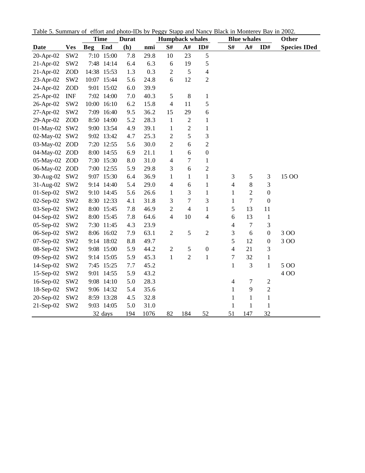|               |                 | <b>Time</b> |            | <b>Durat</b> |      | <b>Humpback whales</b> |                |                  |                          | <b>Blue whales</b> |                  | Other               |
|---------------|-----------------|-------------|------------|--------------|------|------------------------|----------------|------------------|--------------------------|--------------------|------------------|---------------------|
| Date          | <b>Ves</b>      | <b>Beg</b>  | End        | (h)          | nmi  | S#                     | A#             | ID#              | S#                       | A#                 | ID#              | <b>Species IDed</b> |
| 20-Apr-02     | SW <sub>2</sub> |             | 7:10 15:00 | 7.8          | 29.8 | 10                     | 23             | 5                |                          |                    |                  |                     |
| 21-Apr-02     | SW <sub>2</sub> |             | 7:48 14:14 | 6.4          | 6.3  | 6                      | 19             | 5                |                          |                    |                  |                     |
| $21-Apr-02$   | <b>ZOD</b>      | 14:38       | 15:53      | 1.3          | 0.3  | $\overline{2}$         | 5              | $\overline{4}$   |                          |                    |                  |                     |
| 23-Apr-02     | SW <sub>2</sub> | 10:07       | 15:44      | 5.6          | 24.8 | 6                      | 12             | $\mathbf{2}$     |                          |                    |                  |                     |
| 24-Apr-02     | <b>ZOD</b>      | 9:01        | 15:02      | 6.0          | 39.9 |                        |                |                  |                          |                    |                  |                     |
| 25-Apr-02     | <b>INF</b>      |             | 7:02 14:00 | 7.0          | 40.3 | $\mathfrak s$          | $\,$ $\,$      | $\mathbf{1}$     |                          |                    |                  |                     |
| 26-Apr-02     | SW <sub>2</sub> | 10:00       | 16:10      | 6.2          | 15.8 | $\overline{4}$         | 11             | 5                |                          |                    |                  |                     |
| 27-Apr-02     | SW <sub>2</sub> | 7:09        | 16:40      | 9.5          | 36.2 | 15                     | 29             | 6                |                          |                    |                  |                     |
| 29-Apr-02     | <b>ZOD</b>      | 8:50        | 14:00      | 5.2          | 28.3 | $\mathbf{1}$           | $\sqrt{2}$     | $\mathbf{1}$     |                          |                    |                  |                     |
| 01-May-02     | SW <sub>2</sub> |             | 9:00 13:54 | 4.9          | 39.1 | 1                      | $\overline{c}$ | $\mathbf{1}$     |                          |                    |                  |                     |
| 02-May-02     | SW <sub>2</sub> |             | 9:02 13:42 | 4.7          | 25.3 | $\overline{2}$         | 5              | 3                |                          |                    |                  |                     |
| 03-May-02     | <b>ZOD</b>      |             | 7:20 12:55 | 5.6          | 30.0 | $\overline{2}$         | 6              | $\overline{2}$   |                          |                    |                  |                     |
| 04-May-02 ZOD |                 |             | 8:00 14:55 | 6.9          | 21.1 | 1                      | 6              | $\boldsymbol{0}$ |                          |                    |                  |                     |
| 05-May-02     | <b>ZOD</b>      |             | 7:30 15:30 | 8.0          | 31.0 | $\overline{4}$         | 7              | $\mathbf{1}$     |                          |                    |                  |                     |
| 06-May-02     | <b>ZOD</b>      | 7:00        | 12:55      | 5.9          | 29.8 | 3                      | 6              | $\overline{c}$   |                          |                    |                  |                     |
| 30-Aug-02     | SW <sub>2</sub> | 9:07        | 15:30      | 6.4          | 36.9 | $\mathbf{1}$           | $\mathbf{1}$   | $\mathbf{1}$     | 3                        | 5                  | 3                | 15 OO               |
| 31-Aug-02     | SW <sub>2</sub> |             | 9:14 14:40 | 5.4          | 29.0 | 4                      | 6              | $\mathbf{1}$     | 4                        | $\,8\,$            | 3                |                     |
| $01-Sep-02$   | SW <sub>2</sub> |             | 9:10 14:45 | 5.6          | 26.6 | $\mathbf{1}$           | 3              | $\mathbf{1}$     | $\mathbf{1}$             | $\overline{2}$     | $\boldsymbol{0}$ |                     |
| 02-Sep-02     | SW <sub>2</sub> | 8:30        | 12:33      | 4.1          | 31.8 | 3                      | $\overline{7}$ | 3                | 1                        | $\overline{7}$     | $\boldsymbol{0}$ |                     |
| 03-Sep-02     | SW <sub>2</sub> |             | 8:00 15:45 | 7.8          | 46.9 | $\overline{c}$         | $\overline{4}$ | $\mathbf{1}$     | 5                        | 13                 | 11               |                     |
| 04-Sep-02     | SW <sub>2</sub> |             | 8:00 15:45 | 7.8          | 64.6 | $\overline{4}$         | 10             | $\overline{4}$   | 6                        | 13                 | 1                |                     |
| 05-Sep-02     | SW <sub>2</sub> | 7:30        | 11:45      | 4.3          | 23.9 |                        |                |                  | 4                        | $\overline{7}$     | 3                |                     |
| 06-Sep-02     | SW <sub>2</sub> | 8:06        | 16:02      | 7.9          | 63.1 | $\overline{2}$         | 5              | $\overline{2}$   | 3                        | 6                  | $\boldsymbol{0}$ | 300                 |
| 07-Sep-02     | SW <sub>2</sub> | 9:14        | 18:02      | 8.8          | 49.7 |                        |                |                  | 5                        | 12                 | $\mathbf{0}$     | 300                 |
| 08-Sep-02     | SW <sub>2</sub> | 9:08        | 15:00      | 5.9          | 44.2 | $\overline{2}$         | 5              | $\boldsymbol{0}$ | $\overline{4}$           | 21                 | 3                |                     |
| 09-Sep-02     | SW <sub>2</sub> |             | 9:14 15:05 | 5.9          | 45.3 | $\mathbf{1}$           | $\overline{2}$ | $\,1$            | $\boldsymbol{7}$         | 32                 | $\,1$            |                     |
| 14-Sep-02     | SW <sub>2</sub> |             | 7:45 15:25 | 7.7          | 45.2 |                        |                |                  | $\mathbf{1}$             | 3                  | $\mathbf{1}$     | 5 0 0               |
| 15-Sep-02     | SW <sub>2</sub> | 9:01        | 14:55      | 5.9          | 43.2 |                        |                |                  |                          |                    |                  | 400                 |
| 16-Sep-02     | SW <sub>2</sub> | 9:08        | 14:10      | 5.0          | 28.3 |                        |                |                  | $\overline{\mathcal{A}}$ | $\tau$             | $\mathfrak{2}$   |                     |
| 18-Sep-02     | SW <sub>2</sub> |             | 9:06 14:32 | 5.4          | 35.6 |                        |                |                  | $\mathbf{1}$             | $\mathbf{9}$       | $\overline{c}$   |                     |
| 20-Sep-02     | SW <sub>2</sub> |             | 8:59 13:28 | 4.5          | 32.8 |                        |                |                  | $\mathbf{1}$             | $\mathbf{1}$       | $\mathbf{1}$     |                     |
| 21-Sep-02     | SW <sub>2</sub> | 9:03        | 14:05      | 5.0          | 31.0 |                        |                |                  | $\mathbf{1}$             | $\mathbf{1}$       | $\mathbf{1}$     |                     |
|               |                 |             | 32 days    | 194          | 1076 | 82                     | 184            | 52               | 51                       | 147                | 32               |                     |

Table 5. Summary of effort and photo-IDs by Peggy Stapp and Nancy Black in Monterey Bay in 2002.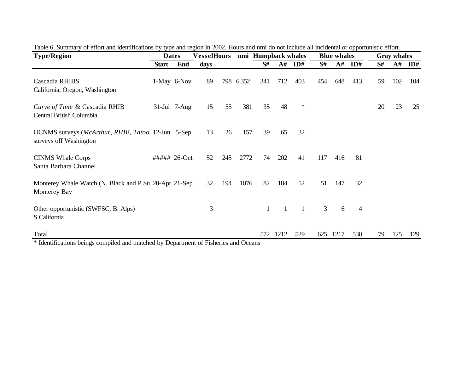| <b>Type/Region</b>                                                                    |              | <b>Dates</b>    | <b>VesselHours</b> |     |           | nmi Humpback whales |              |                |                | <b>Blue whales</b> |                |    | <b>Gray whales</b> |     |
|---------------------------------------------------------------------------------------|--------------|-----------------|--------------------|-----|-----------|---------------------|--------------|----------------|----------------|--------------------|----------------|----|--------------------|-----|
|                                                                                       | <b>Start</b> | End             | days               |     |           | S#                  | A#           | ID#            | S#             | A#                 | ID#            | S# | ${\bf A}$ #        | ID# |
| Cascadia RHIBS<br>California, Oregon, Washington                                      |              | 1-May 6-Nov     | 89                 |     | 798 6,352 | 341                 | 712          | 403            | 454            | 648                | 413            | 59 | 102                | 104 |
| Curve of Time & Cascadia RHIB<br>Central British Columbia                             |              | $31$ -Jul 7-Aug | 15                 | 55  | 381       | 35                  | 48           | $\ast$         |                |                    |                | 20 | 23                 | 25  |
| OCNMS surveys ( <i>McArthur, RHIB, Tatoo</i> . 12-Jun 5-Sep<br>surveys off Washington |              |                 | 13                 | 26  | 157       | 39                  | 65           | 32             |                |                    |                |    |                    |     |
| <b>CINMS</b> Whale Corps<br>Santa Barbara Channel                                     | ##### 26-Oct |                 | 52                 | 245 | 2772      | 74                  | 202          | 41             | 117            | 416                | 81             |    |                    |     |
| Monterey Whale Watch (N. Black and P Sta 20-Apr 21-Sep<br>Monterey Bay                |              |                 | 32                 | 194 | 1076      | 82                  | 184          | 52             | 51             | 147                | 32             |    |                    |     |
| Other opportunistic (SWFSC, B. Alps)<br>S California                                  |              |                 | 3                  |     |           | $\mathbf{1}$        | $\mathbf{1}$ | $\overline{1}$ | $\overline{3}$ | 6                  | $\overline{4}$ |    |                    |     |
| Total                                                                                 |              |                 |                    |     |           | 572                 | 1212         | 529            | 625            | 1217               | 530            | 79 | 125                | 129 |

| Table 6. Summary of effort and identifications by type and region in 2002. Hours and nmi do not include all incidental or opportunistic effort. |  |
|-------------------------------------------------------------------------------------------------------------------------------------------------|--|
|                                                                                                                                                 |  |

Identifications beings compiled and matched by Department of Fisheries and Oceans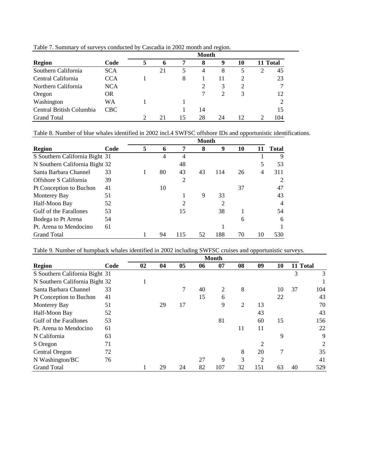|                          |            |                             |    |    | <b>Month</b> |                             |    |          |     |
|--------------------------|------------|-----------------------------|----|----|--------------|-----------------------------|----|----------|-----|
| <b>Region</b>            | Code       |                             |    |    | 8            | 9                           | 10 | 11 Total |     |
| Southern California      | <b>SCA</b> |                             | 21 | 5  | 4            | 8                           | 5  | 2        | 45  |
| Central California       | <b>CCA</b> |                             |    | 8  |              | 11                          |    |          | 23  |
| Northern California      | <b>NCA</b> |                             |    |    |              | 3                           | 2  |          | 7   |
| Oregon                   | <b>OR</b>  |                             |    |    |              | $\mathcal{D}_{\mathcal{L}}$ | 3  |          | 12  |
| Washington               | WA         |                             |    |    |              |                             |    |          | 2   |
| Central British Columbia | <b>CBC</b> |                             |    |    | 14           |                             |    |          | 15  |
| <b>Grand Total</b>       |            | $\mathcal{D}_{\mathcal{L}}$ | 21 | 15 | 28           | 24                          | 12 |          | 104 |

Table 7. Summary of surveys conducted by Cascadia in 2002 month and region.

Table 8. Number of blue whales identified in 2002 incl.4 SWFSC offshore IDs and opportunistic identifications.

|                                |      | Month |    |     |    |     |    |    |              |  |  |
|--------------------------------|------|-------|----|-----|----|-----|----|----|--------------|--|--|
| <b>Region</b>                  | Code | 5     | 6  | 7   | 8  | 9   | 10 |    | <b>Total</b> |  |  |
| S Southern California Bight 31 |      |       | 4  | 4   |    |     |    |    | 9            |  |  |
| N Southern California Bight 32 |      |       |    | 48  |    |     |    | 5  | 53           |  |  |
| Santa Barbara Channel          | 33   |       | 80 | 43  | 43 | 114 | 26 | 4  | 311          |  |  |
| Offshore S California          | 39   |       |    | 2   |    |     |    |    |              |  |  |
| Pt Conception to Buchon        | 41   |       | 10 |     |    |     | 37 |    | 47           |  |  |
| <b>Monterey Bay</b>            | 51   |       |    |     | 9  | 33  |    |    | 43           |  |  |
| Half-Moon Bay                  | 52   |       |    | 2   |    | 2   |    |    | 4            |  |  |
| Gulf of the Farallones         | 53   |       |    | 15  |    | 38  |    |    | 54           |  |  |
| Bodega to Pt Arena             | 54   |       |    |     |    |     | 6  |    | 6            |  |  |
| Pt. Arena to Mendocino         | 61   |       |    |     |    |     |    |    |              |  |  |
| <b>Grand Total</b>             |      |       | 94 | 115 | 52 | 188 | 70 | 10 | 530          |  |  |

Table 9. Number of humpback whales identified in 2002 including SWFSC cruises and opportunistic surveys.

|                                |      |    |    |                |    | <b>Month</b> |                |                |    |    |          |
|--------------------------------|------|----|----|----------------|----|--------------|----------------|----------------|----|----|----------|
| <b>Region</b>                  | Code | 02 | 04 | 0 <sub>5</sub> | 06 | 07           | 08             | 09             | 10 |    | 11 Total |
| S Southern California Bight 31 |      |    |    |                |    |              |                |                |    | 3  | 3        |
| N Southern California Bight 32 |      |    |    |                |    |              |                |                |    |    |          |
| Santa Barbara Channel          | 33   |    |    | 7              | 40 | 2            | 8              |                | 10 | 37 | 104      |
| Pt Conception to Buchon        | 41   |    |    |                | 15 | 6            |                |                | 22 |    | 43       |
| <b>Monterey Bay</b>            | 51   |    | 29 | 17             |    | 9            | $\overline{2}$ | 13             |    |    | 70       |
| Half-Moon Bay                  | 52   |    |    |                |    |              |                | 43             |    |    | 43       |
| Gulf of the Farallones         | 53   |    |    |                |    | 81           |                | 60             | 15 |    | 156      |
| Pt. Arena to Mendocino         | 61   |    |    |                |    |              | 11             | 11             |    |    | 22       |
| N California                   | 63   |    |    |                |    |              |                |                | 9  |    | 9        |
| S Oregon                       | 71   |    |    |                |    |              |                | 2              |    |    | 2        |
| Central Oregon                 | 72   |    |    |                |    |              | 8              | 20             | 7  |    | 35       |
| N Washington/BC                | 76   |    |    |                | 27 | 9            | 3              | $\overline{c}$ |    |    | 41       |
| <b>Grand Total</b>             |      |    | 29 | 24             | 82 | 107          | 32             | 151            | 63 | 40 | 529      |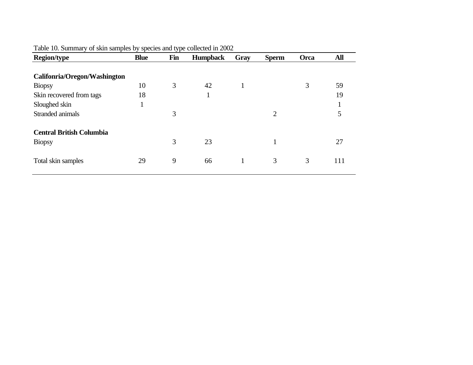| <b>Region/type</b>              | <b>Blue</b> | Fin | <b>Humpback</b> | Gray         | <b>Sperm</b>   | Orca | All |
|---------------------------------|-------------|-----|-----------------|--------------|----------------|------|-----|
| Califonria/Oregon/Washington    |             |     |                 |              |                |      |     |
| <b>Biopsy</b>                   | 10          | 3   | 42              | $\mathbf{I}$ |                | 3    | 59  |
| Skin recovered from tags        | 18          |     | T               |              |                |      | 19  |
| Sloughed skin                   |             |     |                 |              |                |      | л   |
| Stranded animals                |             | 3   |                 |              | $\overline{2}$ |      | 5   |
| <b>Central British Columbia</b> |             |     |                 |              |                |      |     |
| <b>Biopsy</b>                   |             | 3   | 23              |              | 1              |      | 27  |
| Total skin samples              | 29          | 9   | 66              |              | 3              | 3    | 111 |

Table 10. Summary of skin samples by species and type collected in 2002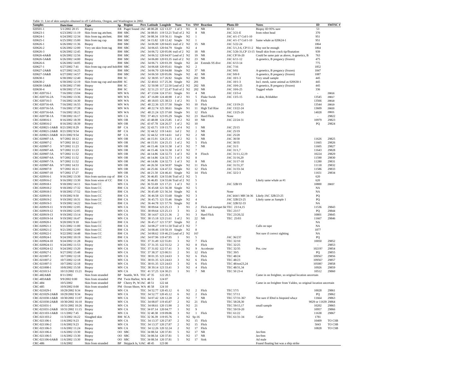|  |  |  |  |  |  |  |  |  |  |  | Table 11. List of skin samples obtained in off California, Oregon, and Washington in 2002 |  |  |  |
|--|--|--|--|--|--|--|--|--|--|--|-------------------------------------------------------------------------------------------|--|--|--|
|--|--|--|--|--|--|--|--|--|--|--|-------------------------------------------------------------------------------------------|--|--|--|

|                                                 |                                    | Table 11. List of skin samples obtained in off California, Oregon, and Washington in 2002 |           |                                                 |  |                                                                              |                          |                            |                                   |                                   |                                        |                                                                  |                     |                  |
|-------------------------------------------------|------------------------------------|-------------------------------------------------------------------------------------------|-----------|-------------------------------------------------|--|------------------------------------------------------------------------------|--------------------------|----------------------------|-----------------------------------|-----------------------------------|----------------------------------------|------------------------------------------------------------------|---------------------|------------------|
| <b>Samples</b>                                  | Date/time                          | Type                                                                                      |           | Sp Region                                       |  | Pers Latitude Longitde                                                       | Num                      | Ves                        |                                   | SN# Reaction                      | Photo-ID                               | <b>Notes</b>                                                     | ID                  | SWFSC#           |
| 020501-1<br>020623-1                            | 5/1/2002 20:15<br>6/23/2002 11:19  | Biopsy<br>Skin from tag attchmt.                                                          |           | ER Puget Sound JAC 48 00.28 122 13.37<br>BM SBC |  | JAC 34 08.01 119 53.21 Trail of 2 N2                                         | $1$ of $3$               | N1                         | 8<br>8                            | <b>NR</b><br>NR                   | $ID-53$<br>JAC 3/21-E                  | Biopsy ID 95% sure<br>from robot head                            | 53<br>370           |                  |
| 020624-1                                        | 6/24/2002 12:34                    | Skin from tag attchmt.                                                                    |           | BM SBC                                          |  | JAC 34 08.34 119 56.11 Single                                                |                          | N <sub>2</sub>             | $\overline{1}$                    |                                   | JAC 4/1-17 Col/1-10                    |                                                                  | 951                 |                  |
| 020625-1                                        | 6/25/2002 15:00                    | Skin from tag cup                                                                         |           | BM SBC                                          |  | JAC 34 15.82 120 12.42 Single                                                |                          | N2                         | -1                                |                                   | JAC 4/1-17 Col/1-10                    | Same whale as 020624-1                                           | 951                 |                  |
| 020626-1                                        | 6/26/2002 11:36                    | Biopsy                                                                                    |           | BM SBC                                          |  | JAC 34 06.90 120 04.65 trail of 2 N2                                         |                          |                            | 15                                | NR                                | JAC 5/22-24                            |                                                                  | 1864                |                  |
| 020626-2                                        | 6/26/2002 12:00                    | Very sm skin from tag                                                                     |           | BM SBC                                          |  | JAC 34 06.65 120 04.79 Single                                                |                          | N <sub>2</sub>             | $\overline{4}$                    |                                   | JAC 5/1,3-6, CP/11-2 May not be enough |                                                                  | 1864                |                  |
| 020626-3                                        | 6/26/2002 12:45                    | Biopsy                                                                                    |           | BM SBC                                          |  | JAC 34 06.72 120 05.06 trail of 2 N2                                         |                          |                            | 18                                | <b>NR</b>                         |                                        | JAC 5/26-31, CP 13-15 Small skin from crack tip/floatation       | 939                 |                  |
| 020626-4A&B<br>020626-5A&B                      | 6/26/2002 12:56                    | <b>Biopsy</b>                                                                             |           | BM SBC                                          |  | JAC 34 06.52 120 04.97 Lead of 2 N2                                          |                          |                            | 19<br>23                          | <b>NR</b><br>NR                   | JAC CP/16-20                           | Could be same pair as above, A-genetics, B                       | 763<br>475          |                  |
| 020626-6                                        | 6/26/2002 14:00<br>6/26/2002 14:05 | <b>Biopsy</b><br>Biopsy                                                                   |           | BM SBC<br>BM SBC                                |  | JAC 34 06.80 120 03.35 trail of 2 N2<br>JAC 34 06.71 120 03.39               | Single                   | N <sub>2</sub>             | 24                                | Extends SS dive                   | JAC 6/11-12<br>JAC 6/13-14             | A-genetics, B pregancy (frozen)                                  | 775                 |                  |
| 020627-1                                        | 6/27/2002 7:41                     | Skin from tag cup and hole BM SBC                                                         |           |                                                 |  | JAC 34 06.68 120 05.61                                                       | Single                   | N <sub>2</sub>             | $\overline{2}$                    |                                   | JAC 7/16                               |                                                                  | 1852                |                  |
| 020627-2A&B                                     | 6/27/2002 14:25                    | <b>Biopsy</b>                                                                             |           | BM SBC                                          |  | JAC 34 06.70 120 04.88                                                       | Single                   | N2                         | 37                                | NR                                | JAC 9/01                               | A-genetics, B pregancy (frozen)                                  | 1847                |                  |
| 020627-3A&B                                     | 6/27/2002 14:57                    | Biopsy                                                                                    |           | BM SBC                                          |  | JAC 34 06.50 120 05.06                                                       | Single                   | N2                         | 42                                | NR                                | JAC 9/8-9                              | A-genetics, B pregancy (frozen)                                  | 1087                |                  |
| 020630-1                                        | 6/30/2002 12:40                    | Biopsy                                                                                    |           | BM SC                                           |  | JAC 32 38.95 117 26.92                                                       | Single                   | N2                         | 201                               | <b>NR</b>                         | JAC 10/1-3                             | Very small sample                                                | 445                 |                  |
| 020630-2                                        | 6/30/2002 12:19                    | Skin from tag cup and mes BM SC                                                           |           |                                                 |  | JAC 32 40.61 117 25.36 Single                                                |                          | N2                         | 201                               |                                   | JAC 10/1-3                             | Incl. mesh, same animal as 020630-1                              | 445                 |                  |
| 020630-3A&B                                     | 6/30/2002 17:00<br>6/30/2002 17:14 | <b>Biopsy</b>                                                                             |           | BM SC                                           |  | JAC 32 50.98 117 22.50 Lead of 2 N2<br>JAC 32 51.23 117 22.47 Trail of 2 N2  |                          |                            | 202<br>202 NR                     | NR                                | JAC 10/6-25                            | A-genetics, B pregancy (frozen)                                  | 445<br>336          |                  |
| 020630-4<br>CRC-020716-1                        | 7/16/2002 13:04                    | <b>Biopsy</b><br><b>Biopsy</b>                                                            |           | BM SC<br>MN WA                                  |  | JAC 47 13.04 124 37.61 Single                                                |                          | N1                         | $\overline{4}$                    | <b>NR</b>                         | JAC 10/6-25<br>JAC 13/3-4              | Tagged whale                                                     |                     | 29816            |
| CRC-020716-2A                                   | 7/16/2002 13:36                    | <b>Biopsy</b>                                                                             |           | MN WA                                           |  | JAC 47 16.80 124 40.98                                                       | 1 of 2                   | N1                         | 5                                 | Fluke Swish                       | JAC 13/5-15                            | A-skin, B-blubber                                                | 13545               | 29817            |
| CRC-020716-3                                    | 7/16/2002 14:30                    | <b>Biopsy</b>                                                                             |           | MN WA                                           |  | JAC 48 18.03 125 38.53                                                       | $1$ of $2$               | N1                         | 5                                 | Flick                             |                                        |                                                                  | 13566               | 29818            |
| CRC-020716-4A                                   | 7/16/2002 16:55                    | <b>Biopsy</b>                                                                             |           | MN WA                                           |  | JAC 48 22.36 125 37.50                                                       | Single                   | N1                         | 10                                | Flick                             | JAC 13/19-21                           |                                                                  | 13544               | 29819            |
| CRC-020716-5A                                   | 7/16/2002 17:38                    | <b>Biopsy</b>                                                                             |           | MN WA                                           |  | JAC 48 22.74 125 38.61                                                       | Single                   | N1                         | 11                                | High Tail Rise                    | JAC 13/22-24                           |                                                                  | 13609               | 29820            |
| CRC-020716-6A                                   | 7/16/2002 18:21                    | Biopsy                                                                                    |           | MN WA                                           |  | JAC 48 21.24 125 37.60                                                       | Single                   | N1                         | 12                                | Flick                             | JAC 13/25-26                           |                                                                  | 14028               | 29821            |
| CRC-020730-1A                                   | 7/30/2002 16:17                    | <b>Biopsy</b>                                                                             |           | MN CA                                           |  | TEC 37 40.21 123 05.29                                                       | Single<br>1 of 2         | N <sub>2</sub>             | 23<br>10                          | Hard Flick<br>NR                  | None                                   |                                                                  | $\sim$              | 29822            |
| CRC-020816-1<br>CRC-020816-2                    | 8/16/2002 18:39<br>8/16/2002 18:39 | <b>Biopsy</b><br><b>Biopsy</b>                                                            |           | MN OR<br>MN OR                                  |  | JAC 43 48.08 124 25.85<br>JAC 43 47.78 124 26.57                             | $1$ of $2$               | N2<br>N <sub>2</sub>       | 10                                |                                   | JAC 22/24-31                           |                                                                  | 10979<br>PQ         | 29823<br>29824   |
| CRC-020821-1A&B 8/21/2002 8:29                  |                                    | Biopsy                                                                                    |           | BP CA                                           |  | JAC 32 43.71 119 15.75                                                       | $1$ of $4$               | N2                         | 1                                 | NR                                | JAC 25/15                              |                                                                  |                     |                  |
| CRC-020821-2A&B                                 | 8/21/2002 9:54                     | <b>Biopsy</b>                                                                             | BP        | CA                                              |  | JAC 32 44.52 119 14.61                                                       | 1 of 2                   | N2                         | $\overline{c}$                    | <b>NR</b>                         | JAC 25/19                              |                                                                  |                     |                  |
| CRC-020821-3A&B 8/21/2002 9:54                  |                                    | <b>Biopsy</b>                                                                             | BP        | CA                                              |  | JAC 32 44.52 119 14.61                                                       | 1 of 2                   | N2                         | $\overline{2}$                    | <b>NR</b>                         | JAC 25/20                              |                                                                  |                     |                  |
| CRC-020907-1A                                   | 9/7/2002 10:12                     | <b>Biopsy</b>                                                                             |           | MN OR                                           |  | JAC 44 15.91 124 25.15                                                       | $1$ of $2$               | N <sub>2</sub>             | 5                                 | <b>NR</b>                         | JAC 30/30                              |                                                                  | 11626               | 29825            |
| CRC-020907-2                                    | 9/7/2002 10:12                     | <b>Biopsy</b>                                                                             |           | MN OR                                           |  | JAC 44 15.91 124 25.15                                                       | $1$ of $2$               | N2                         | 5                                 | Flick                             | JAC 30/35                              |                                                                  | 11665               | 29826            |
| CRC-020907-3<br>CRC-020907-4A                   | 9/7/2002 11:23<br>9/7/2002 11:23   | Biopsy                                                                                    |           | MN OR                                           |  | JAC 44 15.46 124 31.58<br>JAC 44 15.46 124 31.58                             | 1 of 3<br>$1$ of $3$     | N2<br>N <sub>2</sub>       | $7\phantom{.0}$<br>$\overline{7}$ | <b>NR</b>                         | JAC 31/3<br>JAC 31/1,7                 |                                                                  | 11605               | 29827<br>29828   |
| CRC-020907-5A                                   | 9/7/2002 11:52                     | <b>Biopsy</b><br><b>Biopsy</b>                                                            |           | MN OR<br>MN OR                                  |  | JAC 44 14.86 124 32.73                                                       | 1 of 3                   | N2                         | 8                                 | Flinch                            | JAC 31/11,12,19                        |                                                                  | 11643<br>10224      | 29829            |
| CRC-020907-6A                                   | 9/7/2002 11:52                     | <b>Biopsy</b>                                                                             |           | MN OR                                           |  | JAC 44 14.86 124 32.73                                                       | 1 of 3                   | N <sub>2</sub>             | 8                                 |                                   | JAC 31/16,20                           |                                                                  | 11590               | 29830            |
| CRC-020907-7A                                   | 9/7/2002 11:52                     | <b>Biopsy</b>                                                                             |           | MN OR                                           |  | JAC 44 14.86 124 32.73                                                       | 1 of 3                   | N <sub>2</sub>             | 8                                 | NR                                | JAC 31/17-18                           |                                                                  | 11280               | 29831            |
| CRC-020907-8A                                   | 9/7/2002 14:53                     | <b>Biopsy</b>                                                                             |           | MN OR                                           |  | JAC 44 26.50 124 50.97                                                       | Single                   | N2                         | 11                                | Flick                             | JAC 31/31,37                           |                                                                  | 11118               | 29832            |
| CRC-020907-9                                    | 9/7/2002 16:11                     | <b>Biopsy</b>                                                                             |           | MN OR                                           |  | JAC 44 25.66 124 47.53                                                       | Single                   | N2                         | 12                                | Flick                             | JAC 31/33-34                           |                                                                  | 11586               | 29833            |
| CRC-020907-10                                   | 9/7/2002 17:27                     | Biopsy                                                                                    |           | MN OR                                           |  | JAC 44 21.50 124 46.41 Single                                                |                          | N2                         | 14<br>5                           | Flick                             | JAC 32/2-3                             |                                                                  | 11651               | 29834            |
| CRC-020916-1<br>CRC-020916-2                    | 9/16/2002 13:30<br>9/16/2002 13:30 | Skin from suction cup of<br>Skin from wires of CC                                         | BM CA     | BM CA                                           |  | JAC 36 46.85 124 55.66 Trail of 2 N2<br>JAC 36 46.85 124 55.66 Trail of 2 N2 |                          |                            | 5                                 |                                   |                                        | Likely same whale as #1                                          | 620<br>620          |                  |
| CRC-020918-1                                    | 9/18/2002 14:11                    | Skin from CC                                                                              |           | MN CA                                           |  | JAC 36 55.69 121 17.21                                                       | 1 of 3                   | N2                         | $\mathbf{3}$                      |                                   | JAC 32B/19                             |                                                                  | 10800               | 29837            |
| CRC-020918-2                                    | 9/18/2002 17:32                    | Skin from CC                                                                              |           | BM CA                                           |  | JAC 36 45.68 121 56.38                                                       | Single                   | N <sub>2</sub>             | 5                                 |                                   |                                        |                                                                  | NA                  |                  |
| CRC-020918-3                                    | 9/18/2002 17:52                    | Skin from CC                                                                              |           | BM CA                                           |  | JAC 36 45.49 121 56.34                                                       | Single                   | N <sub>2</sub>             | 6                                 |                                   | None                                   |                                                                  | NA                  |                  |
| CRC-020919-1                                    | 9/19/2002 9:50                     | Skin from CC                                                                              |           | BM CA                                           |  | JAC 36 46.58 121 55.68                                                       | Single                   | N2                         | 3                                 |                                   |                                        | JAC k64/1 MH 34-36 Likely JAC 32B/23-25                          | PQ                  |                  |
| CRC-020919-2                                    | 9/19/2002 10:31                    | Skin from CC                                                                              |           | BM CA                                           |  | JAC 36 45.75 121 55.46                                                       | Single                   | N2                         | $\overline{4}$                    |                                   | JAC 32B/23-25                          | Likely same as Sample 1                                          | PQ                  |                  |
| CRC-020919-3<br>CRC-020919-11                   | 9/19/2002 14:22<br>9/19/2002 12:05 | Skin from CC                                                                              |           | BM CA<br>MN CA                                  |  | JAC 36 44.78 121 57.76<br>TEC 38 09.64 123 25.13                             | Single<br>3              | N <sub>2</sub><br>N1       | 8<br>2                            | Flick and trumpet blcTEC 23/14,15 | JAC 32B/32-33                          |                                                                  | NA<br>11536         | 29843            |
| CRC-020919-12                                   | 9/19/2002 12:05                    | <b>Biopsy</b><br>Biopsy                                                                   |           | MN CA                                           |  | TEC 38 09.64 123 25.13                                                       | 3                        | N1                         | $\overline{c}$                    | <b>NR</b>                         | TEC 23/17                              |                                                                  | PQ                  | 29844            |
| CRC-020919-13                                   | 9/19/2002 13:14                    | <b>Biopsy</b>                                                                             |           | MN CA                                           |  | TEC 38 14.67 123 21.36                                                       | 2                        | N1                         | $\overline{\mathbf{3}}$           | Hard Flick                        | TEC 23/20,32                           |                                                                  | 10801               | 29845            |
| CRC-020919-14                                   | 9/19/2002 16:47                    | Biopsy                                                                                    |           | MN CA                                           |  | TEC 38 15.18 123 21.61                                                       | $1$ of $2$               | N1                         | 22                                | NR                                | TEC 25/03                              |                                                                  | 11667               | 29846            |
| CRC-020920-1                                    | 9/20/2002 9:18                     | Skin from CC                                                                              |           | BM CA                                           |  | JAC 36 45.17 121 57.97 Single                                                |                          | N <sub>2</sub>             | $\overline{2}$                    |                                   |                                        |                                                                  | NA                  |                  |
| CRC-020921-1                                    | 9/21/2002 11:00                    | Skin from CC                                                                              |           | BM CA                                           |  | JAC 34 08.27 119 51.50 Trail of 3                                            |                          | N <sub>2</sub>             | $\overline{7}$                    |                                   |                                        | Calls on tape                                                    | NA                  |                  |
| CRC-020921-2                                    | 9/21/2002 12:00                    | Skin from CC                                                                              |           | BM CA                                           |  | JAC 34 08.46 119 50.19 Single                                                |                          | N2                         | $\,$ 8 $\,$                       |                                   |                                        |                                                                  | 1877                |                  |
| CRC-020922-1<br>CRC-020924-1                    | 9/22/2002 14:48<br>9/24/2002 10:19 | Skin from CC<br>Skin from CC                                                              |           | BM CA<br>BM CA                                  |  | JAC 34 08.62 119 46.23 Lead of 2 N2<br>JAC 34 07.96 119 47.95                | $\mathbf{1}$             | N1                         | 16?<br>5                          |                                   | JAC 36/23?                             | Not sure if correct sighting                                     | NA<br>PO            |                  |
| CRC-020924-10                                   | 9/24/2002 11:28                    | <b>Biopsy</b>                                                                             |           | MN CA                                           |  | TEC 37 31.49 122 55.81                                                       | 3                        | N2                         | $\tau$                            | Flick                             | TEC 32/10                              |                                                                  | 10050               | 29852            |
| CRC-020924-11                                   | 9/24/2002 11:53                    | <b>Biopsy</b>                                                                             |           | MN CA                                           |  | TEC 37 31.35 122 55.52                                                       | $\overline{\mathcal{L}}$ | N2                         | 8                                 | Flick                             | TEC 32/25                              |                                                                  |                     | 29853            |
| CRC-020924-12                                   | 9/24/2002 13:20                    | Biopsy                                                                                    |           | MN CA                                           |  | TEC 37 31.02 122 57.41                                                       | 3                        | N2                         | 9                                 | Accelerate                        | TEC 32/35                              | Pos. cow                                                         | 10219?              | 29854            |
| CRC-020927-1                                    | 9/27/2002 15:48                    | <b>Biopsy</b>                                                                             |           | MN CA                                           |  | TEC 37 38.37 123 00.51                                                       | 2                        | N1                         | 12                                | Flick                             | TEC 39/5                               |                                                                  | PQ                  | 29855            |
| CRC-021007-1                                    | 10/7/2002 12:18                    | <b>Biopsy</b>                                                                             |           | MN CA                                           |  | TEC 38 01.35 123 24.63                                                       | 3                        | N <sub>2</sub><br>N2       | 6                                 | Flick<br>Flick                    | <b>TEC 48/24</b>                       |                                                                  | 10956?              | 29856            |
| CRC-021007-2<br>CRC-021007-3                    | 10/7/2002 12:18<br>10/7/2002 12:18 | <b>Biopsy</b><br><b>Biopsy</b>                                                            |           | MN CA<br>MN CA                                  |  | TEC 38 01.35 123 24.63<br>TEC 38 01.35 123 24.63                             | 3<br>3                   | N2                         | 6<br>6                            | Flick                             | TEC 48/23<br>TEC 48/not23,24           |                                                                  | 10956?<br>10508?    | 29857<br>29858   |
| CRC-021008-1                                    | 10/8/2002 15:58                    | <b>Biopsy</b>                                                                             |           | MN CA                                           |  | TEC 38 39.14 123 33.41                                                       | 3                        | N2                         | $\overline{4}$                    | Flick                             | TEC 48/31,34                           |                                                                  | 10926               | 29859            |
| CRC-021013-1                                    | 10/13/2002 15:21                   | Biopsy                                                                                    |           | MN CA                                           |  | TEC 41 57.25 124 30.21                                                       | -1                       | N1                         | 7                                 | NR                                | TEC 50 23-4                            |                                                                  | 10512               | 29860            |
| <b>CRC-482A&amp;B</b>                           | 8/11/2002                          | Skin from stranded                                                                        | <b>BP</b> | Seattle, WA TEC 47 35                           |  | 122 20.5                                                                     |                          |                            |                                   |                                   |                                        | Came in on freighter, so original location uncertain             |                     |                  |
| CRC-483A&B                                      | 9/9/2002 0:00                      | Skin from stranded                                                                        |           | PM Twin Harbor, WA 46 51                        |  | 124 07                                                                       |                          |                            |                                   |                                   |                                        |                                                                  |                     |                  |
| <b>CRC-484</b>                                  | 10/5/2002                          | Skin from stranded                                                                        |           | BP Cherry Pt, W JAC 48 51                       |  | 122 44                                                                       |                          |                            |                                   |                                   |                                        | Came in on freighter from Valdez, so original location uncertain |                     |                  |
| CRC-485                                         | 10/9/2002 0:00                     | Skin from stranded                                                                        |           | PM Ocean Shore, WA 46 58                        |  | 124 10                                                                       |                          |                            |                                   |                                   |                                        |                                                                  |                     |                  |
| CRC-021029-1<br>CRC-021029-2A&B 10/29/2002 9:34 | 10/29/2002 9:34                    | <b>Biopsy</b>                                                                             |           | MN CA<br>MN CA                                  |  | TEC 34 52.77 120 45.12<br>TEC 34 52.77 120 45.12                             | 6                        | $_{\rm N2}$<br>$_{\rm N2}$ | $\overline{2}$<br>$\overline{c}$  | Flick<br>Flick                    | TEC 57/5<br><b>TEC 57/11</b>           |                                                                  | 10028               | 29861<br>29862   |
| CRC-021030-1A&B 10/30/2002 11:07                |                                    | <b>Biopsy</b><br>Biopsy                                                                   |           | MN CA                                           |  | TEC 34 07.42 120 12.20                                                       | 6<br>2                   | $_{\rm N2}$                | $\tau$                            | NR                                | TEC 57/31-36?                          | Not sure if IDed is biopsied wha;e                               | PQ<br>11664         | 29863            |
| CRC-021030-2A&B 10/30/2002 16:10                |                                    | Biopsy                                                                                    |           | MN CA                                           |  | TEC 34 08.07 119 45.87                                                       | 2                        | N2                         | 21                                | Flick                             | TEC 58/28,30                           |                                                                  | 9029 or 11639 29864 |                  |
| CRC-021031-1                                    | 10/31/2002 10:26                   | Biopsy                                                                                    |           | MN CA                                           |  | TEC 34 08.61 120 15.90                                                       | 2                        | N2                         | 21                                |                                   | TEC 59/15,17                           | small sample                                                     | 10202               | 29865            |
| CRC-021031-2A&B 10/31/2002 11:15                |                                    | Biopsy                                                                                    |           | MN CA                                           |  | TEC 34 07.14 120 04.77                                                       | 1                        | $_{\rm N2}$                | 9                                 |                                   | TEC 59/19-20                           |                                                                  | 10957               | 29866            |
| CRC-021103-1A&B 11/1/2002 7:45                  |                                    | <b>Biopsy</b>                                                                             |           | MN CA                                           |  | TEC 32 40.38 119 09.06                                                       | 3                        | $_{\rm N2}$                | $\mathbf{1}$                      | Flick                             | TEC 61/22                              |                                                                  | 11638               | 29867            |
| CRC-021103-2<br>CRC-021106-1                    | 11/3/2002 16:22                    | Sloughed skin                                                                             |           | BM SCA                                          |  | TEC 32 36.39 119 05.76                                                       | -1                       |                            | N2 Sp-16                          |                                   | TEC 61/31-34                           | Caller                                                           | 1781                |                  |
| CRC-021106-2                                    | 11/6/2002 9:23<br>11/6/2002 9:23   | <b>Biopsy</b><br><b>Biopsy</b>                                                            |           | MN CA<br>MN CA                                  |  | TEC 34 13.37 120 27.87<br>TEC 34 13.37 120 27.87                             | $\overline{2}$<br>2      | $_{\rm N2}$<br>$_{\rm N2}$ | 15                                | 15 Flick<br>Flick                 |                                        |                                                                  | 10409<br>5043       | TO CSB<br>TO CSB |
| CRC-021106-3                                    | 11/6/2002 11:24                    | Biopsy                                                                                    |           | MN CA                                           |  | TEC 34 12.26 120 32.24                                                       | 2                        | N2                         | 17                                | Flick                             |                                        |                                                                  | 10828               | TO CSB           |
| CRC-021106-4                                    | 11/6/2002 13:30                    | <b>Biopsy</b>                                                                             |           | OO SBC                                          |  | TEC 34 08.54 120 37.81                                                       | 5                        | N2                         | 17                                | NR                                |                                        | Juv/fem                                                          |                     |                  |
| CRC-021106-5                                    | 11/6/2002 13:30                    | <b>Biopsy</b>                                                                             |           | OO SBC                                          |  | TEC 34 08.54 120 37.81                                                       | 5                        | N2                         | 17                                | <b>NR</b>                         |                                        | Juv/fem                                                          |                     |                  |
| CRC-021106-6A&B 11/6/2002 13:30                 |                                    | <b>Biopsy</b>                                                                             |           | OO SBC                                          |  | TEC 34 08.54 120 37.81                                                       | 5                        | N2                         |                                   | 17 Sink                           |                                        | Ad male                                                          |                     |                  |
| CRC-486                                         | 11/6/2002                          | Skin from stranded                                                                        |           | BP Skipjack Is, VJAC 48 45 123 00               |  |                                                                              |                          |                            |                                   |                                   |                                        | Found floating but was a ship strike                             |                     |                  |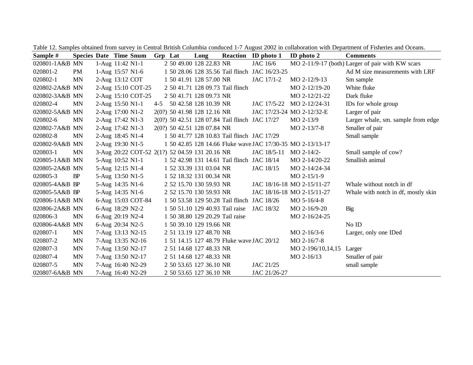| Sample #       | <b>Species Date Time Snum</b> |                  |                    | Grp Lat | Long                                           |                                  | <b>Reaction</b> ID photo 1                     | ID photo $2$                                               | <b>Comments</b>                                  |
|----------------|-------------------------------|------------------|--------------------|---------|------------------------------------------------|----------------------------------|------------------------------------------------|------------------------------------------------------------|--------------------------------------------------|
| 020801-1A&B MN |                               | 1-Aug 11:42 N1-1 |                    |         | 2 50 49.00 128 22.83 NR                        |                                  | JAC 16/6                                       |                                                            | MO 2-11/9-17 (both) Larger of pair with KW scars |
| 020801-2       | <b>PM</b>                     | 1-Aug 15:57 N1-6 |                    |         |                                                |                                  | 1 50 28.06 128 35.56 Tail flinch JAC 16/23-25  |                                                            | Ad M size measurements with LRF                  |
| 020802-1       | <b>MN</b>                     |                  | 2-Aug 13:12 COT    |         | 1 50 41.91 128 57.00 NR                        |                                  | JAC 17/1-2                                     | MO 2-12/9-13                                               | Sm sample                                        |
| 020802-2A&B MN |                               |                  | 2-Aug 15:10 COT-25 |         |                                                | 2 50 41.71 128 09.73 Tail flinch |                                                | $MO 2-12/19-20$                                            | White fluke                                      |
| 020802-3A&B MN |                               |                  | 2-Aug 15:10 COT-25 |         | 2 50 41.71 128 09.73 NR                        |                                  |                                                | MO 2-12/21-22                                              | Dark fluke                                       |
| 020802-4       | <b>MN</b>                     | 2-Aug 15:50 N1-1 |                    |         | 4-5 50 42.58 128 10.39 NR                      |                                  |                                                | JAC 17/5-22 MO 2-12/24-31                                  | IDs for whole group                              |
| 020802-5A&B MN |                               | 2-Aug 17:00 N1-2 |                    |         | 2(0?) 50 41.98 128 12.16 NR                    |                                  |                                                | JAC 17/23-24 MO 2-12/32-E                                  | Larger of pair                                   |
| 020802-6       | <b>MN</b>                     | 2-Aug 17:42 N1-3 |                    |         |                                                |                                  | 2(0?) 50 42.51 128 07.84 Tail flinch JAC 17/27 | $MO 2-13/9$                                                | Larger whale, sm. sample from edge               |
| 020802-7A&B MN |                               | 2-Aug 17:42 N1-3 |                    |         | 2(0?) 50 42.51 128 07.84 NR                    |                                  |                                                | $MO 2-13/7-8$                                              | Smaller of pair                                  |
| 020802-8       | <b>MN</b>                     | 2-Aug 18:45 N1-4 |                    |         |                                                |                                  | 1 50 41.77 128 10.83 Tail flinch JAC 17/29     |                                                            | Small sample                                     |
| 020802-9A&B MN |                               | 2-Aug 19:30 N1-5 |                    |         |                                                |                                  |                                                | 1 50 42.85 128 14.66 Fluke wave JAC 17/30-35 MO 2-13/13-17 |                                                  |
| 020803-1       | <b>MN</b>                     |                  |                    |         | 3-Aug 20:22 COT-52 2(1?) 52 04.59 131 20.16 NR |                                  | JAC 18/5-11 MO 2-14/2-                         |                                                            | Small sample of cow?                             |
| 020805-1A&B MN |                               |                  | 5-Aug 10:52 N1-1   |         |                                                |                                  | 1 52 42.98 131 14.61 Tail flinch JAC 18/14     | MO 2-14/20-22                                              | Smallish animal                                  |
| 020805-2A&B MN |                               | 5-Aug 12:15 N1-4 |                    |         | 1 52 33.39 131 03.04 NR                        |                                  | JAC 18/15                                      | MO 2-14/24-34                                              |                                                  |
| 020805-3       | BP                            | 5-Aug 13:50 N1-5 |                    |         | 1 52 18.32 131 00.34 NR                        |                                  |                                                | $MO 2-15/1-9$                                              |                                                  |
| 020805-4A&B BP |                               | 5-Aug 14:35 N1-6 |                    |         | 2 52 15.70 130 59.93 NR                        |                                  |                                                | JAC 18/16-18 MO 2-15/11-27                                 | Whale without notch in df                        |
| 020805-5A&B BP |                               | 5-Aug 14:35 N1-6 |                    |         | 2 52 15.70 130 59.93 NR                        |                                  |                                                | JAC 18/16-18 MO 2-15/11-27                                 | Whale with notch in df, mostly skin              |
| 020806-1A&B MN |                               |                  | 6-Aug 15:03 COT-84 |         |                                                |                                  | 1 50 53.58 129 50.28 Tail flinch JAC 18/26     | MO $5-16/4-8$                                              |                                                  |
| 020806-2A&B MN |                               | 6-Aug 18:29 N2-2 |                    |         | 1 50 51.10 129 40.93 Tail raise                |                                  | JAC 18/32                                      | MO 2-16/9-20                                               | Big                                              |
| 020806-3       | <b>MN</b>                     | 6-Aug 20:19 N2-4 |                    |         | 1 50 38.80 129 20.29 Tail raise                |                                  |                                                | MO 2-16/24-25                                              |                                                  |
| 020806-4A&B MN |                               | 6-Aug 20:34 N2-5 |                    |         | 1 50 39.10 129 19.66 NR                        |                                  |                                                |                                                            | No ID                                            |
| 020807-1       | <b>MN</b>                     |                  | 7-Aug 13:13 N2-15  |         | 2 51 13.19 127 48.70 NR                        |                                  |                                                | $MO 2-16/3-6$                                              | Larger, only one IDed                            |
| 020807-2       | <b>MN</b>                     |                  | 7-Aug 13:35 N2-16  |         |                                                |                                  | 1 51 14.15 127 48.79 Fluke wave JAC 20/12      | MO 2-16/7-8                                                |                                                  |
| 020807-3       | <b>MN</b>                     |                  | 7-Aug 13:50 N2-17  |         | 2 51 14.68 127 48.33 NR                        |                                  |                                                | MO 2-196/10,14,15                                          | Larger                                           |
| 020807-4       | <b>MN</b>                     |                  | 7-Aug 13:50 N2-17  |         | 2 51 14.68 127 48.33 NR                        |                                  |                                                | MO 2-16/13                                                 | Smaller of pair                                  |
| 020807-5       | <b>MN</b>                     |                  | 7-Aug 16:40 N2-29  |         | 2 50 53.65 127 36.10 NR                        |                                  | JAC 21/25                                      |                                                            | small sample                                     |
| 020807-6A&B MN |                               |                  | 7-Aug 16:40 N2-29  |         | 2 50 53.65 127 36.10 NR                        |                                  | JAC 21/26-27                                   |                                                            |                                                  |

Table 12. Samples obtained from survey in Central British Columbia conduced 1-7 August 2002 in collaboration with Department of Fisheries and Oceans.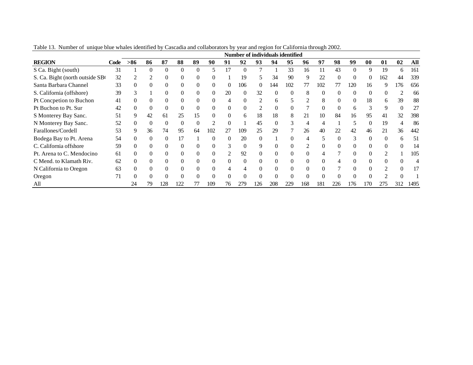|                                |      |          |          |          |          |          |          |    |          |                |          | Number of individuals identified |          |          |     |              |          |               |                             |                |
|--------------------------------|------|----------|----------|----------|----------|----------|----------|----|----------|----------------|----------|----------------------------------|----------|----------|-----|--------------|----------|---------------|-----------------------------|----------------|
| <b>REGION</b>                  | Code | $> 86$   | 86       | 87       | 88       | 89       | 90       | 91 | 92       | 93             | 94       | 95                               | 96       | 97       | 98  | 99           | 00       | 01            | 02                          | All            |
| S Ca. Bight (south)            | 31   |          | $\Omega$ | $\Omega$ |          | $\Omega$ | 5.       | 17 | $\Omega$ |                |          | 33                               | 16       | 11       | 43  | $\Omega$     | 9        | 19            | 6                           | 161            |
| S. Ca. Bight (north outside SB | 32   |          | 2        |          |          |          |          |    | 19       | 5              | 34       | 90                               | 9        | 22       |     | $\Omega$     | $\Omega$ | 162           | 44                          | 339            |
| Santa Barbara Channel          | 33   | 0        | $\Omega$ |          |          |          |          | 0  | 106      | $\theta$       | 144      | 102                              | 77       | 102      | 77  | 120          | 16       | 9             | 176                         | 656            |
| S. California (offshore)       | 39   | 3        |          |          |          |          | $\theta$ | 20 | 0        | 32             | $\Omega$ | $\Omega$                         | 8        | $\theta$ |     | 0            | $\Omega$ | $\Omega$      | $\mathcal{D}_{\mathcal{L}}$ | 66             |
| Pt Concpetion to Buchon        | 41   |          | $\Omega$ |          |          |          |          |    |          | $\overline{c}$ | 6        | 5                                |          | 8        |     | 0            | 18       | 6             | 39                          | 88             |
| Pt Buchon to Pt. Sur           | 42   |          | $\Omega$ |          | $\Omega$ |          |          | 0  |          | $\overline{c}$ | $\Omega$ | $\Omega$                         |          | $\Omega$ |     | <sub>b</sub> |          | 9             | 0                           | 27             |
| S Monterey Bay Sanc.           | 51   | 9        | 42       | 61       | 25       | 15       |          | 0  | 6        | 18             | 18       | 8                                | 21       | 10       | 84  | 16           | 95       | 41            | 32                          | 398            |
| N Monterey Bay Sanc.           | 52   |          | $\Omega$ |          |          |          |          |    |          | 45             |          | 3                                | 4        | 4        |     |              |          | 19            |                             | 86             |
| Farallones/Cordell             | 53   | 9        | 36       | 74       | 95       | 64       | 102      | 27 | 109      | 25             | 29       |                                  | 26       | 40       | 22  | 42           | 46       | 21            | 36                          | 442            |
| Bodega Bay to Pt. Arena        | 54   |          |          |          | 17       |          |          |    | 20       |                |          |                                  |          |          |     | 3            |          | $\Omega$      | h                           | 51             |
| C. California offshore         | 59   | 0        | $\Omega$ |          |          |          |          | f. |          | 9              | 0        | 0                                |          | 0        |     |              |          | $\Omega$      |                             | 14             |
| Pt. Arena to C. Mendocino      | 61   | 0        | $\Omega$ | 0        | $\theta$ |          |          |    | 92       | 0              | $\Omega$ | $\Omega$                         | 0        | 4        |     | 0            |          |               |                             | 105            |
| C Mend. to Klamath Riv.        | 62   | $\Omega$ | $\Omega$ |          | $\Omega$ |          |          |    |          |                | $\Omega$ | $\Omega$                         | $\Omega$ | $\Omega$ |     |              |          | $\Omega$      |                             | $\overline{4}$ |
| N California to Oregon         | 63   | $\Omega$ | $\Omega$ |          |          |          |          |    |          |                |          | $\Omega$                         |          | $\Omega$ |     | 0            |          | $\mathcal{D}$ | 0                           | 17             |
| Oregon                         | 71   |          |          |          |          |          |          |    |          |                |          |                                  |          |          |     |              |          | ∍             |                             |                |
| All                            |      | 24       | 79       | 128      | 122      |          | 109      | 76 | 279      | 126            | 208      | 229                              | 168      | 181      | 226 | 176          | 170      | 275           | 312                         | 1495           |

Table 13. Number of unique blue whales identified by Cascadia and collaborators by year and region for California through 2002.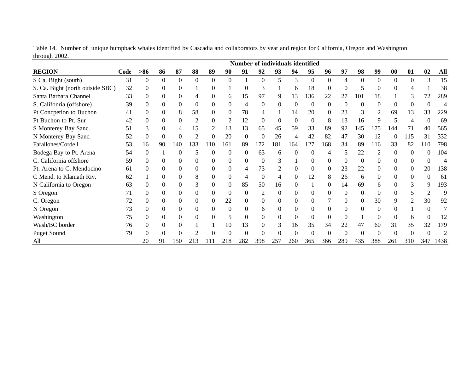|                                  |      |                |              |                  |          |                |          | Number of individuals identified |          |          |          |              |          |          |                |                |           |          |          |      |
|----------------------------------|------|----------------|--------------|------------------|----------|----------------|----------|----------------------------------|----------|----------|----------|--------------|----------|----------|----------------|----------------|-----------|----------|----------|------|
| <b>REGION</b>                    | Code | $>86$          | 86           | 87               | 88       | 89             | 90       | 91                               | 92       | 93       | 94       | 95           | 96       | 97       | 98             | 99             | $\bf{00}$ | 01       | 02       | All  |
| S Ca. Bight (south)              | 31   | 0              | $\Omega$     | $\Omega$         | $\Omega$ | $\overline{0}$ | $\Omega$ |                                  | $\Omega$ | 5        | 3        | $\mathbf{0}$ | $\Omega$ | 4        | $\theta$       | $\overline{0}$ | $\theta$  | $\Omega$ | 3        | 15   |
| S. Ca. Bight (north outside SBC) | 32   | $\Omega$       |              | 0                |          | 0              |          | $\Omega$                         | 3        |          | h        | 18           |          |          |                | $\Omega$       |           |          |          | 38   |
| Santa Barbara Channel            | 33   | $\Omega$       | $\theta$     | 0                | 4        | $\overline{0}$ | 6        | 15                               | 97       | 9        | 13       | 136          | 22       | 27       | 101            | 18             |           | 3        | 72       | 289  |
| S. Califonria (offshore)         | 39   | 0              | $\Omega$     | $\Omega$         | 0        | $\Omega$       | $\Omega$ | 4                                | 0        | $\Omega$ | $\Omega$ | $\Omega$     | $\Omega$ | $\Omega$ | $\Omega$       | $\Omega$       |           | $\Omega$ |          | 4    |
| Pt Concpetion to Buchon          | 41   | $\Omega$       | $\Omega$     | 8                | 58       | $\Omega$       | $\Omega$ | 78                               |          |          | 14       | 20           | $\Omega$ | 23       |                | 2              | 69        | 13       | 33       | 229  |
| Pt Buchon to Pt. Sur             | 42   | $\Omega$       | $\theta$     | $\Omega$         |          | $\Omega$       | 2        | 12                               | 0        | $\Omega$ | 0        | $\Omega$     | 8        | 13       | 16             | 9              |           | 4        |          | 69   |
| S Monterey Bay Sanc.             | 51   | 3              | $\Omega$     |                  | 15       | 2              | 13       | 13                               | 65       | 45       | 59       | 33           | 89       | 92       | 145            | 175            | 44        |          | 40       | 565  |
| N Monterey Bay Sanc.             | 52   | $\overline{0}$ | $\mathbf{0}$ | $\overline{0}$   | 2        | $\mathbf{0}$   | 20       | $\mathbf{0}$                     | $\Omega$ | 26       | 4        | 42           | 82       | 47       | 30             | 12             | $\Omega$  | 115      | 31       | 332  |
| Farallones/Cordell               | 53   | 16             | 90           | 140              | 133      | 110            | 161      | 89                               | 172      | 181      | 164      | 127          | 168      | 34       | 89             | 116            | 33        | 82       | 110      | 798  |
| Bodega Bay to Pt. Arena          | 54   | $\theta$       |              | $\theta$         | 5        | $\Omega$       | $\theta$ | $\theta$                         | 63       | 6        | $\Omega$ | 0            | 4        | 5        | 22             | 2              | $\Omega$  | $\Omega$ | $\Omega$ | 104  |
| C. California offshore           | 59   | $\Omega$       | 0            | 0                | 0        | $\Omega$       | 0        | $\Omega$                         | 0        | 3        |          | 0            |          | $\Omega$ | $\Omega$       | 0              |           | $\theta$ |          |      |
| Pt. Arena to C. Mendocino        | 61   | $\Omega$       |              | 0                | 0        | 0              | $\Omega$ | 4                                | 73       |          |          | $\Omega$     |          | 23       | 22             | 0              |           | 0        | 20       | 138  |
| C Mend. to Klamath Riv.          | 62   |                | $\Omega$     | 0                | 8        | $\Omega$       | $\Omega$ | 4                                | $\Omega$ | 4        | $\Omega$ | 12           | 8        | 26       | 6              | $\Omega$       | 0         | $\Omega$ | $\theta$ | 61   |
| N California to Oregon           | 63   | $\Omega$       | $\Omega$     | $\theta$         | 3        | $\Omega$       | $\Omega$ | 85                               | 50       | 16       | 0        |              | $\Omega$ | 14       | 69             | 6              | 0         | 3        | 9        | 193  |
| S Oregon                         | 71   | $\Omega$       |              | 0                |          | $\Omega$       | $\theta$ | $\Omega$                         |          | $\Omega$ |          | $\Omega$     |          | $\Omega$ | $\theta$       | $\Omega$       |           |          |          | 9    |
| C. Oregon                        | 72   | $\theta$       | $\Omega$     | 0                | 0        | 0              | 22       | 0                                | 0        | $\theta$ | $\theta$ | 0            |          | 0        | $\overline{0}$ | 30             | 9         | 2        | 30       | 92   |
| N Oregon                         | 73   | $\Omega$       | 0            | 0                | 0        | $\Omega$       | $\Omega$ | $\Omega$                         | 6        | 0        |          | $\Omega$     |          | $\Omega$ |                | $\Omega$       |           |          |          |      |
| Washington                       | 75   | $\Omega$       | $\Omega$     | $\Omega$         | $\Omega$ | $\Omega$       | 5        | $\Omega$                         | 0        | $\Omega$ | $\Omega$ | $\Omega$     | $\theta$ | $\Omega$ |                | $\overline{0}$ | 0         | 6        | $\Omega$ | 12   |
| Wash/BC border                   | 76   | $\Omega$       |              | $\theta$         |          |                | 10       | 13                               | 0        | 3        | 16       | 35           | 34       | 22       | 47             | 60             | 31        | 35       | 32       | 179  |
| <b>Puget Sound</b>               | 79   | $\Omega$       |              | $\boldsymbol{0}$ |          |                |          | $\theta$                         |          |          |          |              |          |          |                |                |           |          |          |      |
| All                              |      | 20             | 91           | 150              | 213      |                | 218      | 282                              | 398      | 257      | 260      | 365          | 366      | 289      | 435            | 388            | 261       | 310      | 347      | 1438 |

Table 14. Number of unique humpback whales identified by Cascadia and collaborators by year and region for California, Oregon and Washington through 2002.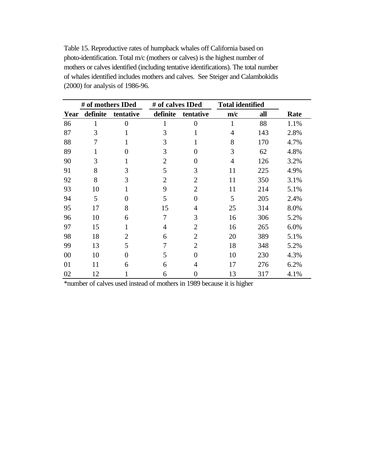Table 15. Reproductive rates of humpback whales off California based on photo-identification. Total m/c (mothers or calves) is the highest number of mothers or calves identified (including tentative identifications). The total number of whales identified includes mothers and calves. See Steiger and Calambokidis (2000) for analysis of 1986-96.

|      | # of mothers IDed |                | # of calves IDed |                | <b>Total identified</b> |     |      |
|------|-------------------|----------------|------------------|----------------|-------------------------|-----|------|
| Year | definite          | tentative      | definite         | tentative      | m/c                     | all | Rate |
| 86   | 1                 | $\theta$       | 1                | $\overline{0}$ | 1                       | 88  | 1.1% |
| 87   | 3                 |                | 3                | 1              | 4                       | 143 | 2.8% |
| 88   | 7                 |                | 3                |                | 8                       | 170 | 4.7% |
| 89   | 1                 | 0              | 3                | $\overline{0}$ | 3                       | 62  | 4.8% |
| 90   | 3                 |                | $\overline{2}$   | $\overline{0}$ | $\overline{4}$          | 126 | 3.2% |
| 91   | 8                 | 3              | 5                | 3              | 11                      | 225 | 4.9% |
| 92   | 8                 | 3              | $\overline{2}$   | $\overline{2}$ | 11                      | 350 | 3.1% |
| 93   | 10                |                | 9                | $\overline{2}$ | 11                      | 214 | 5.1% |
| 94   | 5                 | 0              | 5                | $\overline{0}$ | 5                       | 205 | 2.4% |
| 95   | 17                | 8              | 15               | $\overline{4}$ | 25                      | 314 | 8.0% |
| 96   | 10                | 6              | 7                | 3              | 16                      | 306 | 5.2% |
| 97   | 15                |                | $\overline{4}$   | $\overline{2}$ | 16                      | 265 | 6.0% |
| 98   | 18                | $\overline{2}$ | 6                | $\overline{2}$ | 20                      | 389 | 5.1% |
| 99   | 13                | 5              | 7                | $\overline{2}$ | 18                      | 348 | 5.2% |
| 00   | 10                | 0              | 5                | $\overline{0}$ | 10                      | 230 | 4.3% |
| 01   | 11                | 6              | 6                | 4              | 17                      | 276 | 6.2% |
| 02   | 12                |                | 6                | $\overline{0}$ | 13                      | 317 | 4.1% |

\*number of calves used instead of mothers in 1989 because it is higher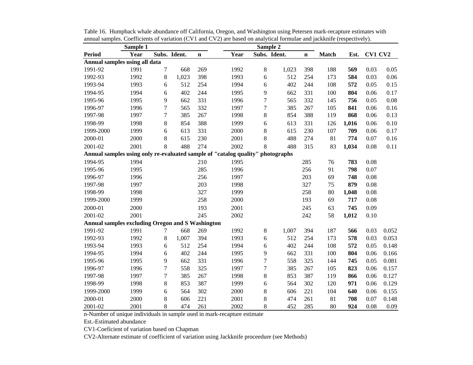|                                                  | Sample 1 |                |              |             |                                                                                | Sample 2         |              |             |       |       |         |       |
|--------------------------------------------------|----------|----------------|--------------|-------------|--------------------------------------------------------------------------------|------------------|--------------|-------------|-------|-------|---------|-------|
| <b>Period</b>                                    | Year     |                | Subs. Ident. | $\mathbf n$ | Year                                                                           |                  | Subs. Ident. | $\mathbf n$ | Match | Est.  | CV1 CV2 |       |
| Annual samples using all data                    |          |                |              |             |                                                                                |                  |              |             |       |       |         |       |
| 1991-92                                          | 1991     | 7              | 668          | 269         | 1992                                                                           | 8                | 1,023        | 398         | 188   | 569   | 0.03    | 0.05  |
| 1992-93                                          | 1992     | 8              | 1,023        | 398         | 1993                                                                           | 6                | 512          | 254         | 173   | 584   | 0.03    | 0.06  |
| 1993-94                                          | 1993     | 6              | 512          | 254         | 1994                                                                           | 6                | 402          | 244         | 108   | 572   | 0.05    | 0.15  |
| 1994-95                                          | 1994     | 6              | 402          | 244         | 1995                                                                           | 9                | 662          | 331         | 100   | 804   | 0.06    | 0.17  |
| 1995-96                                          | 1995     | 9              | 662          | 331         | 1996                                                                           | $\overline{7}$   | 565          | 332         | 145   | 756   | 0.05    | 0.08  |
| 1996-97                                          | 1996     | $\overline{7}$ | 565          | 332         | 1997                                                                           | $\boldsymbol{7}$ | 385          | 267         | 105   | 841   | 0.06    | 0.16  |
| 1997-98                                          | 1997     | $\overline{7}$ | 385          | 267         | 1998                                                                           | 8                | 854          | 388         | 119   | 868   | 0.06    | 0.13  |
| 1998-99                                          | 1998     | 8              | 854          | 388         | 1999                                                                           | 6                | 613          | 331         | 126   | 1,016 | 0.06    | 0.10  |
| 1999-2000                                        | 1999     | 6              | 613          | 331         | 2000                                                                           | $8\,$            | 615          | 230         | 107   | 709   | 0.06    | 0.17  |
| 2000-01                                          | 2000     | 8              | 615          | 230         | 2001                                                                           | 8                | 488          | 274         | 81    | 774   | 0.07    | 0.16  |
| 2001-02                                          | 2001     | 8              | 488          | 274         | 2002                                                                           | 8                | 488          | 315         | 83    | 1,034 | 0.08    | 0.11  |
|                                                  |          |                |              |             | Annual samples using only re-evaluated sample of "catalog quality" photographs |                  |              |             |       |       |         |       |
| 1994-95                                          | 1994     |                |              | 210         | 1995                                                                           |                  |              | 285         | 76    | 783   | 0.08    |       |
| 1995-96                                          | 1995     |                |              | 285         | 1996                                                                           |                  |              | 256         | 91    | 798   | 0.07    |       |
| 1996-97                                          | 1996     |                |              | 256         | 1997                                                                           |                  |              | 203         | 69    | 748   | 0.08    |       |
| 1997-98                                          | 1997     |                |              | 203         | 1998                                                                           |                  |              | 327         | 75    | 879   | 0.08    |       |
| 1998-99                                          | 1998     |                |              | 327         | 1999                                                                           |                  |              | 258         | 80    | 1,048 | 0.08    |       |
| 1999-2000                                        | 1999     |                |              | 258         | 2000                                                                           |                  |              | 193         | 69    | 717   | 0.08    |       |
| 2000-01                                          | 2000     |                |              | 193         | 2001                                                                           |                  |              | 245         | 63    | 745   | 0.09    |       |
| 2001-02                                          | 2001     |                |              | 245         | 2002                                                                           |                  |              | 242         | 58    | 1,012 | 0.10    |       |
| Annual samples excluding Oregon and S Washington |          |                |              |             |                                                                                |                  |              |             |       |       |         |       |
| 1991-92                                          | 1991     | 7              | 668          | 269         | 1992                                                                           | 8                | 1,007        | 394         | 187   | 566   | 0.03    | 0.052 |
| 1992-93                                          | 1992     | 8              | 1,007        | 394         | 1993                                                                           | 6                | 512          | 254         | 173   | 578   | 0.03    | 0.053 |
| 1993-94                                          | 1993     | 6              | 512          | 254         | 1994                                                                           | 6                | 402          | 244         | 108   | 572   | 0.05    | 0.148 |
| 1994-95                                          | 1994     | 6              | 402          | 244         | 1995                                                                           | 9                | 662          | 331         | 100   | 804   | 0.06    | 0.166 |
| 1995-96                                          | 1995     | 9              | 662          | 331         | 1996                                                                           | $\overline{7}$   | 558          | 325         | 144   | 745   | 0.05    | 0.081 |
| 1996-97                                          | 1996     | $\tau$         | 558          | 325         | 1997                                                                           | $\overline{7}$   | 385          | 267         | 105   | 823   | 0.06    | 0.157 |
| 1997-98                                          | 1997     | $\overline{7}$ | 385          | 267         | 1998                                                                           | $8\,$            | 853          | 387         | 119   | 866   | 0.06    | 0.127 |
| 1998-99                                          | 1998     | 8              | 853          | 387         | 1999                                                                           | 6                | 564          | 302         | 120   | 971   | 0.06    | 0.129 |
| 1999-2000                                        | 1999     | 6              | 564          | 302         | 2000                                                                           | 8                | 606          | 221         | 104   | 640   | 0.06    | 0.155 |
| 2000-01                                          | 2000     | 8              | 606          | 221         | 2001                                                                           | 8                | 474          | 261         | 81    | 708   | 0.07    | 0.148 |
| 2001-02                                          | 2001     | 8              | 474          | 261         | 2002                                                                           | 8                | 452          | 285         | 80    | 924   | 0.08    | 0.09  |

Table 16. Humpback whale abundance off California, Oregon, and Washington using Petersen mark-recapture estimates with annual samples. Coefficients of variation (CV1 and CV2) are based on analytical formulae and jackknife (respectively).

n-Number of unique individuals in sample used in mark-recapture estimate

Est.-Estimated abundance

CV1-Coeficient of variation based on Chapman

CV2-Alternate estimate of coefficient of variation using Jackknife proceedure (see Methods)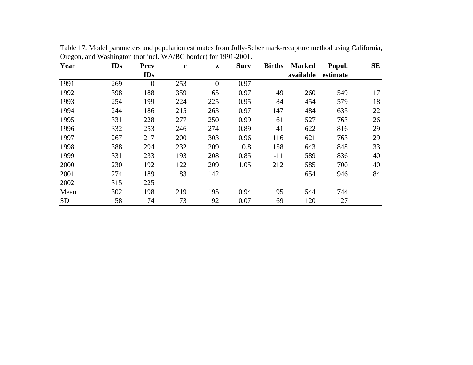| Year      | <b>IDs</b> | <b>Prev</b>    | r   | $\mathbf{z}$   | <b>Surv</b> | <b>Births</b> | <b>Marked</b> | Popul.   | <b>SE</b> |
|-----------|------------|----------------|-----|----------------|-------------|---------------|---------------|----------|-----------|
|           |            | <b>IDs</b>     |     |                |             |               | available     | estimate |           |
| 1991      | 269        | $\overline{0}$ | 253 | $\overline{0}$ | 0.97        |               |               |          |           |
| 1992      | 398        | 188            | 359 | 65             | 0.97        | 49            | 260           | 549      | 17        |
| 1993      | 254        | 199            | 224 | 225            | 0.95        | 84            | 454           | 579      | 18        |
| 1994      | 244        | 186            | 215 | 263            | 0.97        | 147           | 484           | 635      | 22        |
| 1995      | 331        | 228            | 277 | 250            | 0.99        | 61            | 527           | 763      | 26        |
| 1996      | 332        | 253            | 246 | 274            | 0.89        | 41            | 622           | 816      | 29        |
| 1997      | 267        | 217            | 200 | 303            | 0.96        | 116           | 621           | 763      | 29        |
| 1998      | 388        | 294            | 232 | 209            | 0.8         | 158           | 643           | 848      | 33        |
| 1999      | 331        | 233            | 193 | 208            | 0.85        | $-11$         | 589           | 836      | 40        |
| 2000      | 230        | 192            | 122 | 209            | 1.05        | 212           | 585           | 700      | 40        |
| 2001      | 274        | 189            | 83  | 142            |             |               | 654           | 946      | 84        |
| 2002      | 315        | 225            |     |                |             |               |               |          |           |
| Mean      | 302        | 198            | 219 | 195            | 0.94        | 95            | 544           | 744      |           |
| <b>SD</b> | 58         | 74             | 73  | 92             | 0.07        | 69            | 120           | 127      |           |

Table 17. Model parameters and population estimates from Jolly-Seber mark-recapture method using California, Oregon, and Washington (not incl. WA/BC border) for 1991-2001.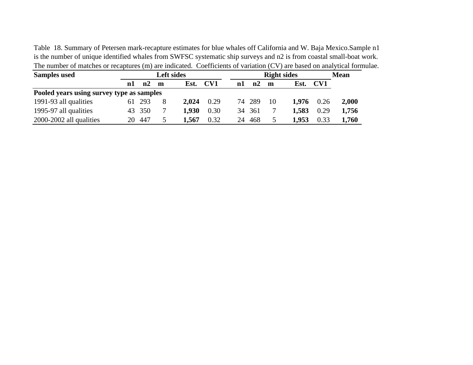Table 18. Summary of Petersen mark-recapture estimates for blue whales off California and W. Baja Mexico.Sample n1 is the number of unique identified whales from SWFSC systematic ship surveys and n2 is from coastal small-boat work. The number of matches or recaptures (m) are indicated. Coefficients of variation (CV) are based on analytical formulae.

| <b>Samples used</b>                       |    |        |   | <b>Left sides</b> |      |    |        |    | <b>Right sides</b> |      | <b>Mean</b> |
|-------------------------------------------|----|--------|---|-------------------|------|----|--------|----|--------------------|------|-------------|
|                                           | n1 | n2     | m | Est.              | CV1  | n1 | n2     | m  | Est.               | CV1  |             |
| Pooled years using survey type as samples |    |        |   |                   |      |    |        |    |                    |      |             |
| 1991-93 all qualities                     |    | 61 293 | 8 | 2.024             | 0.29 |    | 74 289 | 10 | 1.976              | 0.26 | 2,000       |
| 1995-97 all qualities                     |    | 43 350 |   | 1.930             | 0.30 |    | 34 361 |    | 1,583              | 0.29 | 1,756       |
| 2000-2002 all qualities                   | 20 | 447    | 5 | 1,567             | 0.32 | 24 | 468    |    | 1,953              | 0.33 | 1,760       |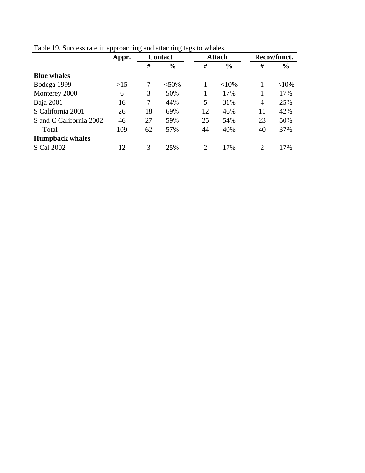|                         | Appr. |    | <b>Contact</b> |                             | <b>Attach</b> |    | Recov/funct.  |
|-------------------------|-------|----|----------------|-----------------------------|---------------|----|---------------|
|                         |       | #  | $\frac{6}{6}$  | #                           | $\frac{0}{0}$ | #  | $\frac{6}{6}$ |
| <b>Blue whales</b>      |       |    |                |                             |               |    |               |
| Bodega 1999             | $>15$ | 7  | $< 50\%$       |                             | <10%          |    | ${<}10\%$     |
| Monterey 2000           | 6     | 3  | 50%            |                             | 17%           |    | 17%           |
| Baja 2001               | 16    | 7  | 44%            | 5                           | 31%           | 4  | 25%           |
| S California 2001       | 26    | 18 | 69%            | 12                          | 46%           | 11 | 42%           |
| S and C California 2002 | 46    | 27 | 59%            | 25                          | 54%           | 23 | 50%           |
| Total                   | 109   | 62 | 57%            | 44                          | 40%           | 40 | 37%           |
| <b>Humpback whales</b>  |       |    |                |                             |               |    |               |
| S Cal 2002              | 12    | 3  | 25%            | $\mathcal{D}_{\mathcal{L}}$ | 17%           | ∍  | 17%           |

Table 19. Success rate in approaching and attaching tags to whales.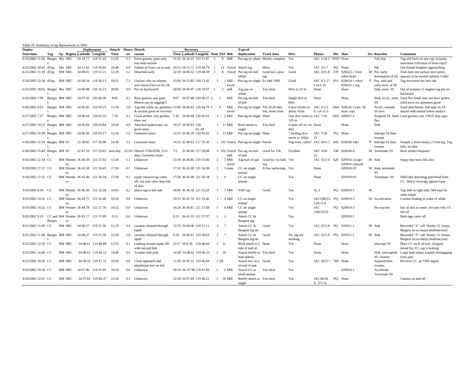| Table 20. Summary of tag deployments in 2002.      |               |               |                             |                                    |        |     |                                                           |                                    |                |                                 |                                             |                                          |                                              |                        |    |                       |   |                              |                                                                            |
|----------------------------------------------------|---------------|---------------|-----------------------------|------------------------------------|--------|-----|-----------------------------------------------------------|------------------------------------|----------------|---------------------------------|---------------------------------------------|------------------------------------------|----------------------------------------------|------------------------|----|-----------------------|---|------------------------------|----------------------------------------------------------------------------|
| <b>Deploy</b>                                      |               |               |                             | <b>Deployment</b>                  | Detach |     | <b>Hours</b> Detach                                       | <b>Recovery</b>                    |                |                                 | Type of                                     |                                          |                                              |                        |    |                       |   |                              |                                                                            |
| Date/time                                          | Tag           |               | Sp Region Latitude Longitde |                                    | Time   | on  | reason                                                    | Time Latitude Longitde Num SN# Beh |                |                                 | deployment                                  | Track data                               | <b>Dive</b>                                  | Photos                 |    | IDs Skin              |   | <b>Sex Reaction</b>          | <b>Comments</b>                                                            |
| 6/19/2002 11:06 Burges Mn SBC                      |               |               | 34 18.77                    | 119 51.43                          | 11:25  | 0.3 | Front gummy gone only<br>rear held suction                | 11:25 34 20.25 119 51.87           | 2              | Mill<br>8                       |                                             | Put tag on whale Mostly complete         | Yes                                          | JAC 1/24-5 10597 None  |    |                       |   | Tail slap                    | Tag slid back on one cup, acoustic<br>saturation (vibration of front cup?) |
| 6/22/2002 10:45 dTag                               |               | Mn SBC        |                             | 34 12.65 119 50.82                 | 10:48  |     | 0.0 Failure of front cup to seal                          | 10:52 34 12.71 119 50.79 1         |                |                                 | 11 Travel Attach tag                        | Short                                    | Yes                                          | JAC 3/3-7              | PO | None                  |   | <b>NR</b>                    | Out-bound freighter approaching                                            |
| 6/23/2002 11:19 dTag                               |               | BM SBC        |                             | 34 08.01 119 53.21                 | 12:29  | 1.2 | Detached early                                            | 12:30 34 06.52 119 48.59           | 2              | 8                               | Travel Put tag on trail                     | Good incl. post-                         | Good                                         | JAC 3/21-E 370         |    | 020623-1 from         |   | M Pos. early                 | Trail does not surface next series,                                        |
|                                                    |               |               |                             |                                    |        |     |                                                           |                                    |                |                                 | whale                                       | tag                                      |                                              |                        |    | robot head            |   | termination of SS            | appears to be normal pattern, Caller                                       |
| 6/24/2002 12:34 dTag                               |               | BM SBC        |                             | 34 08.34 119 56.11                 | 19:51  |     | 7.3 Unclear why no release,                               | 15:00 34 15.82 120 12.42           | $\blacksquare$ |                                 | 1 Mill - Put tag on single Ex intil 1900    |                                          | Good                                         | JAC 4/1-17 951         |    | 020624-1 robot        |   | F Pos. sink and              | Tag recovered the next dat                                                 |
|                                                    |               |               |                             |                                    |        |     | wire burned but set for 2h                                |                                    |                | travel                          |                                             |                                          |                                              | $Col/1-10$             |    | 020625-1 tag          |   | early term. of SS            |                                                                            |
| 6/25/2002 18:02 Burges Bm SBC                      |               |               | 34 06.98                    | 120 10.21                          | 18:05  | 0.0 | Put on backwards                                          | 18:08 34 06.97 120 10.07           | - 1            | mill<br>$\overline{\mathbf{3}}$ | Tag put on                                  | Too short                                | Dive to 20 m                                 | None                   |    | None                  |   | Sink, term. SS               | Out of position (1 engine) tag put on                                      |
|                                                    |               |               |                             |                                    |        |     |                                                           |                                    |                |                                 | whale                                       |                                          |                                              |                        |    |                       |   |                              | backward                                                                   |
| 6/26/2002 7:58 Burges BM SBC                       |               |               |                             | 34 07.42 120 00.36                 | 8:02   | 0.1 | Rear gummy was gone                                       | 8:07 34 07.48 120 00.57 2          | 2              | Mill                            | Put tag on trail                            | Too short                                | Single dive to                               | None                   |    | None                  |   |                              | Sink, accel., term. Used flex head, may not have gotten                    |
|                                                    |               |               |                             |                                    |        |     | (blown out on tagging?)                                   |                                    |                |                                 | of pair                                     |                                          | 60m                                          |                        |    |                       |   | SS                           | solid press on, gummies good                                               |
| 6/26/2002 9:03                                     |               | Burges BM SBC |                             | 34 06.85 120 04.25 11:54           |        |     | 2.8 Tag slid while on, gummies 12:00 34 06.65 120 04.79 1 |                                    | $\overline{4}$ | Mill.                           |                                             | Put tag on single Till 10:20 then        | 8 dive seiries to                            | JAC 5/1.3-             |    | 1864 020626-2 (sm. Sk |   | Accel., extends              | Solid attachment, 2nd appr on SS                                           |
|                                                    |               |               |                             |                                    |        |     | & suction good on recovery                                |                                    |                | travel                          |                                             | lost, more from                          | about 165m                                   | 6. col 11-2            |    | from cup)             |   | SS dive                      | stayed with animal below surface                                           |
| 6/27/2002 7:27                                     |               | Burges BM SBC | 34 06.64                    | 120 05.53                          | 7:39   |     | 0.2 Good atchmt. rear gummy 7:41 34 06.68 120 05.61       |                                    | -1             | 2 Mill                          | Put tag on single Short                     |                                          | One dive series to JAC 7/16                  |                        |    | 1852 020627-1         |   |                              | Suspend SS, back Lead gummy out, USGS ship appr.                           |
|                                                    |               |               |                             |                                    |        |     | blew out                                                  |                                    |                |                                 |                                             |                                          | 120 <sub>m</sub>                             |                        |    |                       |   | flex                         |                                                                            |
| 6/27/2002 10:22 Burges BM SBC                      |               |               |                             | 34 06.84 120 03.84                 | 10:24  |     | 0.0 Attached underwater, no                               | 10:25 34 06.83 120                 |                | 1 11 Mill                       | Brief attach to Too short                   |                                          | Comes off on 1st None                        |                        |    | None                  |   | Sink                         |                                                                            |
|                                                    |               |               |                             |                                    |        |     | good attmt.                                               | 0384                               |                |                                 | single                                      |                                          | dive                                         |                        |    |                       |   |                              |                                                                            |
| 6/27/2002 10:49 Burges BM SBC                      |               |               |                             | 34 06.92 120 03.17                 | 12:18  | 1.5 | Gummies intact                                            | 12:21 34 06.59 120 06.02           |                | $1$ 13 Mill                     | Put tag on single None                      |                                          | 7 feeding dive                               | JAC 7/18-              |    | PO None               |   | Interupt SS then             |                                                                            |
|                                                    |               |               |                             |                                    | 14:30  |     | 2.2 Gummies intact                                        |                                    |                |                                 |                                             |                                          | series to 160m                               | 21                     |    |                       |   | resume                       |                                                                            |
| 6/30/2002 12:19 Burges BM SC                       |               |               |                             | 32 38.02 117 26.96                 |        |     |                                                           | 14:31 32 40.61 117 25.36           |                |                                 | 1 201 Travel Put tag on single Partial      |                                          | Tag reset, caller? JAC 10/1-3 445 020630-1&2 |                        |    |                       |   | F Interupt SS then<br>resume | Sample 1 from biopsy, 2 from tag. Tag<br>fails, no data                    |
| 6/30/2002 15:49 Burges BM SC                       |               |               |                             |                                    |        |     | 32 47.10 117 22.63 next day 25-39 Detach 1700-0700, 15 h  | 7/2 32 49.06 117 20.68             |                |                                 | 1 202 Travel- Put tag on trail Good for 12h |                                          | Excelent                                     | JAC 10/6-              |    | 336 020630-4          |   | M Terminate SS               | Both whales biopsied                                                       |
|                                                    |               |               |                             |                                    |        |     | data, Gummies intact                                      |                                    |                | mill                            | of pair                                     |                                          |                                              | 25                     |    |                       |   |                              |                                                                            |
| 9/16/2002 12:14 CC                                 |               |               |                             | BM Monter 36 46.59 121 57.02       | 13:20  | 1.1 | Unknown                                                   | 13:30 36 46.85 119 55.66           | 2              | 5 Mill-                         |                                             | Tag trail of pair Good for 1st half, Yes |                                              | JAC 32/2-4 620         |    | $020916 - 1$ (cup)    |   | M Sink                       | Stapp may have IDs also                                                    |
|                                                    |               | ey            |                             |                                    |        |     |                                                           |                                    |                | travel                          |                                             | lost                                     |                                              |                        |    | 020916-2(head)        |   |                              |                                                                            |
| 9/18/2002 17:21 CC                                 |               |               |                             | BM Monter 36 45.58 121 56.43       | 17:26  |     | 0.1 Unknown                                               | 17:32 36 45.68 121 56.38           | -1             | 5 none                          | CC on single                                | A few surfacings Yes                     |                                              | None                   |    | 020918-02             |   | M Sink, terminate            |                                                                            |
|                                                    |               | ey            |                             |                                    |        |     |                                                           |                                    |                |                                 | animal                                      |                                          |                                              |                        |    |                       |   | <b>SS</b>                    |                                                                            |
| 9/18/2002 17:52 CC                                 |               |               |                             | BM Monter 36 45.49 121 56.34 17:56 |        |     | 0.1 squib released tag came                               | 17:56 36 45.49 121 56.34           | 2              | -6                              | CC on single                                |                                          | Yes                                          | None                   |    | 020918-03             |   | Terminate, SS                | Difficulty detaching pole/head from                                        |
|                                                    |               | ey            |                             |                                    |        |     | off, not sure other than lots                             |                                    |                |                                 | animal                                      |                                          |                                              |                        |    |                       |   |                              | CC. Had to leverage against boat                                           |
|                                                    |               |               |                             |                                    |        |     | of skin                                                   |                                    |                |                                 |                                             |                                          |                                              |                        |    |                       |   |                              |                                                                            |
| 9/19/2002 9:50 CC                                  |               |               |                             | BM Monter 36 46.58 121 55.58       | 10:01  | 0.2 | attach tag to left side                                   | 10:06 36 46.58 121 55.59           | -1             | 3 Mill                          | VHF tag                                     | Good                                     | Yes                                          | SL/1                   |    | PQ 020919-1           | M |                              | Tag shift to right side, S#4 may be                                        |
|                                                    |               | e,            |                             |                                    |        |     |                                                           |                                    |                |                                 |                                             |                                          |                                              |                        |    |                       |   |                              | same whale                                                                 |
| 9/19/2002 10:31 CC                                 |               |               |                             | BM Monter 36 45.75 121 55.46       | 10:32  | 0.0 | Unknown                                                   | 10:33 36 45.70 121 55.46           | -1             | 4 Mill                          | CC on single                                |                                          | Yes                                          | JAC32B/23 PO 020919-2  |    |                       |   | M Acceleration               | Camera floating in wake of whale                                           |
|                                                    |               | ev            |                             |                                    |        |     |                                                           |                                    |                |                                 | animal                                      |                                          |                                              | $5, SL/2-4$            |    |                       |   |                              |                                                                            |
| 9/19/2002 14:22 CC                                 |               |               |                             | BM Monter 36 44.78 121 57.76       | 14:22  | 0.0 | Unknown                                                   | 14:24 36 44.81 121 57.69           | -1             | 8 Mill                          | CC on single                                |                                          | Yes                                          | <b>JAC</b>             |    | PQ 020919-3           |   | No reaction                  | lots of skin in water, not sure why CC                                     |
| 9/20/2002 9:18 CC and BM Monter 36 45.17 121 57.89 |               | ev            |                             |                                    | 9:21   | 0.0 | Unknown                                                   | 9:21 36 45.19 121 57.97            | $\mathbf{1}$   | 2                               | animal<br>Attach CC &                       |                                          | Yes                                          | 32B/32/33              |    | 020920-1              |   |                              | fell off                                                                   |
|                                                    | <b>Burges</b> | ey            |                             |                                    |        |     |                                                           |                                    |                |                                 | Burgess tag                                 |                                          |                                              |                        |    |                       |   |                              | Both tags came off                                                         |
|                                                    |               |               |                             |                                    |        |     |                                                           |                                    |                |                                 |                                             |                                          |                                              |                        |    |                       |   |                              |                                                                            |
| 9/21/2002 11:00 CC                                 |               | BM SBC        |                             | 34 08.27 119 51.50                 | 11:25  | 0.4 | vacuem released through                                   | 11:25 34 08.00 119 51.11           |                | 3 7                             | Attach CC &                                 | Good                                     | Yes                                          | JAC 33/1-8 PO          |    | 020921-1              |   | M Sink                       | Recorded "A" call 'Steady CC beeps,                                        |
|                                                    |               |               |                             | 34 08.27 119 51.50                 | 13:50  | 2.8 | squib                                                     | 9:18 34 06.61 119 39.63            |                | 3 7                             | Burgess tag on                              | Good                                     |                                              |                        |    |                       |   | M Sink                       | Burgess on no beeps (malfunction)                                          |
| 9/21/2002 11:00 Burges BM SBC                      |               |               |                             |                                    |        |     | vacuum released through<br>squib                          |                                    |                |                                 | Attach CC &<br>Burgess tag on               |                                          | No, tag not<br>working                       | JAC 33/1-8 PO 020921-1 |    |                       |   |                              | Recorded "A" call 'Steady CC beeps,<br>Burgess on no beeps (malfunction)   |
| 9/22/2002 12:50 CC                                 |               | <b>BM SBC</b> |                             | 34 08.61 119 46.89                 | 12:55  | 0.1 | Leaking around squib, fill                                | 12:57 34 8.39 119 46.94            | 2              | 12                              | Brief attach to L None                      |                                          | Yes                                          | None                   |    | None                  |   | inturrupt SS                 | Place CC on R of trail, chopped                                            |
|                                                    |               |               |                             |                                    |        |     | with nut and bolt                                         |                                    |                |                                 | side of trail of                            |                                          |                                              |                        |    |                       |   |                              | dorsal fin, CC cup is leaking                                              |
| 9/22/2002 14:48 CC                                 |               | <b>BM SBC</b> |                             | 34 08.62 119 46.23                 | 14:49  |     | 0.0 Trouble with pole                                     | 14:49 34 08.62 119 46.23           |                | 2 16                            | Attach briefly to Too short                 |                                          | Yes                                          | None                   |    | None                  |   | Sink, interrupted            | Large lead whale, trouble disengaging                                      |
|                                                    |               |               |                             |                                    |        |     |                                                           |                                    |                |                                 | lead animal                                 |                                          |                                              |                        |    |                       |   | SS, resume                   | from pole                                                                  |
| 9/23/2002 10:26 CC                                 |               | BM SBC        |                             | 34 09.16 119 47.31                 | 10:26  |     | 0.0 Close approach and                                    | 11:20 34 09.31 119 46.94           | 2 5B           |                                 | Attach low on L Good                        |                                          | Yes                                          | JAC 34/27-2 760 None   |    |                       |   | Suspend then                 | Recover CC, no VHS signal                                                  |
|                                                    |               |               |                             |                                    |        |     | attachment low on left                                    |                                    |                |                                 | of trail of pair                            |                                          |                                              |                        |    |                       |   | resume,                      |                                                                            |
| 9/24/2002 10:18 CC                                 |               | BM SBC        |                             | 34 07.96 119 47.95                 | 10:19  | 0.0 | Unknown                                                   | 10:19 34 07.96 119 47.95           | $\mathbf{1}$   | 5 Mill                          | Attach CC to                                | Too short                                | Yes                                          |                        |    | 020924-1              |   | Accelerate                   |                                                                            |
|                                                    |               |               |                             |                                    |        |     |                                                           |                                    |                |                                 | small animal                                |                                          |                                              |                        |    |                       |   | Terminate SS                 |                                                                            |
| 9/24/2002 12:01 CC                                 |               | BM SBC        |                             | 34 07.81 119 46.37                 | 12:18  |     | $0.3$ Unknown                                             | 12:18 34 07.89 119 46.21           |                | $1$ 10 Mill                     | Briefly attach to Too short                 |                                          | Yes                                          | JAC36/34-              |    | PO None               |   |                              | Camera on and off                                                          |
|                                                    |               |               |                             |                                    |        |     |                                                           |                                    |                |                                 | single                                      |                                          |                                              | $E. 37/1-6$            |    |                       |   |                              |                                                                            |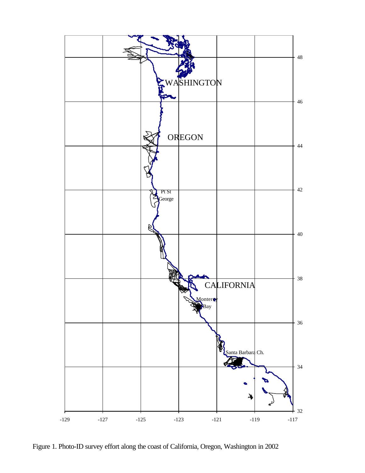

Figure 1. Photo-ID survey effort along the coast of California, Oregon, Washington in 2002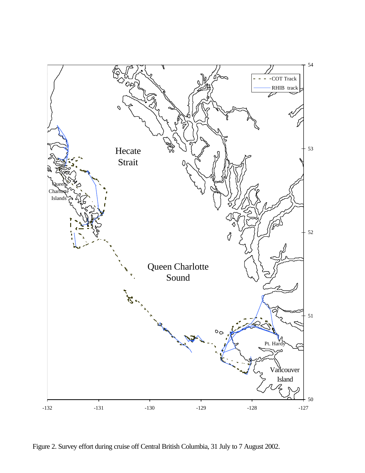

Figure 2. Survey effort during cruise off Central British Columbia, 31 July to 7 August 2002.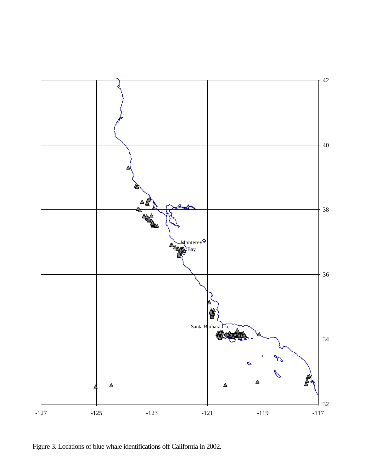

Figure 3. Locations of blue whale identifications off California in 2002.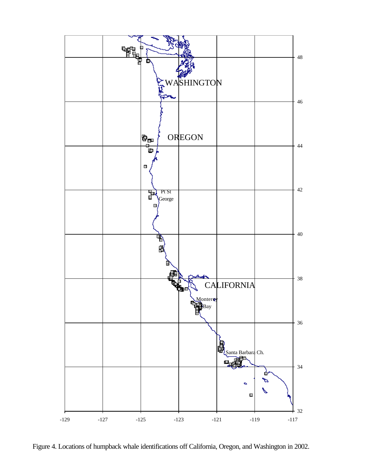

Figure 4. Locations of humpback whale identifications off California, Oregon, and Washington in 2002.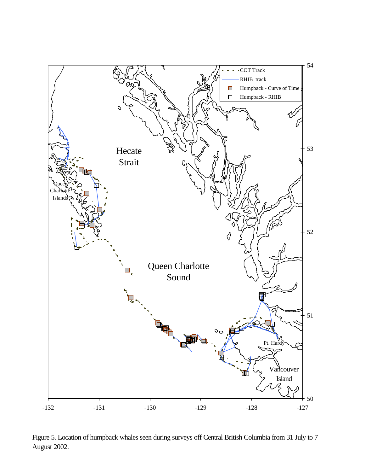

Figure 5. Location of humpback whales seen during surveys off Central British Columbia from 31 July to 7 August 2002.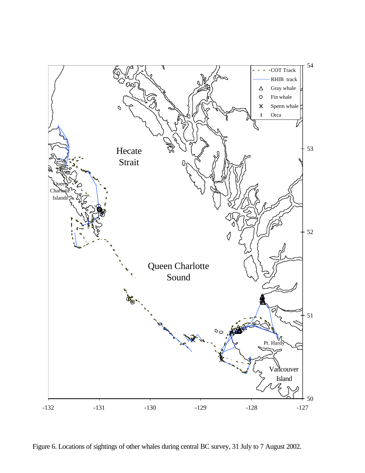

Figure 6. Locations of sightings of other whales during central BC survey, 31 July to 7 August 2002.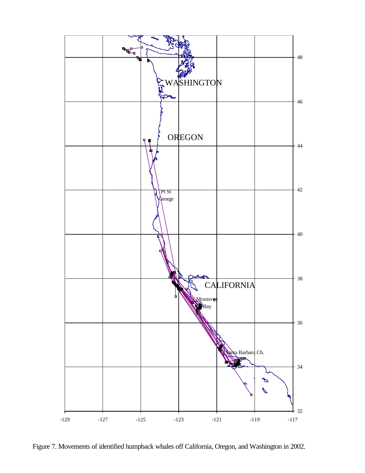

Figure 7. Movements of identified humpback whales off California, Oregon, and Washington in 2002.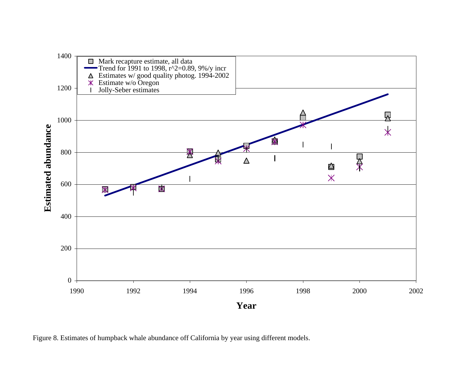

Figure 8. Estimates of humpback whale abundance off California by year using different models.